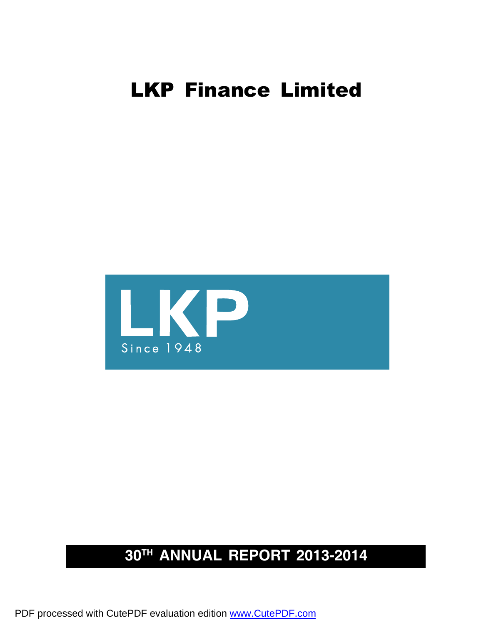

## **30th ANNUAL REPORT 2013-2014**

PDF processed with CutePDF evaluation edition [www.CutePDF.com](http://www.cutepdf.com)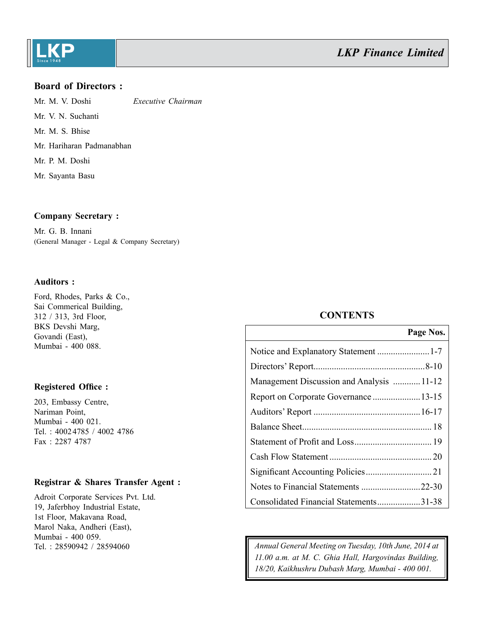

### **Board of Directors :**

Mr. M. V. Doshi *Executive Chairman* Mr. V. N. Suchanti Mr. M. S. Bhise Mr. Hariharan Padmanabhan Mr. P. M. Doshi Mr. Sayanta Basu

### **Company Secretary :**

Mr. G. B. Innani (General Manager - Legal & Company Secretary)

### **Auditors :**

Ford, Rhodes, Parks & Co., Sai Commerical Building, 312 / 313, 3rd Floor, BKS Devshi Marg, Govandi (East), Mumbai - 400 088.

### **Registered Office :**

203, Embassy Centre, Nariman Point, Mumbai - 400 021. Tel. : 40024785 / 4002 4786 Fax : 2287 4787

### **Registrar & Shares Transfer Agent :**

Adroit Corporate Services Pvt. Ltd. 19, Jaferbhoy Industrial Estate, 1st Floor, Makavana Road, Marol Naka, Andheri (East), Mumbai - 400 059.

### **CONTENTS**

|                                           | Page Nos. |
|-------------------------------------------|-----------|
|                                           |           |
|                                           |           |
| Management Discussion and Analysis  11-12 |           |
|                                           |           |
|                                           |           |
|                                           |           |
|                                           |           |
|                                           |           |
|                                           |           |
|                                           |           |
| Consolidated Financial Statements31-38    |           |

Tel. : 28590942 / 28594060 *Annual General Meeting on Tuesday, 10th June, 2014 at 11.00 a.m. at M. C. Ghia Hall, Hargovindas Building, 18/20, Kaikhushru Dubash Marg, Mumbai - 400 001.*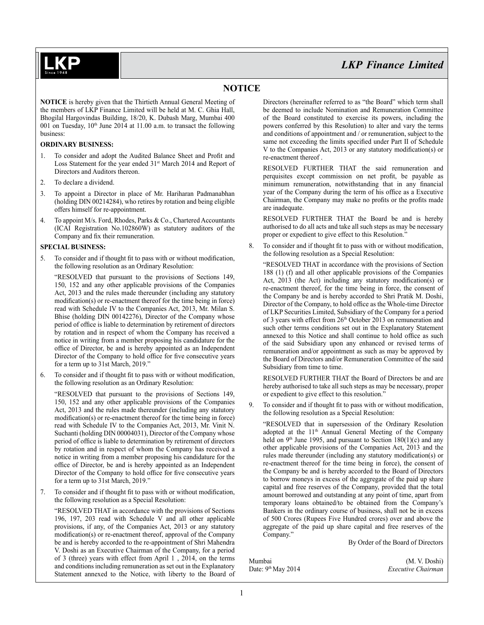### **NOTICE**

**NOTICE** is hereby given that the Thirtieth Annual General Meeting of the members of LKP Finance Limited will be held at M. C. Ghia Hall, Bhogilal Hargovindas Building, 18/20, K. Dubash Marg, Mumbai 400 001 on Tuesday,  $10<sup>th</sup>$  June 2014 at 11.00 a.m. to transact the following business:

### **ORDINARY BUSINESS:**

- 1. To consider and adopt the Audited Balance Sheet and Profit and Loss Statement for the year ended 31<sup>st</sup> March 2014 and Report of Directors and Auditors thereon.
- 2. To declare a dividend.
- 3. To appoint a Director in place of Mr. Hariharan Padmanabhan (holding DIN 00214284), who retires by rotation and being eligible offers himself for re-appointment.
- 4. To appoint M/s. Ford, Rhodes, Parks & Co., Chartered Accountants (ICAI Registration No.102860W) as statutory auditors of the Company and fix their remuneration.

### **Special Business:**

5. To consider and if thought fit to pass with or without modification, the following resolution as an Ordinary Resolution:

"RESOLVED that pursuant to the provisions of Sections 149, 150, 152 and any other applicable provisions of the Companies Act, 2013 and the rules made thereunder (including any statutory modification(s) or re-enactment thereof for the time being in force) read with Schedule IV to the Companies Act, 2013, Mr. Milan S. Bhise (holding DIN 00142276), Director of the Company whose period of office is liable to determination by retirement of directors by rotation and in respect of whom the Company has received a notice in writing from a member proposing his candidature for the office of Director, be and is hereby appointed as an Independent Director of the Company to hold office for five consecutive years for a term up to 31st March, 2019."

6. To consider and if thought fit to pass with or without modification, the following resolution as an Ordinary Resolution:

"RESOLVED that pursuant to the provisions of Sections 149, 150, 152 and any other applicable provisions of the Companies Act, 2013 and the rules made thereunder (including any statutory modification(s) or re-enactment thereof for the time being in force) read with Schedule IV to the Companies Act, 2013, Mr. Vinit N. Suchanti (holding DIN 00004031), Director of the Company whose period of office is liable to determination by retirement of directors by rotation and in respect of whom the Company has received a notice in writing from a member proposing his candidature for the office of Director, be and is hereby appointed as an Independent Director of the Company to hold office for five consecutive years for a term up to 31st March, 2019."

7. To consider and if thought fit to pass with or without modification, the following resolution as a Special Resolution:

"RESOLVED THAT in accordance with the provisions of Sections 196, 197, 203 read with Schedule V and all other applicable provisions, if any, of the Companies Act, 2013 or any statutory modification(s) or re-enactment thereof, approval of the Company be and is hereby accorded to the re-appointment of Shri Mahendra V. Doshi as an Executive Chairman of the Company, for a period of 3 (three) years with effect from April 1 , 2014, on the terms and conditions including remuneration as set out in the Explanatory Statement annexed to the Notice, with liberty to the Board of Directors (hereinafter referred to as "the Board" which term shall be deemed to include Nomination and Remuneration Committee of the Board constituted to exercise its powers, including the powers conferred by this Resolution) to alter and vary the terms and conditions of appointment and / or remuneration, subject to the same not exceeding the limits specified under Part II of Schedule V to the Companies Act, 2013 or any statutory modification(s) or re-enactment thereof .

RESOLVED FURTHER THAT the said remuneration and perquisites except commission on net profit, be payable as minimum remuneration, notwithstanding that in any financial year of the Company during the term of his office as a Executive Chairman, the Company may make no profits or the profits made are inadequate.

RESOLVED FURTHER THAT the Board be and is hereby authorised to do all acts and take all such steps as may be necessary proper or expedient to give effect to this Resolution."

8. To consider and if thought fit to pass with or without modification, the following resolution as a Special Resolution:

"RESOLVED THAT in accordance with the provisions of Section 188 (1) (f) and all other applicable provisions of the Companies Act, 2013 (the Act) including any statutory modification(s) or re-enactment thereof, for the time being in force, the consent of the Company be and is hereby accorded to Shri Pratik M. Doshi, Director of the Company, to hold office as the Whole-time Director of LKP Securities Limited, Subsidiary of the Company for a period of 3 years with effect from 26<sup>th</sup> October 2013 on remuneration and such other terms conditions set out in the Explanatory Statement annexed to this Notice and shall continue to hold office as such of the said Subsidiary upon any enhanced or revised terms of remuneration and/or appointment as such as may be approved by the Board of Directors and/or Remuneration Committee of the said Subsidiary from time to time.

RESOLVED FURTHER THAT the Board of Directors be and are hereby authorised to take all such steps as may be necessary, proper or expedient to give effect to this resolution."

9. To consider and if thought fit to pass with or without modification, the following resolution as a Special Resolution:

"RESOLVED that in supersession of the Ordinary Resolution adopted at the 11<sup>th</sup> Annual General Meeting of the Company held on 9<sup>th</sup> June 1995, and pursuant to Section  $180(1)(c)$  and any other applicable provisions of the Companies Act, 2013 and the rules made thereunder (including any statutory modification(s) or re-enactment thereof for the time being in force), the consent of the Company be and is hereby accorded to the Board of Directors to borrow moneys in excess of the aggregate of the paid up share capital and free reserves of the Company, provided that the total amount borrowed and outstanding at any point of time, apart from temporary loans obtained/to be obtained from the Company's Bankers in the ordinary course of business, shall not be in excess of 500 Crores (Rupees Five Hundred crores) over and above the aggregate of the paid up share capital and free reserves of the Company."

By Order of the Board of Directors

Mumbai (M. V. Doshi)

Date: 9<sup>th</sup> May 2014 *Executive Chairman*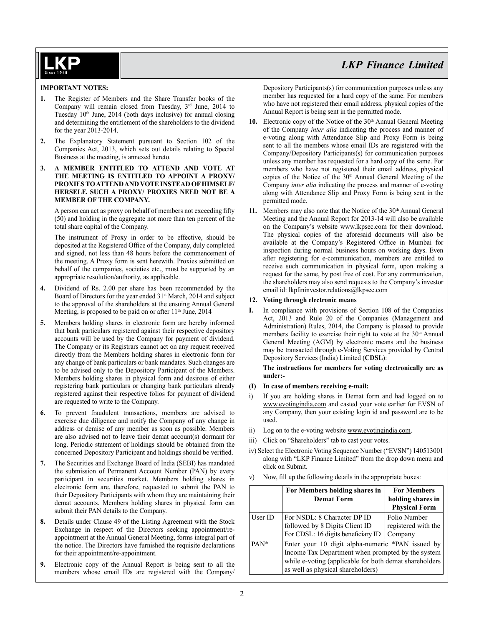#### **IMPORTANT NOTES:**

- **1.** The Register of Members and the Share Transfer books of the Company will remain closed from Tuesday,  $3<sup>rd</sup>$  June, 2014 to Tuesday  $10<sup>th</sup>$  June,  $2014$  (both days inclusive) for annual closing and determining the entitlement of the shareholders to the dividend for the year 2013-2014.
- **2.** The Explanatory Statement pursuant to Section 102 of the Companies Act, 2013, which sets out details relating to Special Business at the meeting, is annexed hereto.
- **3. A MEMBER ENTITLED TO ATTEND AND VOTE AT THE MEETING IS ENTITLED TO APPOINT A PROXY/ PROXIES TO ATTEND AND VOTE INSTEAD OF HIMSELF/ HERSELF. SUCH A PROXY/ PROXIES NEED NOT BE A MEMBER OF THE COMPANY.**

A person can act as proxy on behalf of members not exceeding fifty (50) and holding in the aggregate not more than ten percent of the total share capital of the Company.

The instrument of Proxy in order to be effective, should be deposited at the Registered Office of the Company, duly completed and signed, not less than 48 hours before the commencement of the meeting. A Proxy form is sent herewith. Proxies submitted on behalf of the companies, societies etc., must be supported by an appropriate resolution/authority, as applicable.

- **4.** Dividend of Rs. 2.00 per share has been recommended by the Board of Directors for the year ended 31<sup>st</sup> March, 2014 and subject to the approval of the shareholders at the ensuing Annual General Meeting, is proposed to be paid on or after 11<sup>th</sup> June, 2014
- **5.** Members holding shares in electronic form are hereby informed that bank particulars registered against their respective depository accounts will be used by the Company for payment of dividend. The Company or its Registrars cannot act on any request received directly from the Members holding shares in electronic form for any change of bank particulars or bank mandates. Such changes are to be advised only to the Depository Participant of the Members. Members holding shares in physical form and desirous of either registering bank particulars or changing bank particulars already registered against their respective folios for payment of dividend are requested to write to the Company.
- **6.** To prevent fraudulent transactions, members are advised to exercise due diligence and notify the Company of any change in address or demise of any member as soon as possible. Members are also advised not to leave their demat account(s) dormant for long. Periodic statement of holdings should be obtained from the concerned Depository Participant and holdings should be verified.
- **7.** The Securities and Exchange Board of India (SEBI) has mandated the submission of Permanent Account Number (PAN) by every participant in securities market. Members holding shares in electronic form are, therefore, requested to submit the PAN to their Depository Participants with whom they are maintaining their demat accounts. Members holding shares in physical form can submit their PAN details to the Company.
- **8.** Details under Clause 49 of the Listing Agreement with the Stock Exchange in respect of the Directors seeking appointment/reappointment at the Annual General Meeting, forms integral part of the notice. The Directors have furnished the requisite declarations for their appointment/re-appointment.
- **9.** Electronic copy of the Annual Report is being sent to all the members whose email IDs are registered with the Company/

Depository Participants(s) for communication purposes unless any member has requested for a hard copy of the same. For members who have not registered their email address, physical copies of the Annual Report is being sent in the permitted mode.

- 10. Electronic copy of the Notice of the 30<sup>th</sup> Annual General Meeting of the Company *inter alia* indicating the process and manner of e-voting along with Attendance Slip and Proxy Form is being sent to all the members whose email IDs are registered with the Company/Depository Participants(s) for communication purposes unless any member has requested for a hard copy of the same. For members who have not registered their email address, physical copies of the Notice of the 30<sup>th</sup> Annual General Meeting of the Company *inter alia* indicating the process and manner of e-voting along with Attendance Slip and Proxy Form is being sent in the permitted mode.
- 11. Members may also note that the Notice of the 30<sup>th</sup> Annual General Meeting and the Annual Report for 2013-14 will also be available on the Company's website www.lkpsec.com for their download. The physical copies of the aforesaid documents will also be available at the Company's Registered Office in Mumbai for inspection during normal business hours on working days. Even after registering for e-communication, members are entitled to receive such communication in physical form, upon making a request for the same, by post free of cost. For any communication, the shareholders may also send requests to the Company's investor email id: lkpfininvestor.relations@lkpsec.com

#### **12. Voting through electronic means**

**I.** In compliance with provisions of Section 108 of the Companies Act, 2013 and Rule 20 of the Companies (Management and Administration) Rules, 2014, the Company is pleased to provide members facility to exercise their right to vote at the 30<sup>th</sup> Annual General Meeting (AGM) by electronic means and the business may be transacted through e-Voting Services provided by Central Depository Services (India) Limited (**CDSL**):

**The instructions for members for voting electronically are as under:-**

- **(I) In case of members receiving e-mail:**
- i) If you are holding shares in Demat form and had logged on to www.evotingindia.com and casted your vote earlier for EVSN of any Company, then your existing login id and password are to be used.
- ii) Log on to the e-voting website www.evotingindia.com.
- iii) Click on "Shareholders" tab to cast your votes.
- iv) Select the Electronic Voting Sequence Number ("EVSN") 140513001 along with "LKP Finance Limited" from the drop down menu and click on Submit.
- v) Now, fill up the following details in the appropriate boxes:

|         | For Members holding shares in<br><b>Demat Form</b>     | <b>For Members</b><br>holding shares in |  |  |
|---------|--------------------------------------------------------|-----------------------------------------|--|--|
|         |                                                        | <b>Physical Form</b>                    |  |  |
| User ID | For NSDL: 8 Character DP ID                            | Folio Number                            |  |  |
|         | followed by 8 Digits Client ID                         | registered with the                     |  |  |
|         | For CDSL: 16 digits beneficiary ID                     | Company                                 |  |  |
| PAN*    | Enter your 10 digit alpha-numeric *PAN issued by       |                                         |  |  |
|         | Income Tax Department when prompted by the system      |                                         |  |  |
|         | while e-voting (applicable for both demat shareholders |                                         |  |  |
|         | as well as physical shareholders)                      |                                         |  |  |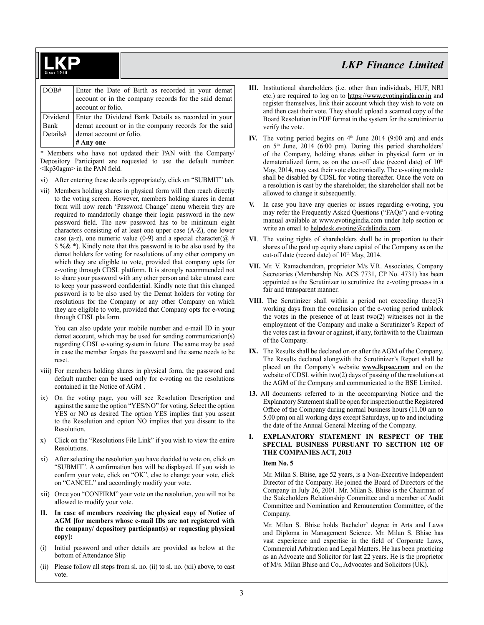| DOB#             | Enter the Date of Birth as recorded in your demat<br>account or in the company records for the said demat<br>account or folio.                                 |
|------------------|----------------------------------------------------------------------------------------------------------------------------------------------------------------|
| Bank<br>Details# | Dividend   Enter the Dividend Bank Details as recorded in your<br>demat account or in the company records for the said<br>demat account or folio.<br># Any one |

\* Members who have not updated their PAN with the Company/ Depository Participant are requested to use the default number: <lkp30agm> in the PAN field.

- vi) After entering these details appropriately, click on "SUBMIT" tab.
- vii) Members holding shares in physical form will then reach directly to the voting screen. However, members holding shares in demat form will now reach 'Password Change' menu wherein they are required to mandatorily change their login password in the new password field. The new password has to be minimum eight characters consisting of at least one upper case (A-Z), one lower case (a-z), one numeric value (0-9) and a special character( $@$  # \$ %& \*). Kindly note that this password is to be also used by the demat holders for voting for resolutions of any other company on which they are eligible to vote, provided that company opts for e-voting through CDSL platform. It is strongly recommended not to share your password with any other person and take utmost care to keep your password confidential. Kindly note that this changed password is to be also used by the Demat holders for voting for resolutions for the Company or any other Company on which they are eligible to vote, provided that Company opts for e-voting through CDSL platform.

You can also update your mobile number and e-mail ID in your demat account, which may be used for sending communication(s) regarding CDSL e-voting system in future. The same may be used in case the member forgets the password and the same needs to be reset.

- viii) For members holding shares in physical form, the password and default number can be used only for e-voting on the resolutions contained in the Notice of AGM .
- ix) On the voting page, you will see Resolution Description and against the same the option "YES/NO" for voting. Select the option YES or NO as desired The option YES implies that you assent to the Resolution and option NO implies that you dissent to the Resolution.
- x) Click on the "Resolutions File Link" if you wish to view the entire Resolutions.
- xi) After selecting the resolution you have decided to vote on, click on "SUBMIT". A confirmation box will be displayed. If you wish to confirm your vote, click on "OK", else to change your vote, click on "CANCEL" and accordingly modify your vote.
- xii) Once you "CONFIRM" your vote on the resolution, you will not be allowed to modify your vote.
- **II. In case of members receiving the physical copy of Notice of AGM [for members whose e-mail IDs are not registered with the company/ depository participant(s) or requesting physical copy]:**
- (i) Initial password and other details are provided as below at the bottom of Attendance Slip
- (ii) Please follow all steps from sl. no. (ii) to sl. no. (xii) above, to cast vote.
- **III.** Institutional shareholders (i.e. other than individuals, HUF, NRI etc.) are required to log on to https://www.evotingindia.co.in and register themselves, link their account which they wish to vote on and then cast their vote. They should upload a scanned copy of the Board Resolution in PDF format in the system for the scrutinizer to verify the vote.
- IV. The voting period begins on 4<sup>th</sup> June 2014 (9:00 am) and ends on 5th June, 2014 (6:00 pm). During this period shareholders' of the Company, holding shares either in physical form or in dematerialized form, as on the cut-off date (record date) of  $10<sup>th</sup>$ May, 2014, may cast their vote electronically. The e-voting module shall be disabled by CDSL for voting thereafter. Once the vote on a resolution is cast by the shareholder, the shareholder shall not be allowed to change it subsequently.
- **v.** In case you have any queries or issues regarding e-voting, you may refer the Frequently Asked Questions ("FAQs") and e-voting manual available at www.evotingindia.com under help section or write an email to helpdesk.evoting@cdslindia.com.
- **VI**. The voting rights of shareholders shall be in proportion to their shares of the paid up equity share capital of the Company as on the cut-off date (record date) of  $10<sup>th</sup>$  May, 2014.
- **VII.** Mr. V. Ramachandran, proprietor M/s V.R. Associates, Company Secretaries (Membership No. ACS 7731, CP No. 4731) has been appointed as the Scrutinizer to scrutinize the e-voting process in a fair and transparent manner.
- **VIII**. The Scrutinizer shall within a period not exceeding three(3) working days from the conclusion of the e-voting period unblock the votes in the presence of at least two(2) witnesses not in the employment of the Company and make a Scrutinizer's Report of the votes cast in favour or against, if any, forthwith to the Chairman of the Company.
- **IX.** The Results shall be declared on or after the AGM of the Company. The Results declared alongwith the Scrutinizer's Report shall be placed on the Company's website **www.lkpsec.com** and on the website of CDSL within two(2) days of passing of the resolutions at the AGM of the Company and communicated to the BSE Limited.
- **13.** All documents referred to in the accompanying Notice and the Explanatory Statement shall be open for inspection at the Registered Office of the Company during normal business hours (11.00 am to 5.00 pm) on all working days except Saturdays, up to and including the date of the Annual General Meeting of the Company.

### **I. EXPLANATORY STATEMENT IN RESPECT OF THE SPECIAL BUSINESS PURSUANT TO SECTION 102 OF THE COMPANIES ACT, 2013**

#### **Item No. 5**

Mr. Milan S. Bhise, age 52 years, is a Non-Executive Independent Director of the Company. He joined the Board of Directors of the Company in July 26, 2001. Mr. Milan S. Bhise is the Chairman of the Stakeholders Relationship Committee and a member of Audit Committee and Nomination and Remuneration Committee, of the Company.

Mr. Milan S. Bhise holds Bachelor' degree in Arts and Laws and Diploma in Management Science. Mr. Milan S. Bhise has vast experience and expertise in the field of Corporate Laws, Commercial Arbitration and Legal Matters. He has been practicing as an Advocate and Solicitor for last 22 years. He is the proprietor of M/s. Milan Bhise and Co., Advocates and Solicitors (UK).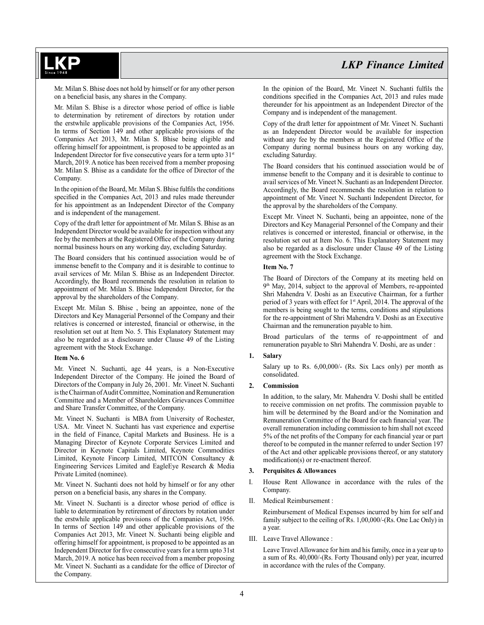Mr. Milan S. Bhise does not hold by himself or for any other person on a beneficial basis, any shares in the Company.

Mr. Milan S. Bhise is a director whose period of office is liable to determination by retirement of directors by rotation under the erstwhile applicable provisions of the Companies Act, 1956. In terms of Section 149 and other applicable provisions of the Companies Act 2013, Mr. Milan S. Bhise being eligible and offering himself for appointment, is proposed to be appointed as an Independent Director for five consecutive years for a term upto  $31<sup>st</sup>$ March, 2019. A notice has been received from a member proposing Mr. Milan S. Bhise as a candidate for the office of Director of the Company.

In the opinion of the Board, Mr. Milan S. Bhise fulfils the conditions specified in the Companies Act, 2013 and rules made thereunder for his appointment as an Independent Director of the Company and is independent of the management.

Copy of the draft letter for appointment of Mr. Milan S. Bhise as an Independent Director would be available for inspection without any fee by the members at the Registered Office of the Company during normal business hours on any working day, excluding Saturday.

The Board considers that his continued association would be of immense benefit to the Company and it is desirable to continue to avail services of Mr. Milan S. Bhise as an Independent Director. Accordingly, the Board recommends the resolution in relation to appointment of Mr. Milan S. Bhise Independent Director, for the approval by the shareholders of the Company.

Except Mr. Milan S. Bhise , being an appointee, none of the Directors and Key Managerial Personnel of the Company and their relatives is concerned or interested, financial or otherwise, in the resolution set out at Item No. 5. This Explanatory Statement may also be regarded as a disclosure under Clause 49 of the Listing agreement with the Stock Exchange.

#### **Item No. 6**

Mr. Vineet N. Suchanti, age 44 years, is a Non-Executive Independent Director of the Company. He joined the Board of Directors of the Company in July 26, 2001. Mr. Vineet N. Suchanti is the Chairman of Audit Committee, Nomination and Remuneration Committee and a Member of Shareholders Grievances Committee and Share Transfer Committee, of the Company.

Mr. Vineet N. Suchanti is MBA from University of Rochester, USA. Mr. Vineet N. Suchanti has vast experience and expertise in the field of Finance, Capital Markets and Business. He is a Managing Director of Keynote Corporate Services Limited and Director in Keynote Capitals Limited, Keynote Commodities Limited, Keynote Fincorp Limited, MITCON Consultancy & Engineering Services Limited and EagleEye Research & Media Private Limited (nominee).

Mr. Vineet N. Suchanti does not hold by himself or for any other person on a beneficial basis, any shares in the Company.

Mr. Vineet N. Suchanti is a director whose period of office is liable to determination by retirement of directors by rotation under the erstwhile applicable provisions of the Companies Act, 1956. In terms of Section 149 and other applicable provisions of the Companies Act 2013, Mr. Vineet N. Suchanti being eligible and offering himself for appointment, is proposed to be appointed as an Independent Director for five consecutive years for a term upto 31st March, 2019. A notice has been received from a member proposing Mr. Vineet N. Suchanti as a candidate for the office of Director of the Company.

In the opinion of the Board, Mr. Vineet N. Suchanti fulfils the conditions specified in the Companies Act, 2013 and rules made thereunder for his appointment as an Independent Director of the Company and is independent of the management.

Copy of the draft letter for appointment of Mr. Vineet N. Suchanti as an Independent Director would be available for inspection without any fee by the members at the Registered Office of the Company during normal business hours on any working day, excluding Saturday.

The Board considers that his continued association would be of immense benefit to the Company and it is desirable to continue to avail services of Mr. Vineet N. Suchanti as an Independent Director. Accordingly, the Board recommends the resolution in relation to appointment of Mr. Vineet N. Suchanti Independent Director, for the approval by the shareholders of the Company.

Except Mr. Vineet N. Suchanti, being an appointee, none of the Directors and Key Managerial Personnel of the Company and their relatives is concerned or interested, financial or otherwise, in the resolution set out at Item No. 6. This Explanatory Statement may also be regarded as a disclosure under Clause 49 of the Listing agreement with the Stock Exchange.

### **Item No. 7**

The Board of Directors of the Company at its meeting held on 9th May, 2014, subject to the approval of Members, re-appointed Shri Mahendra V. Doshi as an Executive Chairman, for a further period of 3 years with effect for 1st April, 2014. The approval of the members is being sought to the terms, conditions and stipulations for the re-appointment of Shri Mahendra V. Doshi as an Executive Chairman and the remuneration payable to him.

Broad particulars of the terms of re-appointment of and remuneration payable to Shri Mahendra V. Doshi, are as under :

### **1. Salary**

Salary up to Rs. 6,00,000/- (Rs. Six Lacs only) per month as consolidated.

### **2. Commission**

In addition, to the salary, Mr. Mahendra V. Doshi shall be entitled to receive commission on net profits. The commission payable to him will be determined by the Board and/or the Nomination and Remuneration Committee of the Board for each financial year. The overall remuneration including commission to him shall not exceed 5% of the net profits of the Company for each financial year or part thereof to be computed in the manner referred to under Section 197 of the Act and other applicable provisions thereof, or any statutory modification(s) or re-enactment thereof.

#### **3. Perquisites & Allowances**

- I. House Rent Allowance in accordance with the rules of the Company.
- II. Medical Reimbursement :

Reimbursement of Medical Expenses incurred by him for self and family subject to the ceiling of Rs. 1,00,000/-(Rs. One Lac Only) in a year.

III. Leave Travel Allowance :

Leave Travel Allowance for him and his family, once in a year up to a sum of Rs. 40,000/-(Rs. Forty Thousand only) per year, incurred in accordance with the rules of the Company.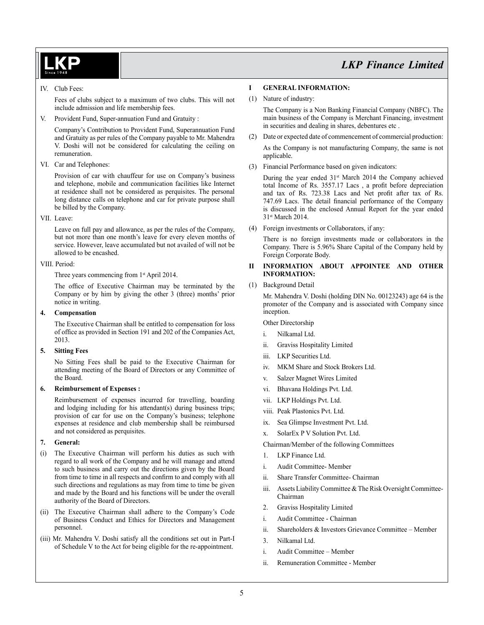### IV. Club Fees:

Fees of clubs subject to a maximum of two clubs. This will not include admission and life membership fees.

V. Provident Fund, Super-annuation Fund and Gratuity :

Company's Contribution to Provident Fund, Superannuation Fund and Gratuity as per rules of the Company payable to Mr. Mahendra V. Doshi will not be considered for calculating the ceiling on remuneration.

VI. Car and Telephones:

Provision of car with chauffeur for use on Company's business and telephone, mobile and communication facilities like Internet at residence shall not be considered as perquisites. The personal long distance calls on telephone and car for private purpose shall be billed by the Company.

VII. Leave:

Leave on full pay and allowance, as per the rules of the Company, but not more than one month's leave for every eleven months of service. However, leave accumulated but not availed of will not be allowed to be encashed.

VIII. Period:

Three years commencing from 1<sup>st</sup> April 2014.

The office of Executive Chairman may be terminated by the Company or by him by giving the other 3 (three) months' prior notice in writing.

**4. Compensation** 

The Executive Chairman shall be entitled to compensation for loss of office as provided in Section 191 and 202 of the Companies Act, 2013.

**5. Sitting Fees** 

No Sitting Fees shall be paid to the Executive Chairman for attending meeting of the Board of Directors or any Committee of the Board.

### **6. Reimbursement of Expenses :**

Reimbursement of expenses incurred for travelling, boarding and lodging including for his attendant(s) during business trips; provision of car for use on the Company's business; telephone expenses at residence and club membership shall be reimbursed and not considered as perquisites.

### **7. General:**

- (i) The Executive Chairman will perform his duties as such with regard to all work of the Company and he will manage and attend to such business and carry out the directions given by the Board from time to time in all respects and confirm to and comply with all such directions and regulations as may from time to time be given and made by the Board and his functions will be under the overall authority of the Board of Directors.
- (ii) The Executive Chairman shall adhere to the Company's Code of Business Conduct and Ethics for Directors and Management personnel.
- (iii) Mr. Mahendra V. Doshi satisfy all the conditions set out in Part-I of Schedule V to the Act for being eligible for the re-appointment.

### **I GENERAL INFORMATION:**

(1) Nature of industry:

The Company is a Non Banking Financial Company (NBFC). The main business of the Company is Merchant Financing, investment in securities and dealing in shares, debentures etc .

(2) Date or expected date of commencement of commercial production:

As the Company is not manufacturing Company, the same is not applicable.

(3) Financial Performance based on given indicators:

During the year ended 31<sup>st</sup> March 2014 the Company achieved total Income of Rs. 3557.17 Lacs , a profit before depreciation and tax of Rs. 723.38 Lacs and Net profit after tax of Rs. 747.69 Lacs. The detail financial performance of the Company is discussed in the enclosed Annual Report for the year ended 31st March 2014.

(4) Foreign investments or Collaborators, if any:

There is no foreign investments made or collaborators in the Company. There is 5.96% Share Capital of the Company held by Foreign Corporate Body.

### **II INFORMATION ABOUT APPOINTEE AND OTHER INFORMATION:**

(1) Background Detail

Mr. Mahendra V. Doshi (holding DIN No. 00123243) age 64 is the promoter of the Company and is associated with Company since inception.

- Other Directorship
- i. Nilkamal Ltd.
- ii. Graviss Hospitality Limited
- iii. LKP Securities Ltd.
- iv. MKM Share and Stock Brokers Ltd.
- v. Salzer Magnet Wires Limited
- vi. Bhavana Holdings Pvt. Ltd.
- vii. LKP Holdings Pvt. Ltd.
- viii. Peak Plastonics Pvt. Ltd.
- Sea Glimpse Investment Pvt. Ltd.
- x. SolarEx P V Solution Pvt. Ltd.

Chairman/Member of the following Committees

- 1. LKP Finance Ltd.
- i. Audit Committee- Member
- ii. Share Transfer Committee- Chairman
- iii. Assets Liability Committee & The Risk Oversight Committee-Chairman
- 2. Graviss Hospitality Limited
- i. Audit Committee Chairman
- ii. Shareholders & Investors Grievance Committee Member
- 3. Nilkamal Ltd.
- i. Audit Committee Member
- ii. Remuneration Committee Member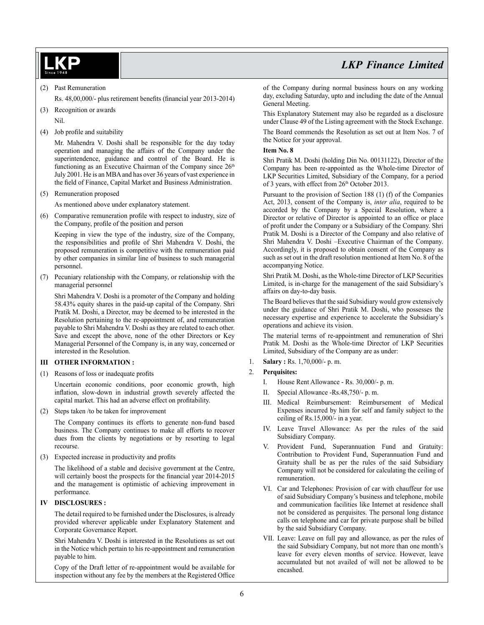(2) Past Remuneration

Rs. 48,00,000/- plus retirement benefits (financial year 2013-2014)

- (3) Recognition or awards Nil.
- (4) Job profile and suitability

Mr. Mahendra V. Doshi shall be responsible for the day today operation and managing the affairs of the Company under the superintendence, guidance and control of the Board. He is functioning as an Executive Chairman of the Company since  $26<sup>th</sup>$ July 2001. He is an MBA and has over 36 years of vast experience in the field of Finance, Capital Market and Business Administration.

(5) Remuneration proposed

As mentioned above under explanatory statement.

(6) Comparative remuneration profile with respect to industry, size of the Company, profile of the position and person

Keeping in view the type of the industry, size of the Company, the responsibilities and profile of Shri Mahendra V. Doshi, the proposed remuneration is competitive with the remuneration paid by other companies in similar line of business to such managerial personnel.

(7) Pecuniary relationship with the Company, or relationship with the managerial personnel

Shri Mahendra V. Doshi is a promoter of the Company and holding 58.43% equity shares in the paid-up capital of the Company. Shri Pratik M. Doshi, a Director, may be deemed to be interested in the Resolution pertaining to the re-appointment of, and remuneration payable to Shri Mahendra V. Doshi as they are related to each other. Save and except the above, none of the other Directors or Key Managerial Personnel of the Company is, in any way, concerned or interested in the Resolution.

### **III OTHER INFORMATION :**

(1) Reasons of loss or inadequate profits

Uncertain economic conditions, poor economic growth, high inflation, slow-down in industrial growth severely affected the capital market. This had an adverse effect on profitability.

(2) Steps taken /to be taken for improvement

The Company continues its efforts to generate non-fund based business. The Company continues to make all efforts to recover dues from the clients by negotiations or by resorting to legal recourse.

(3) Expected increase in productivity and profits

The likelihood of a stable and decisive government at the Centre, will certainly boost the prospects for the financial year 2014-2015 and the management is optimistic of achieving improvement in performance.

### **IV DISCLOSURES :**

The detail required to be furnished under the Disclosures, is already provided wherever applicable under Explanatory Statement and Corporate Governance Report.

Shri Mahendra V. Doshi is interested in the Resolutions as set out in the Notice which pertain to his re-appointment and remuneration payable to him.

Copy of the Draft letter of re-appointment would be available for inspection without any fee by the members at the Registered Office

of the Company during normal business hours on any working day, excluding Saturday, upto and including the date of the Annual General Meeting.

This Explanatory Statement may also be regarded as a disclosure under Clause 49 of the Listing agreement with the Stock Exchange.

The Board commends the Resolution as set out at Item Nos. 7 of the Notice for your approval.

### **Item No. 8**

Shri Pratik M. Doshi (holding Din No. 00131122), Director of the Company has been re-appointed as the Whole-time Director of LKP Securities Limited, Subsidiary of the Company, for a period of 3 years, with effect from 26<sup>th</sup> October 2013.

Pursuant to the provision of Section 188 (1) (f) of the Companies Act, 2013, consent of the Company is, *inter alia*, required to be accorded by the Company by a Special Resolution, where a Director or relative of Director is appointed to an office or place of profit under the Company or a Subsidiary of the Company. Shri Pratik M. Doshi is a Director of the Company and also relative of Shri Mahendra V. Doshi –Executive Chairman of the Company. Accordingly, it is proposed to obtain consent of the Company as such as set out in the draft resolution mentioned at Item No. 8 of the accompanying Notice.

Shri Pratik M. Doshi, as the Whole-time Director of LKP Securities Limited, is in-charge for the management of the said Subsidiary's affairs on day-to-day basis.

The Board believes that the said Subsidiary would grow extensively under the guidance of Shri Pratik M. Doshi, who possesses the necessary expertise and experience to accelerate the Subsidiary's operations and achieve its vision.

The material terms of re-appointment and remuneration of Shri Pratik M. Doshi as the Whole-time Director of LKP Securities Limited, Subsidiary of the Company are as under:

1. **Salary :** Rs. 1,70,000/- p. m.

### 2. **Perquisites:**

- I. House Rent Allowance Rs. 30,000/- p. m.
- II. Special Allowance -Rs.48,750/- p. m.
- III. Medical Reimbursement: Reimbursement of Medical Expenses incurred by him for self and family subject to the ceiling of Rs.15,000/- in a year.
- IV. Leave Travel Allowance: As per the rules of the said Subsidiary Company.
- V. Provident Fund, Superannuation Fund and Gratuity: Contribution to Provident Fund, Superannuation Fund and Gratuity shall be as per the rules of the said Subsidiary Company will not be considered for calculating the ceiling of remuneration.
- VI. Car and Telephones: Provision of car with chauffeur for use of said Subsidiary Company's business and telephone, mobile and communication facilities like Internet at residence shall not be considered as perquisites. The personal long distance calls on telephone and car for private purpose shall be billed by the said Subsidiary Company.
- VII. Leave: Leave on full pay and allowance, as per the rules of the said Subsidiary Company, but not more than one month's leave for every eleven months of service. However, leave accumulated but not availed of will not be allowed to be encashed.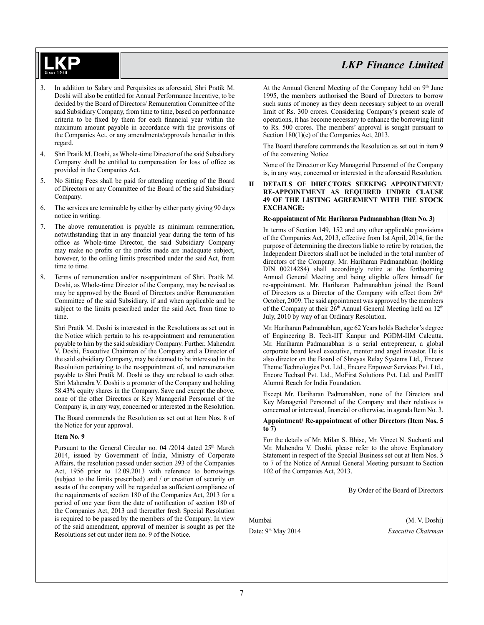- In addition to Salary and Perquisites as aforesaid, Shri Pratik M. Doshi will also be entitled for Annual Performance Incentive, to be decided by the Board of Directors/ Remuneration Committee of the said Subsidiary Company, from time to time, based on performance criteria to be fixed by them for each financial year within the maximum amount payable in accordance with the provisions of the Companies Act, or any amendments/approvals hereafter in this regard.
- 4. Shri Pratik M. Doshi, as Whole-time Director of the said Subsidiary Company shall be entitled to compensation for loss of office as provided in the Companies Act.
- 5. No Sitting Fees shall be paid for attending meeting of the Board of Directors or any Committee of the Board of the said Subsidiary Company.
- 6. The services are terminable by either by either party giving 90 days notice in writing.
- 7. The above remuneration is payable as minimum remuneration, notwithstanding that in any financial year during the term of his office as Whole-time Director, the said Subsidiary Company may make no profits or the profits made are inadequate subject, however, to the ceiling limits prescribed under the said Act, from time to time.
- 8. Terms of remuneration and/or re-appointment of Shri. Pratik M. Doshi, as Whole-time Director of the Company, may be revised as may be approved by the Board of Directors and/or Remuneration Committee of the said Subsidiary, if and when applicable and be subject to the limits prescribed under the said Act, from time to time.

Shri Pratik M. Doshi is interested in the Resolutions as set out in the Notice which pertain to his re-appointment and remuneration payable to him by the said subsidiary Company. Further, Mahendra V. Doshi, Executive Chairman of the Company and a Director of the said subsidiary Company, may be deemed to be interested in the Resolution pertaining to the re-appointment of, and remuneration payable to Shri Pratik M. Doshi as they are related to each other. Shri Mahendra V. Doshi is a promoter of the Company and holding 58.43% equity shares in the Company. Save and except the above, none of the other Directors or Key Managerial Personnel of the Company is, in any way, concerned or interested in the Resolution.

The Board commends the Resolution as set out at Item Nos. 8 of the Notice for your approval.

#### **Item No. 9**

Pursuant to the General Circular no. 04 /2014 dated 25<sup>th</sup> March 2014, issued by Government of India, Ministry of Corporate Affairs, the resolution passed under section 293 of the Companies Act, 1956 prior to 12.09.2013 with reference to borrowings (subject to the limits prescribed) and / or creation of security on assets of the company will be regarded as sufficient compliance of the requirements of section 180 of the Companies Act, 2013 for a period of one year from the date of notification of section 180 of the Companies Act, 2013 and thereafter fresh Special Resolution is required to be passed by the members of the Company. In view of the said amendment, approval of member is sought as per the Resolutions set out under item no. 9 of the Notice.

At the Annual General Meeting of the Company held on 9<sup>th</sup> June 1995, the members authorised the Board of Directors to borrow such sums of money as they deem necessary subject to an overall limit of Rs. 300 crores. Considering Company's present scale of operations, it has become necessary to enhance the borrowing limit to Rs. 500 crores. The members' approval is sought pursuant to Section 180(1)(c) of the Companies Act, 2013.

The Board therefore commends the Resolution as set out in item 9 of the convening Notice.

None of the Director or Key Managerial Personnel of the Company is, in any way, concerned or interested in the aforesaid Resolution.

#### **II DETAILS OF DIRECTORS SEEKING APPOINTMENT/ RE-APPOINTMENT AS REQUIRED UNDER CLAUSE 49 OF THE LISTING AGREEMENT WITH THE STOCK EXCHANGE:**

#### **Re-appointment of Mr. Hariharan Padmanabhan (Item No. 3)**

In terms of Section 149, 152 and any other applicable provisions of the Companies Act, 2013, effective from 1st April, 2014, for the purpose of determining the directors liable to retire by rotation, the Independent Directors shall not be included in the total number of directors of the Company. Mr. Hariharan Padmanabhan (holding DIN 00214284) shall accordingly retire at the forthcoming Annual General Meeting and being eligible offers himself for re-appointment. Mr. Hariharan Padmanabhan joined the Board of Directors as a Director of the Company with effect from 26<sup>th</sup> October, 2009. The said appointment was approved by the members of the Company at their  $26<sup>th</sup>$  Annual General Meeting held on  $12<sup>th</sup>$ July, 2010 by way of an Ordinary Resolution.

Mr. Hariharan Padmanabhan, age 62 Years holds Bachelor's degree of Engineering B. Tech-IIT Kanpur and PGDM-IIM Calcutta. Mr. Hariharan Padmanabhan is a serial entrepreneur, a global corporate board level executive, mentor and angel investor. He is also director on the Board of Shreyas Relay Systems Ltd., Encore Theme Technologies Pvt. Ltd., Encore Enpower Services Pvt. Ltd., Encore Techsol Pvt. Ltd., MoFirst Solutions Pvt. Ltd. and PanIIT Alumni Reach for India Foundation.

Except Mr. Hariharan Padmanabhan, none of the Directors and Key Managerial Personnel of the Company and their relatives is concerned or interested, financial or otherwise, in agenda Item No. 3.

#### **Appointment/ Re-appointment of other Directors (Item Nos. 5 to 7)**

For the details of Mr. Milan S. Bhise, Mr. Vineet N. Suchanti and Mr. Mahendra V. Doshi, please refer to the above Explanatory Statement in respect of the Special Business set out at Item Nos. 5 to 7 of the Notice of Annual General Meeting pursuant to Section 102 of the Companies Act, 2013.

By Order of the Board of Directors

Mumbai (M. V. Doshi) Date: 9<sup>th</sup> May 2014 *Executive Chairman*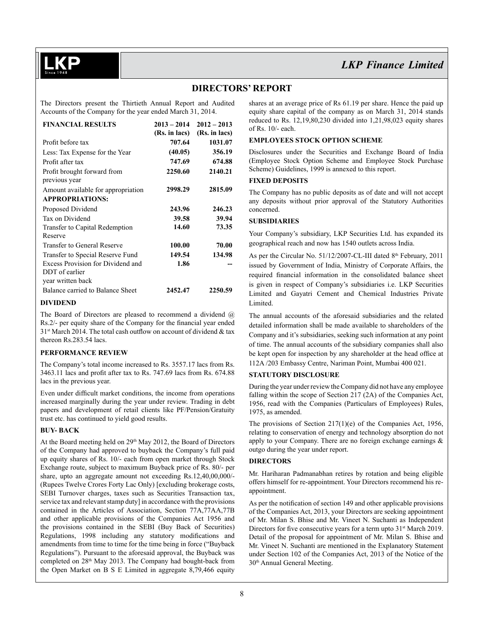### **DIRECTORS' REPORT**

The Directors present the Thirtieth Annual Report and Audited Accounts of the Company for the year ended March 31, 2014.

| <b>FINANCIAL RESULTS</b>           | $2013 - 2014$ | $2012 - 2013$ |
|------------------------------------|---------------|---------------|
|                                    | (Rs. in lacs) | (Rs. in lacs) |
| Profit before tax                  | 707.64        | 1031.07       |
| Less: Tax Expense for the Year     | (40.05)       | 356.19        |
| Profit after tax                   | 747.69        | 674.88        |
| Profit brought forward from        | 2250.60       | 2140.21       |
| previous year                      |               |               |
| Amount available for appropriation | 2998.29       | 2815.09       |
| <b>APPROPRIATIONS:</b>             |               |               |
| Proposed Dividend                  | 243.96        | 246.23        |
| Tax on Dividend                    | 39.58         | 39.94         |
| Transfer to Capital Redemption     | 14.60         | 73.35         |
| Reserve                            |               |               |
| Transfer to General Reserve        | 100.00        | 70.00         |
| Transfer to Special Reserve Fund   | 149.54        | 134.98        |
| Excess Provision for Dividend and  | 1.86          |               |
| DDT of earlier                     |               |               |
| year written back                  |               |               |
| Balance carried to Balance Sheet   | 2452.47       | 2250.59       |

### **DIVIDEND**

The Board of Directors are pleased to recommend a dividend  $(a)$ Rs.2/- per equity share of the Company for the financial year ended  $31<sup>st</sup> March 2014$ . The total cash outflow on account of dividend & tax thereon Rs.283.54 lacs.

### **PERFORMANCE REVIEW**

The Company's total income increased to Rs. 3557.17 lacs from Rs. 3463.11 lacs and profit after tax to Rs. 747.69 lacs from Rs. 674.88 lacs in the previous year.

Even under difficult market conditions, the income from operations increased marginally during the year under review. Trading in debt papers and development of retail clients like PF/Pension/Gratuity trust etc. has continued to yield good results.

### **BUY- BACK**

At the Board meeting held on 29<sup>th</sup> May 2012, the Board of Directors of the Company had approved to buyback the Company's full paid up equity shares of Rs. 10/- each from open market through Stock Exchange route, subject to maximum Buyback price of Rs. 80/- per share, upto an aggregate amount not exceeding Rs.12,40,00,000/- (Rupees Twelve Crores Forty Lac Only) [excluding brokerage costs, SEBI Turnover charges, taxes such as Securities Transaction tax, service tax and relevant stamp duty] in accordance with the provisions contained in the Articles of Association, Section 77A,77AA,77B and other applicable provisions of the Companies Act 1956 and the provisions contained in the SEBI (Buy Back of Securities) Regulations, 1998 including any statutory modifications and amendments from time to time for the time being in force ("Buyback Regulations"). Pursuant to the aforesaid approval, the Buyback was completed on 28<sup>th</sup> May 2013. The Company had bought-back from the Open Market on B S E Limited in aggregate 8,79,466 equity

shares at an average price of Rs 61.19 per share. Hence the paid up equity share capital of the company as on March 31, 2014 stands reduced to Rs. 12,19,80,230 divided into 1,21,98,023 equity shares of Rs. 10/- each.

### **EMPLOYEES STOCK OPTION SCHEME**

Disclosures under the Securities and Exchange Board of India (Employee Stock Option Scheme and Employee Stock Purchase Scheme) Guidelines, 1999 is annexed to this report.

### **FIXED DEPOSITS**

The Company has no public deposits as of date and will not accept any deposits without prior approval of the Statutory Authorities concerned.

### **SUBSIDIARIES**

Your Company's subsidiary, LKP Securities Ltd. has expanded its geographical reach and now has 1540 outlets across India.

As per the Circular No.  $51/12/2007$ -CL-III dated 8<sup>th</sup> February, 2011 issued by Government of India, Ministry of Corporate Affairs, the required financial information in the consolidated balance sheet is given in respect of Company's subsidiaries i.e. LKP Securities Limited and Gayatri Cement and Chemical Industries Private Limited.

The annual accounts of the aforesaid subsidiaries and the related detailed information shall be made available to shareholders of the Company and it's subsidiaries, seeking such information at any point of time. The annual accounts of the subsidiary companies shall also be kept open for inspection by any shareholder at the head office at 112A /203 Embassy Centre, Nariman Point, Mumbai 400 021.

### **STATUTORY DISCLOSURE**

During the year under review the Company did not have any employee falling within the scope of Section 217 (2A) of the Companies Act, 1956, read with the Companies (Particulars of Employees) Rules, 1975, as amended.

The provisions of Section 217(1)(e) of the Companies Act, 1956, relating to conservation of energy and technology absorption do not apply to your Company. There are no foreign exchange earnings & outgo during the year under report.

### **DIRECTORS**

Mr. Hariharan Padmanabhan retires by rotation and being eligible offers himself for re-appointment. Your Directors recommend his reappointment.

As per the notification of section 149 and other applicable provisions of the Companies Act, 2013, your Directors are seeking appointment of Mr. Milan S. Bhise and Mr. Vineet N. Suchanti as Independent Directors for five consecutive years for a term upto  $31<sup>st</sup>$  March 2019. Detail of the proposal for appointment of Mr. Milan S. Bhise and Mr. Vineet N. Suchanti are mentioned in the Explanatory Statement under Section 102 of the Companies Act, 2013 of the Notice of the 30<sup>th</sup> Annual General Meeting.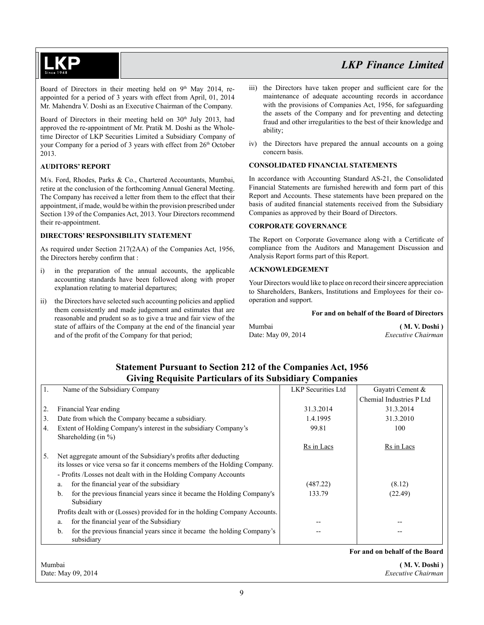Board of Directors in their meeting held on 9<sup>th</sup> May 2014, reappointed for a period of 3 years with effect from April, 01, 2014 Mr. Mahendra V. Doshi as an Executive Chairman of the Company.

Board of Directors in their meeting held on 30<sup>th</sup> July 2013, had approved the re-appointment of Mr. Pratik M. Doshi as the Wholetime Director of LKP Securities Limited a Subsidiary Company of your Company for a period of 3 years with effect from 26<sup>th</sup> October 2013.

### **AUDITORS' REPORT**

M/s. Ford, Rhodes, Parks & Co., Chartered Accountants, Mumbai, retire at the conclusion of the forthcoming Annual General Meeting. The Company has received a letter from them to the effect that their appointment, if made, would be within the provision prescribed under Section 139 of the Companies Act, 2013. Your Directors recommend their re-appointment.

### **DIRECTORS' RESPONSIBILITY STATEMENT**

As required under Section 217(2AA) of the Companies Act, 1956, the Directors hereby confirm that :

- i) in the preparation of the annual accounts, the applicable accounting standards have been followed along with proper explanation relating to material departures;
- ii) the Directors have selected such accounting policies and applied them consistently and made judgement and estimates that are reasonable and prudent so as to give a true and fair view of the state of affairs of the Company at the end of the financial year and of the profit of the Company for that period;
- iii) the Directors have taken proper and sufficient care for the maintenance of adequate accounting records in accordance with the provisions of Companies Act, 1956, for safeguarding the assets of the Company and for preventing and detecting fraud and other irregularities to the best of their knowledge and ability;
- iv) the Directors have prepared the annual accounts on a going concern basis.

### **CONSOLIDATED FINANCIAL STATEMENTS**

In accordance with Accounting Standard AS-21, the Consolidated Financial Statements are furnished herewith and form part of this Report and Accounts. These statements have been prepared on the basis of audited financial statements received from the Subsidiary Companies as approved by their Board of Directors.

### **CORPORATE GOVERNANCE**

The Report on Corporate Governance along with a Certificate of compliance from the Auditors and Management Discussion and Analysis Report forms part of this Report.

### **ACKNOWLEDGEMENT**

Your Directors would like to place on record their sincere appreciation to Shareholders, Bankers, Institutions and Employees for their cooperation and support.

### **For and on behalf of the Board of Directors**

Mumbai **( M. V. Doshi )** Date: May 09, 2014 *Executive Chairman*

### **Statement Pursuant to Section 212 of the Companies Act, 1956 Giving Requisite Particulars of its Subsidiary Companies**

|    | o                                                                            |                    |                          |
|----|------------------------------------------------------------------------------|--------------------|--------------------------|
| 1. | Name of the Subsidiary Company                                               | LKP Securities Ltd | Gayatri Cement &         |
|    |                                                                              |                    | Chemial Industries P Ltd |
| 2. | Financial Year ending                                                        | 31.3.2014          | 31.3.2014                |
| 3. | Date from which the Company became a subsidiary.                             | 1.4.1995           | 31.3.2010                |
| 4. | Extent of Holding Company's interest in the subsidiary Company's             | 99.81              | 100                      |
|    | Shareholding (in $\%$ )                                                      |                    |                          |
|    |                                                                              | Rs in Lacs         | Rs in Lacs               |
| 5. | Net aggregate amount of the Subsidiary's profits after deducting             |                    |                          |
|    | its losses or vice versa so far it concerns members of the Holding Company.  |                    |                          |
|    | - Profits / Losses not dealt with in the Holding Company Accounts            |                    |                          |
|    | for the financial year of the subsidiary<br>a.                               | (487.22)           | (8.12)                   |
|    | for the previous financial years since it became the Holding Company's<br>b. | 133.79             | (22.49)                  |
|    | Subsidiary                                                                   |                    |                          |
|    | Profits dealt with or (Losses) provided for in the holding Company Accounts. |                    |                          |
|    | for the financial year of the Subsidiary<br>a.                               |                    |                          |
|    | for the previous financial years since it became the holding Company's<br>b. |                    |                          |
|    | subsidiary                                                                   |                    |                          |
|    |                                                                              |                    | , , , , , ,              |

**For and on behalf of the Board**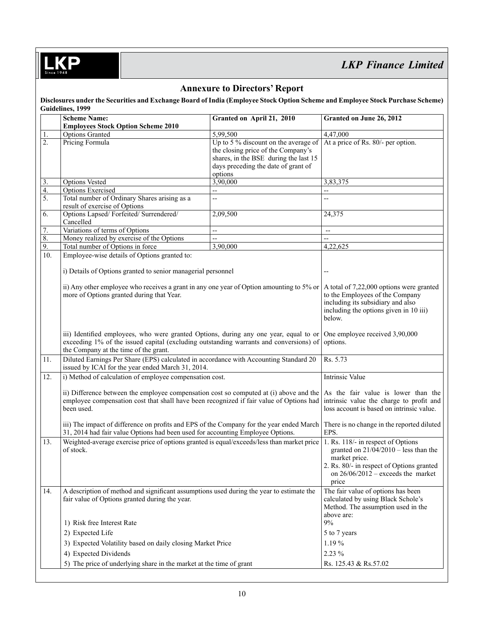### **Annexure to Directors' Report**

### **Disclosures under the Securities and Exchange Board of India (Employee Stock Option Scheme and Employee Stock Purchase Scheme) Guidelines, 1999**

|                  | <b>Scheme Name:</b>                                                                                                                                                                                                      | Granted on April 21, 2010                                                                                                                                                                               | Granted on June 26, 2012                                                                                                                                             |
|------------------|--------------------------------------------------------------------------------------------------------------------------------------------------------------------------------------------------------------------------|---------------------------------------------------------------------------------------------------------------------------------------------------------------------------------------------------------|----------------------------------------------------------------------------------------------------------------------------------------------------------------------|
|                  | <b>Employees Stock Option Scheme 2010</b>                                                                                                                                                                                |                                                                                                                                                                                                         |                                                                                                                                                                      |
| 1.               | <b>Options Granted</b>                                                                                                                                                                                                   | 5,99,500                                                                                                                                                                                                | 4,47,000                                                                                                                                                             |
| 2.               | Pricing Formula                                                                                                                                                                                                          | Up to 5 $\%$ discount on the average of<br>the closing price of the Company's<br>shares, in the BSE during the last 15<br>days preceding the date of grant of<br>options                                | At a price of Rs. 80/- per option.                                                                                                                                   |
| 3.               | <b>Options Vested</b>                                                                                                                                                                                                    | 3,90,000                                                                                                                                                                                                | 3,83,375                                                                                                                                                             |
| $\overline{4}$ . | <b>Options Exercised</b>                                                                                                                                                                                                 | $\overline{\phantom{a}}$                                                                                                                                                                                | --                                                                                                                                                                   |
| $\overline{5}$ . | Total number of Ordinary Shares arising as a                                                                                                                                                                             | --                                                                                                                                                                                                      | $\overline{a}$                                                                                                                                                       |
|                  | result of exercise of Options                                                                                                                                                                                            |                                                                                                                                                                                                         |                                                                                                                                                                      |
| 6.               | Options Lapsed/Forfeited/Surrendered/<br>Cancelled                                                                                                                                                                       | 2,09,500                                                                                                                                                                                                | 24,375                                                                                                                                                               |
| 7.               | Variations of terms of Options                                                                                                                                                                                           | $\overline{\phantom{a}}$                                                                                                                                                                                | $\overline{a}$                                                                                                                                                       |
| 8.               | Money realized by exercise of the Options                                                                                                                                                                                | --                                                                                                                                                                                                      |                                                                                                                                                                      |
| 9.               | Total number of Options in force                                                                                                                                                                                         | 3,90,000                                                                                                                                                                                                | 4,22,625                                                                                                                                                             |
| 10.              | Employee-wise details of Options granted to:<br>i) Details of Options granted to senior managerial personnel                                                                                                             |                                                                                                                                                                                                         |                                                                                                                                                                      |
|                  | ii) Any other employee who receives a grant in any one year of Option amounting to 5% or<br>more of Options granted during that Year.                                                                                    |                                                                                                                                                                                                         | A total of 7,22,000 options were granted<br>to the Employees of the Company<br>including its subsidiary and also<br>including the options given in 10 iii)<br>below. |
|                  | iii) Identified employees, who were granted Options, during any one year, equal to or<br>exceeding 1% of the issued capital (excluding outstanding warrants and conversions) of<br>the Company at the time of the grant. | One employee received 3,90,000<br>options.                                                                                                                                                              |                                                                                                                                                                      |
| 11.              | Diluted Earnings Per Share (EPS) calculated in accordance with Accounting Standard 20<br>issued by ICAI for the year ended March 31, 2014.                                                                               | Rs. 5.73                                                                                                                                                                                                |                                                                                                                                                                      |
| 12.              | i) Method of calculation of employee compensation cost.                                                                                                                                                                  | Intrinsic Value                                                                                                                                                                                         |                                                                                                                                                                      |
|                  | ii) Difference between the employee compensation cost so computed at (i) above and the<br>employee compensation cost that shall have been recognized if fair value of Options had<br>been used.                          | As the fair value is lower than the<br>intrinsic value the charge to profit and<br>loss account is based on intrinsic value.                                                                            |                                                                                                                                                                      |
|                  | iii) The impact of difference on profits and EPS of the Company for the year ended March<br>31, 2014 had fair value Options had been used for accounting Employee Options.                                               |                                                                                                                                                                                                         | There is no change in the reported diluted<br>EPS.                                                                                                                   |
| 13.              | Weighted-average exercise price of options granted is equal/exceeds/less than market price<br>of stock.                                                                                                                  | 1. Rs. 118/- in respect of Options<br>granted on $21/\overline{04}/2010 -$ less than the<br>market price.<br>2. Rs. 80/- in respect of Options granted<br>on $26/06/2012$ – exceeds the market<br>price |                                                                                                                                                                      |
| 14.              | A description of method and significant assumptions used during the year to estimate the<br>fair value of Options granted during the year.<br>1) Risk free Interest Rate                                                 | The fair value of options has been<br>calculated by using Black Schole's<br>Method. The assumption used in the<br>above are:<br>9%                                                                      |                                                                                                                                                                      |
|                  |                                                                                                                                                                                                                          |                                                                                                                                                                                                         |                                                                                                                                                                      |
|                  | 2) Expected Life                                                                                                                                                                                                         |                                                                                                                                                                                                         | 5 to 7 years                                                                                                                                                         |
|                  | 3) Expected Volatility based on daily closing Market Price                                                                                                                                                               |                                                                                                                                                                                                         | 1.19%                                                                                                                                                                |
|                  | 4) Expected Dividends                                                                                                                                                                                                    |                                                                                                                                                                                                         | 2.23 %                                                                                                                                                               |
|                  | 5) The price of underlying share in the market at the time of grant                                                                                                                                                      |                                                                                                                                                                                                         | Rs. 125.43 & Rs.57.02                                                                                                                                                |
|                  |                                                                                                                                                                                                                          |                                                                                                                                                                                                         |                                                                                                                                                                      |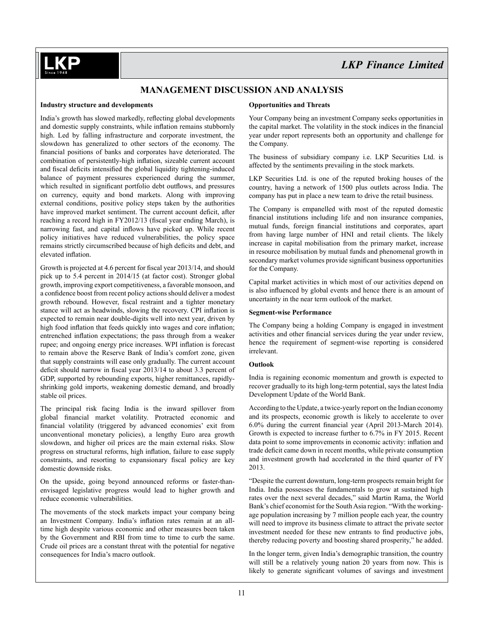### **MANAGEMENT DISCUSSION AND ANALYSIS**

### **Industry structure and developments**

India's growth has slowed markedly, reflecting global developments and domestic supply constraints, while inflation remains stubbornly high. Led by falling infrastructure and corporate investment, the slowdown has generalized to other sectors of the economy. The financial positions of banks and corporates have deteriorated. The combination of persistently-high inflation, sizeable current account and fiscal deficits intensified the global liquidity tightening-induced balance of payment pressures experienced during the summer, which resulted in significant portfolio debt outflows, and pressures on currency, equity and bond markets. Along with improving external conditions, positive policy steps taken by the authorities have improved market sentiment. The current account deficit, after reaching a record high in FY2012/13 (fiscal year ending March), is narrowing fast, and capital inflows have picked up. While recent policy initiatives have reduced vulnerabilities, the policy space remains strictly circumscribed because of high deficits and debt, and elevated inflation.

Growth is projected at 4.6 percent for fiscal year 2013/14, and should pick up to 5.4 percent in 2014/15 (at factor cost). Stronger global growth, improving export competitiveness, a favorable monsoon, and a confidence boost from recent policy actions should deliver a modest growth rebound. However, fiscal restraint and a tighter monetary stance will act as headwinds, slowing the recovery. CPI inflation is expected to remain near double-digits well into next year, driven by high food inflation that feeds quickly into wages and core inflation; entrenched inflation expectations; the pass through from a weaker rupee; and ongoing energy price increases. WPI inflation is forecast to remain above the Reserve Bank of India's comfort zone, given that supply constraints will ease only gradually. The current account deficit should narrow in fiscal year 2013/14 to about 3.3 percent of GDP, supported by rebounding exports, higher remittances, rapidlyshrinking gold imports, weakening domestic demand, and broadly stable oil prices.

The principal risk facing India is the inward spillover from global financial market volatility. Protracted economic and financial volatility (triggered by advanced economies' exit from unconventional monetary policies), a lengthy Euro area growth slowdown, and higher oil prices are the main external risks. Slow progress on structural reforms, high inflation, failure to ease supply constraints, and resorting to expansionary fiscal policy are key domestic downside risks.

On the upside, going beyond announced reforms or faster-thanenvisaged legislative progress would lead to higher growth and reduce economic vulnerabilities.

The movements of the stock markets impact your company being an Investment Company. India's inflation rates remain at an alltime high despite various economic and other measures been taken by the Government and RBI from time to time to curb the same. Crude oil prices are a constant threat with the potential for negative consequences for India's macro outlook.

### **Opportunities and Threats**

Your Company being an investment Company seeks opportunities in the capital market. The volatility in the stock indices in the financial year under report represents both an opportunity and challenge for the Company.

The business of subsidiary company i.e. LKP Securities Ltd. is affected by the sentiments prevailing in the stock markets.

LKP Securities Ltd. is one of the reputed broking houses of the country, having a network of 1500 plus outlets across India. The company has put in place a new team to drive the retail business.

The Company is empanelled with most of the reputed domestic financial institutions including life and non insurance companies, mutual funds, foreign financial institutions and corporates, apart from having large number of HNI and retail clients. The likely increase in capital mobilisation from the primary market, increase in resource mobilisation by mutual funds and phenomenal growth in secondary market volumes provide significant business opportunities for the Company.

Capital market activities in which most of our activities depend on is also influenced by global events and hence there is an amount of uncertainty in the near term outlook of the market.

#### **Segment-wise Performance**

The Company being a holding Company is engaged in investment activities and other financial services during the year under review, hence the requirement of segment-wise reporting is considered irrelevant.

### **Outlook**

India is regaining economic momentum and growth is expected to recover gradually to its high long-term potential, says the latest India Development Update of the World Bank.

According to the Update, a twice-yearly report on the Indian economy and its prospects, economic growth is likely to accelerate to over 6.0% during the current financial year (April 2013-March 2014). Growth is expected to increase further to 6.7% in FY 2015. Recent data point to some improvements in economic activity: inflation and trade deficit came down in recent months, while private consumption and investment growth had accelerated in the third quarter of FY 2013.

"Despite the current downturn, long-term prospects remain bright for India. India possesses the fundamentals to grow at sustained high rates over the next several decades," said Martin Rama, the World Bank's chief economist for the South Asia region. "With the workingage population increasing by 7 million people each year, the country will need to improve its business climate to attract the private sector investment needed for these new entrants to find productive jobs, thereby reducing poverty and boosting shared prosperity," he added.

In the longer term, given India's demographic transition, the country will still be a relatively young nation 20 years from now. This is likely to generate significant volumes of savings and investment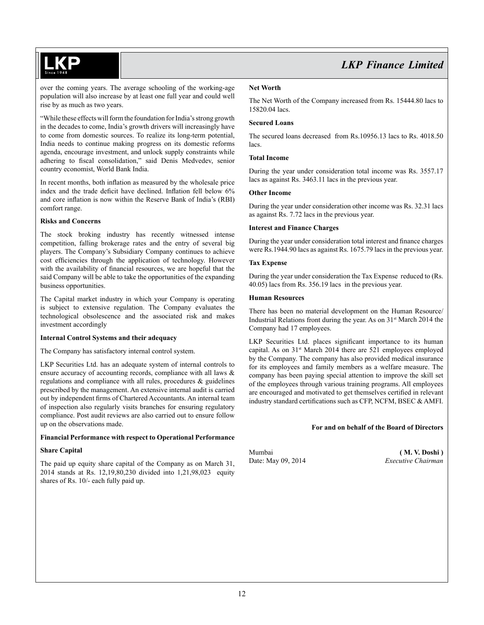over the coming years. The average schooling of the working-age population will also increase by at least one full year and could well rise by as much as two years.

"While these effects will form the foundation for India's strong growth in the decades to come, India's growth drivers will increasingly have to come from domestic sources. To realize its long-term potential, India needs to continue making progress on its domestic reforms agenda, encourage investment, and unlock supply constraints while adhering to fiscal consolidation," said Denis Medvedev, senior country economist, World Bank India.

In recent months, both inflation as measured by the wholesale price index and the trade deficit have declined. Inflation fell below 6% and core inflation is now within the Reserve Bank of India's (RBI) comfort range.

### **Risks and Concerns**

The stock broking industry has recently witnessed intense competition, falling brokerage rates and the entry of several big players. The Company's Subsidiary Company continues to achieve cost efficiencies through the application of technology. However with the availability of financial resources, we are hopeful that the said Company will be able to take the opportunities of the expanding business opportunities.

The Capital market industry in which your Company is operating is subject to extensive regulation. The Company evaluates the technological obsolescence and the associated risk and makes investment accordingly

### **Internal Control Systems and their adequacy**

The Company has satisfactory internal control system.

LKP Securities Ltd. has an adequate system of internal controls to ensure accuracy of accounting records, compliance with all laws & regulations and compliance with all rules, procedures & guidelines prescribed by the management. An extensive internal audit is carried out by independent firms of Chartered Accountants. An internal team of inspection also regularly visits branches for ensuring regulatory compliance. Post audit reviews are also carried out to ensure follow up on the observations made.

### **Financial Performance with respect to Operational Performance**

### **Share Capital**

The paid up equity share capital of the Company as on March 31, 2014 stands at Rs. 12,19,80,230 divided into 1,21,98,023 equity shares of Rs. 10/- each fully paid up.

### **Net Worth**

The Net Worth of the Company increased from Rs. 15444.80 lacs to 15820.04 lacs.

### **Secured Loans**

The secured loans decreased from Rs.10956.13 lacs to Rs. 4018.50 lacs.

### **Total Income**

During the year under consideration total income was Rs. 3557.17 lacs as against Rs. 3463.11 lacs in the previous year.

### **Other Income**

During the year under consideration other income was Rs. 32.31 lacs as against Rs. 7.72 lacs in the previous year.

### **Interest and Finance Charges**

During the year under consideration total interest and finance charges were Rs.1944.90 lacs as against Rs. 1675.79 lacs in the previous year.

### **Tax Expense**

During the year under consideration the Tax Expense reduced to (Rs. 40.05) lacs from Rs. 356.19 lacs in the previous year.

### **Human Resources**

There has been no material development on the Human Resource/ Industrial Relations front during the year. As on 31st March 2014 the Company had 17 employees.

LKP Securities Ltd. places significant importance to its human capital. As on 31st March 2014 there are 521 employees employed by the Company. The company has also provided medical insurance for its employees and family members as a welfare measure. The company has been paying special attention to improve the skill set of the employees through various training programs. All employees are encouraged and motivated to get themselves certified in relevant industry standard certifications such as CFP, NCFM, BSEC & AMFI.

### **For and on behalf of the Board of Directors**

Date: May 09, 2014 *Executive Chairman*

Mumbai **( M. V. Doshi )**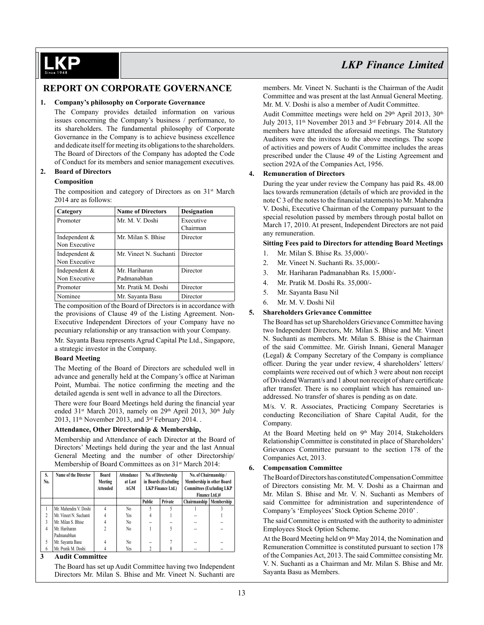### **REPORT ON CORPORATE GOVERNANCE**

### **1. Company's philosophy on Corporate Governance**

The Company provides detailed information on various issues concerning the Company's business / performance, to its shareholders. The fundamental philosophy of Corporate Governance in the Company is to achieve business excellence and dedicate itself for meeting its obligations to the shareholders. The Board of Directors of the Company has adopted the Code of Conduct for its members and senior management executives.

### **2. Board of Directors**

### **Composition**

The composition and category of Directors as on 31<sup>st</sup> March 2014 are as follows:

| Category        | <b>Name of Directors</b> | <b>Designation</b> |
|-----------------|--------------------------|--------------------|
| Promoter        | Mr. M. V. Doshi          | Executive          |
|                 |                          | Chairman           |
| Independent &   | Mr. Milan S. Bhise       | Director           |
| Non Executive   |                          |                    |
| Independent $&$ | Mr. Vineet N. Suchanti   | Director           |
| Non Executive   |                          |                    |
| Independent &   | Mr. Hariharan            | Director           |
| Non Executive   | Padmanabhan              |                    |
| Promoter        | Mr. Pratik M. Doshi      | Director           |
| Nominee         | Mr. Sayanta Basu         | Director           |

The composition of the Board of Directors is in accordance with the provisions of Clause 49 of the Listing Agreement. Non-Executive Independent Directors of your Company have no pecuniary relationship or any transaction with your Company.

Mr. Sayanta Basu represents Agrud Capital Pte Ltd., Singapore, a strategic investor in the Company.

### **Board Meeting**

The Meeting of the Board of Directors are scheduled well in advance and generally held at the Company's office at Nariman Point, Mumbai. The notice confirming the meeting and the detailed agenda is sent well in advance to all the Directors.

There were four Board Meetings held during the financial year ended 31<sup>st</sup> March 2013, namely on 29<sup>th</sup> April 2013, 30<sup>th</sup> July 2013,  $11<sup>th</sup>$  November 2013, and  $3<sup>rd</sup>$  February 2014. .

### **Attendance, Other Directorship & Membership,**

Membership and Attendance of each Director at the Board of Directors' Meetings held during the year and the last Annual General Meeting and the number of other Directorship/ Membership of Board Committees as on 31<sup>st</sup> March 2014:

| S.  | Name of the Director   | Board    | <b>Attendance</b> |        | No. of Directorship                               | No. of Chairmanship /     |                                  |
|-----|------------------------|----------|-------------------|--------|---------------------------------------------------|---------------------------|----------------------------------|
| No. |                        | Meeting  | at Last           |        | Membership in other Board<br>in Boards (Excluding |                           |                                  |
|     |                        | Attended | AGM               |        | <b>LKP</b> Finance Ltd.)                          |                           | <b>Committees (Excluding LKP</b> |
|     |                        |          |                   |        |                                                   | Finance Ltd.)#            |                                  |
|     |                        |          |                   | Public | Private                                           | Chairmanship   Membership |                                  |
|     | Mr. Mahendra V. Doshi  |          | N <sub>0</sub>    |        |                                                   |                           |                                  |
|     | Mr. Vineet N. Suchanti |          | Yes               | 4      |                                                   |                           |                                  |
|     | Mr. Milan S. Bhise     |          | N <sub>0</sub>    | --     |                                                   |                           |                                  |
| 4   | Mr. Hariharan          |          | N <sub>0</sub>    |        |                                                   |                           |                                  |
|     | Padmanabhan            |          |                   |        |                                                   |                           |                                  |
| 5   | Mr. Savanta Basu       |          | N <sub>0</sub>    | --     |                                                   |                           |                                  |
| 6   | Mr. Pratik M. Doshi    |          | Yes               |        |                                                   |                           | --                               |

### **3 Audit Committee**

The Board has set up Audit Committee having two Independent Directors Mr. Milan S. Bhise and Mr. Vineet N. Suchanti are

### *LKP Finance Limited*

members. Mr. Vineet N. Suchanti is the Chairman of the Audit Committee and was present at the last Annual General Meeting. Mr. M. V. Doshi is also a member of Audit Committee.

Audit Committee meetings were held on  $29<sup>th</sup>$  April 2013,  $30<sup>th</sup>$ July 2013, 11th November 2013 and 3rd February 2014. All the members have attended the aforesaid meetings. The Statutory Auditors were the invitees to the above meetings. The scope of activities and powers of Audit Committee includes the areas prescribed under the Clause 49 of the Listing Agreement and section 292A of the Companies Act, 1956.

### **4. Remuneration of Directors**

During the year under review the Company has paid Rs. 48.00 lacs towards remuneration (details of which are provided in the note C 3 of the notes to the financial statements) to Mr. Mahendra V. Doshi, Executive Chairman of the Company pursuant to the special resolution passed by members through postal ballot on March 17, 2010. At present, Independent Directors are not paid any remuneration.

### **Sitting Fees paid to Directors for attending Board Meetings**

- 1. Mr. Milan S. Bhise Rs. 35,000/-
- 2. Mr. Vineet N. Suchanti Rs. 35,000/-
- 3. Mr. Hariharan Padmanabhan Rs. 15,000/-
- 4. Mr. Pratik M. Doshi Rs. 35,000/-
- 5. Mr. Sayanta Basu Nil
- 6. Mr. M. V. Doshi Nil

#### **5. Shareholders Grievance Committee**

The Board has set up Shareholders Grievance Committee having two Independent Directors, Mr. Milan S. Bhise and Mr. Vineet N. Suchanti as members. Mr. Milan S. Bhise is the Chairman of the said Committee. Mr. Girish Innani, General Manager (Legal) & Company Secretary of the Company is compliance officer. During the year under review, 4 shareholders' letters/ complaints were received out of which 3 were about non receipt of Dividend Warrant/s and 1 about non receipt of share certificate after transfer. There is no complaint which has remained unaddressed. No transfer of shares is pending as on date.

M/s. V. R. Associates, Practicing Company Secretaries is conducting Reconciliation of Share Capital Audit, for the Company.

At the Board Meeting held on 9<sup>th</sup> May 2014, Stakeholders Relationship Committee is constituted in place of Shareholders' Grievances Committee pursuant to the section 178 of the Companies Act, 2013.

#### **6. Compensation Committee**

The Board of Directors has constituted Compensation Committee of Directors consisting Mr. M. V. Doshi as a Chairman and Mr. Milan S. Bhise and Mr. V. N. Suchanti as Members of said Committee for administration and superintendence of Company's 'Employees' Stock Option Scheme 2010' .

The said Committee is entrusted with the authority to administer Employees Stock Option Scheme.

At the Board Meeting held on 9<sup>th</sup> May 2014, the Nomination and Remuneration Committee is constituted pursuant to section 178 of the Companies Act, 2013. The said Committee consisting Mr. V. N. Suchanti as a Chairman and Mr. Milan S. Bhise and Mr. Sayanta Basu as Members.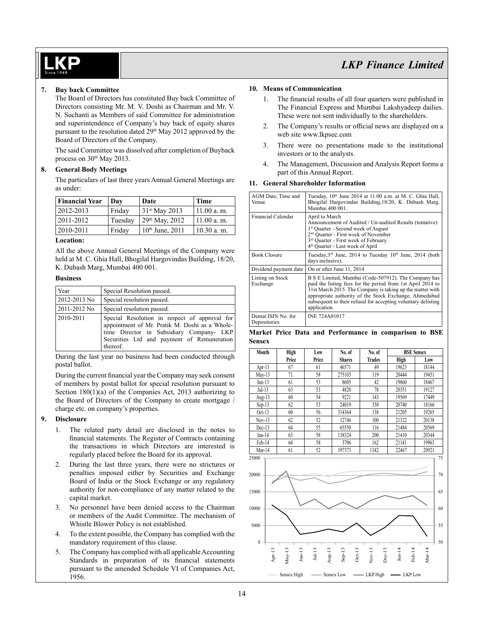### **7. Buy back Committee**

The Board of Directors has constituted Buy back Committee of Directors consisting Mr. M. V. Doshi as Chairman and Mr. V. N. Suchanti as Members of said Committee for administration and superintendence of Company's buy back of equity shares pursuant to the resolution dated 29th May 2012 approved by the Board of Directors of the Company.

The said Committee was dissolved after completion of Buyback process on  $30<sup>th</sup>$  May 2013.

### **8. General Body Meetings**

The particulars of last three years Annual General Meetings are as under:

| <b>Financial Year</b> | Dav     | Date                | Time        |
|-----------------------|---------|---------------------|-------------|
| 2012-2013             | Friday  | $31st$ May 2013     | 11.00 a. m. |
| 2011-2012             | Tuesday | $29th$ May, 2012    | 11.00 a.m.  |
| 2010-2011             | Friday  | $10th$ June, $2011$ | 10.30 a. m. |

### **Location:**

All the above Annual General Meetings of the Company were held at M. C. Ghia Hall, Bhogilal Hargovindas Building, 18/20, K. Dubash Marg, Mumbai 400 001.

### **Business**

| Year         | Special Resolution passed.                                                                                                                                                                            |
|--------------|-------------------------------------------------------------------------------------------------------------------------------------------------------------------------------------------------------|
| 2012-2013 No | Special resolution passed.                                                                                                                                                                            |
| 2011-2012 No | Special resolution passed.                                                                                                                                                                            |
| 2010-2011    | Special Resolution in respect of approval for<br>appointment of Mr. Pratik M. Doshi as a Whole-<br>time Director in Subsidiary Company- LKP<br>Securities Ltd and payment of Remuneration<br>thereof. |

During the last year no business had been conducted through postal ballot.

During the current financial year the Company may seek consent of members by postal ballot for special resolution pursuant to Section 180(1)(a) of the Companies Act, 2013 authorizing to the Board of Directors of the Company to create mortgage / charge etc. on company's properties.

### **9. Disclosure**

- 1. The related party detail are disclosed in the notes to financial statements. The Register of Contracts containing the transactions in which Directors are interested is regularly placed before the Board for its approval.
- 2. During the last three years, there were no strictures or penalties imposed either by Securities and Exchange Board of India or the Stock Exchange or any regulatory authority for non-compliance of any matter related to the capital market.
- 3. No personnel have been denied access to the Chairman or members of the Audit Committee. The mechanism of Whistle Blower Policy is not established.
- 4. To the extent possible, the Company has complied with the mandatory requirement of this clause.
- 5. The Company has complied with all applicable Accounting Standards in preparation of its financial statements pursuant to the amended Schedule VI of Companies Act, 1956.

### **10. Means of Communication**

- 1. The financial results of all four quarters were published in The Financial Express and Mumbai Lakshyadeep dailies. These were not sent individually to the shareholders.
- 2. The Company's results or official news are displayed on a web site www.lkpsec.com
- 3. There were no presentations made to the institutional investors or to the analysts.
- 4. The Management, Discussion and Analysis Report forms a part of this Annual Report.

### **11. General Shareholder Information**

| AGM Date, Time and<br>Venue        | Tuesday, 10 <sup>th</sup> June 2014 at 11.00 a.m. at M. C. Ghia Hall,<br>Bhogilal Hargovindas Building, 18/20, K. Dubash Marg,<br>Mumbai 400 001.                                                                                                                                                                           |
|------------------------------------|-----------------------------------------------------------------------------------------------------------------------------------------------------------------------------------------------------------------------------------------------------------------------------------------------------------------------------|
| Financial Calendar                 | April to March<br>Announcement of Audited / Un-audited Results (tentative)<br>1 <sup>st</sup> Quarter - Second week of August<br>2 <sup>nd</sup> Ouarter - First week of November<br>3 <sup>rd</sup> Ouarter - First week of February<br>4 <sup>th</sup> Quarter - Last week of April                                       |
| <b>Book Closure</b>                | Tuesday, $3^{rd}$ June, 2014 to Tuesday $10^{th}$ June, 2014 (both<br>days inclusive).                                                                                                                                                                                                                                      |
| Dividend payment date              | On or after June 11, 2014                                                                                                                                                                                                                                                                                                   |
| Listing on Stock<br>Exchange       | B S E Limited, Mumbai (Code-507912). The Company has<br>paid the listing fees for the period from 1st April 2014 to<br>31st March 2015. The Company is taking up the matter with<br>appropriate authority of the Stock Exchange, Ahmedabad<br>subsequent to their refusal for accepting voluntary delisting<br>application. |
| Demat ISIN No. for<br>Depositories | <b>INE 724A01017</b>                                                                                                                                                                                                                                                                                                        |

#### **Market Price Data and Performance in comparison to BSE Sensex**

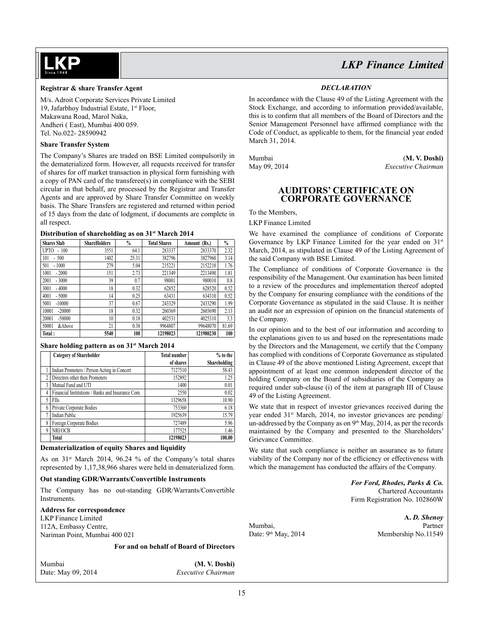### **Registrar & share Transfer Agent**

M/s. Adroit Corporate Services Private Limited 19, Jafarbhoy Industrial Estate, 1<sup>st</sup> Floor, Makawana Road, Marol Naka, Andheri ( East), Mumbai 400 059. Tel. No.022- 28590942

### **Share Transfer System**

The Company's Shares are traded on BSE Limited compulsorily in the dematerialized form. However, all requests received for transfer of shares for off market transaction in physical form furnishing with a copy of PAN card of the transferee(s) in compliance with the SEBI circular in that behalf, are processed by the Registrar and Transfer Agents and are approved by Share Transfer Committee on weekly basis. The Share Transfers are registered and returned within period of 15 days from the date of lodgment, if documents are complete in all respect.

#### **Distribution of shareholding as on 31st March 2014**

| <b>Shares Slab</b>    | <b>ShareHolders</b> | $\frac{0}{0}$ | <b>Total Shares</b> | Amount (Rs.) | $\frac{0}{0}$ |
|-----------------------|---------------------|---------------|---------------------|--------------|---------------|
| $-100$<br><b>UPTO</b> | 3551                | 64.1          | 283337              | 2833370      | 2.32          |
| 101<br>$-500$         | 1402                | 25.31         | 382796              | 3827960      | 3.14          |
| 501<br>$-1000$        | 279                 | 5.04          | 215221              | 2152210      | 1.76          |
| 1001<br>$-2000$       | 151                 | 2.73          | 221349              | 2213490      | 1.81          |
| 2001<br>$-3000$       | 39                  | 0.7           | 98001               | 980010       | 0.8           |
| 3001<br>$-4000$       | 18                  | 0.32          | 62852               | 628520       | 0.52          |
| 4001<br>$-5000$       | 14                  | 0.25          | 63431               | 634310       | 0.52          |
| 5001<br>$-10000$      | 37                  | 0.67          | 243329              | 2433290      | 1.99          |
| 10001<br>$-20000$     | 18                  | 0.32          | 260369              | 2603690      | 2.13          |
| 20001<br>$-50000$     | 10                  | 0.18          | 402531              | 4025310      | 3.3           |
| 50001<br>&Above       | 21                  | 0.38          | 9964807             | 99648070     | 81.69         |
| Total:                | 5540                | 100           | 12198023            | 121980230    | 100           |

### **Share holding pattern as on 31st March 2014**

|   | <b>Category of Shareholder</b>                    | <b>Total number</b> | $%$ to the   |
|---|---------------------------------------------------|---------------------|--------------|
|   |                                                   | of shares           | Shareholding |
|   | Indian Promoters / Person Acting in Concert       | 7127510             | 58.43        |
|   | Directors other then Promoters                    | 152892              | 1.25         |
|   | Mutual Fund and UTI                               | 1400                | 0.01         |
| 4 | Financial Institutions / Banks and Insurance Com. | 2550                | 0.02         |
|   | <b>FIIs</b>                                       | 1329658             | 10.90        |
|   | Private Corporate Bodies                          | 753360              | 6.18         |
|   | Indian Public                                     | 1925639             | 15.79        |
| 8 | Foreign Corporate Bodies                          | 727489              | 5.96         |
| û | NRI/OCB                                           | 177525              | 1.46         |
|   | Total                                             | 12198023            | 100.00       |

### **Dematerialization of equity Shares and liquidity**

As on 31<sup>st</sup> March 2014, 96.24 % of the Company's total shares represented by 1,17,38,966 shares were held in dematerialized form.

#### **Out standing GDR/Warrants/Convertible Instruments**

The Company has no out-standing GDR/Warrants/Convertible **Instruments** 

#### **Address for correspondence**

LKP Finance Limited 112A, Embassy Centre, Nariman Point, Mumbai 400 021

#### **For and on behalf of Board of Directors**

Mumbai **(M. V. Doshi)**<br>
Date: May 09, 2014 *Executive Chairman* Date: May 09, 2014

### *LKP Finance Limited*

### *DECLARATION*

In accordance with the Clause 49 of the Listing Agreement with the Stock Exchange, and according to information provided/available, this is to confirm that all members of the Board of Directors and the Senior Management Personnel have affirmed compliance with the Code of Conduct, as applicable to them, for the financial year ended March 31, 2014.

Mumbai (**M. V. Doshi)** May 09, 2014 *Executive Chairman*

### **AUDITORS' CERTIFICATE ON CORPORATE GOVERNANCE**

To the Members,

LKP Finance Limited

We have examined the compliance of conditions of Corporate Governance by LKP Finance Limited for the year ended on 31<sup>st</sup> March, 2014, as stipulated in Clause 49 of the Listing Agreement of the said Company with BSE Limited.

The Compliance of conditions of Corporate Governance is the responsibility of the Management. Our examination has been limited to a review of the procedures and implementation thereof adopted by the Company for ensuring compliance with the conditions of the Corporate Governance as stipulated in the said Clause. It is neither an audit nor an expression of opinion on the financial statements of the Company.

In our opinion and to the best of our information and according to the explanations given to us and based on the representations made by the Directors and the Management, we certify that the Company has complied with conditions of Corporate Governance as stipulated in Clause 49 of the above mentioned Listing Agreement, except that appointment of at least one common independent director of the holding Company on the Board of subsidiaries of the Company as required under sub-clause (i) of the item at paragraph III of Clause 49 of the Listing Agreement.

We state that in respect of investor grievances received during the year ended 31st March, 2014, no investor grievances are pending/ un-addressed by the Company as on  $9<sup>th</sup>$  May, 2014, as per the records maintained by the Company and presented to the Shareholders' Grievance Committee.

We state that such compliance is neither an assurance as to future viability of the Company nor of the efficiency or effectiveness with which the management has conducted the affairs of the Company.

> *For Ford, Rhodes, Parks & Co.* Chartered Accountants Firm Registration No. 102860W

**A.** *D. Shenoy* Mumbai, Partner Date: 9<sup>th</sup> May, 2014 Membership No.11549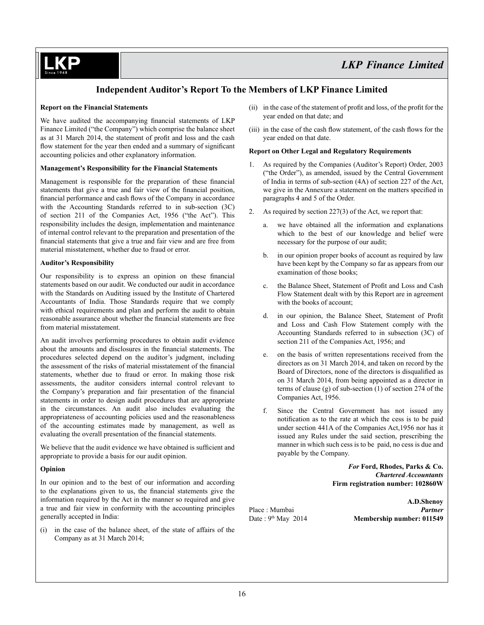### **Independent Auditor's Report To the Members of LKP Finance Limited**

### **Report on the Financial Statements**

We have audited the accompanying financial statements of LKP Finance Limited ("the Company") which comprise the balance sheet as at 31 March 2014, the statement of profit and loss and the cash flow statement for the year then ended and a summary of significant accounting policies and other explanatory information.

### **Management's Responsibility for the Financial Statements**

Management is responsible for the preparation of these financial statements that give a true and fair view of the financial position, financial performance and cash flows of the Company in accordance with the Accounting Standards referred to in sub-section (3C) of section 211 of the Companies Act, 1956 ("the Act"). This responsibility includes the design, implementation and maintenance of internal control relevant to the preparation and presentation of the financial statements that give a true and fair view and are free from material misstatement, whether due to fraud or error.

#### **Auditor's Responsibility**

Our responsibility is to express an opinion on these financial statements based on our audit. We conducted our audit in accordance with the Standards on Auditing issued by the Institute of Chartered Accountants of India. Those Standards require that we comply with ethical requirements and plan and perform the audit to obtain reasonable assurance about whether the financial statements are free from material misstatement.

An audit involves performing procedures to obtain audit evidence about the amounts and disclosures in the financial statements. The procedures selected depend on the auditor's judgment, including the assessment of the risks of material misstatement of the financial statements, whether due to fraud or error. In making those risk assessments, the auditor considers internal control relevant to the Company's preparation and fair presentation of the financial statements in order to design audit procedures that are appropriate in the circumstances. An audit also includes evaluating the appropriateness of accounting policies used and the reasonableness of the accounting estimates made by management, as well as evaluating the overall presentation of the financial statements.

We believe that the audit evidence we have obtained is sufficient and appropriate to provide a basis for our audit opinion.

### **Opinion**

In our opinion and to the best of our information and according to the explanations given to us, the financial statements give the information required by the Act in the manner so required and give a true and fair view in conformity with the accounting principles generally accepted in India:

(i) in the case of the balance sheet, of the state of affairs of the Company as at 31 March 2014;

- (ii) in the case of the statement of profit and loss, of the profit for the year ended on that date; and
- (iii) in the case of the cash flow statement, of the cash flows for the year ended on that date.

### **Report on Other Legal and Regulatory Requirements**

- As required by the Companies (Auditor's Report) Order, 2003 ("the Order"), as amended, issued by the Central Government of India in terms of sub-section (4A) of section 227 of the Act, we give in the Annexure a statement on the matters specified in paragraphs 4 and 5 of the Order.
- 2. As required by section 227(3) of the Act, we report that:
	- a. we have obtained all the information and explanations which to the best of our knowledge and belief were necessary for the purpose of our audit;
	- b. in our opinion proper books of account as required by law have been kept by the Company so far as appears from our examination of those books;
	- c. the Balance Sheet, Statement of Profit and Loss and Cash Flow Statement dealt with by this Report are in agreement with the books of account;
	- d. in our opinion, the Balance Sheet, Statement of Profit and Loss and Cash Flow Statement comply with the Accounting Standards referred to in subsection (3C) of section 211 of the Companies Act, 1956; and
	- e. on the basis of written representations received from the directors as on 31 March 2014, and taken on record by the Board of Directors, none of the directors is disqualified as on 31 March 2014, from being appointed as a director in terms of clause (g) of sub-section (1) of section 274 of the Companies Act, 1956.
	- f. Since the Central Government has not issued any notification as to the rate at which the cess is to be paid under section 441A of the Companies Act,1956 nor has it issued any Rules under the said section, prescribing the manner in which such cess is to be paid, no cess is due and payable by the Company.

*For* **Ford, Rhodes, Parks & Co.** *Chartered Accountants*  **Firm registration number: 102860W**

**A.D.Shenoy** Place : Mumbai *Partner* Date : 9<sup>th</sup> May 2014 **Membership number: 011549**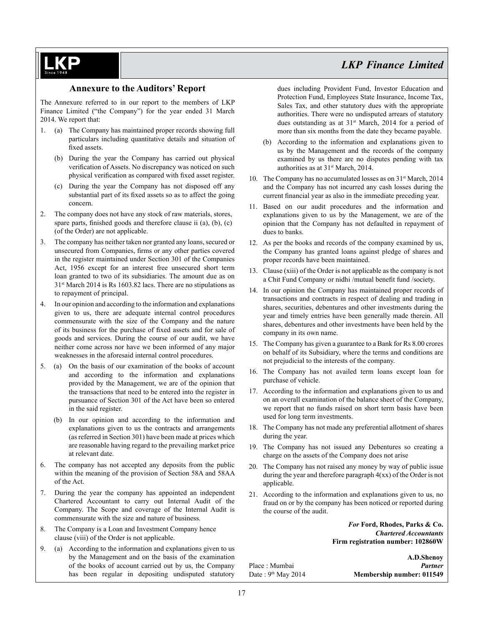### **Annexure to the Auditors' Report**

The Annexure referred to in our report to the members of LKP Finance Limited ("the Company") for the year ended 31 March 2014. We report that:

- 1. (a) The Company has maintained proper records showing full particulars including quantitative details and situation of fixed assets.
	- (b) During the year the Company has carried out physical verification of Assets. No discrepancy was noticed on such physical verification as compared with fixed asset register.
	- (c) During the year the Company has not disposed off any substantial part of its fixed assets so as to affect the going concern.
- 2. The company does not have any stock of raw materials, stores, spare parts, finished goods and therefore clause ii (a), (b), (c) (of the Order) are not applicable.
- 3. The company has neither taken nor granted any loans, secured or unsecured from Companies, firms or any other parties covered in the register maintained under Section 301 of the Companies Act, 1956 except for an interest free unsecured short term loan granted to two of its subsidiaries. The amount due as on 31st March 2014 is Rs 1603.82 lacs. There are no stipulations as to repayment of principal.
- 4. In our opinion and according to the information and explanations given to us, there are adequate internal control procedures commensurate with the size of the Company and the nature of its business for the purchase of fixed assets and for sale of goods and services. During the course of our audit, we have neither come across nor have we been informed of any major weaknesses in the aforesaid internal control procedures.
- 5. (a) On the basis of our examination of the books of account and according to the information and explanations provided by the Management, we are of the opinion that the transactions that need to be entered into the register in pursuance of Section 301 of the Act have been so entered in the said register.
	- (b) In our opinion and according to the information and explanations given to us the contracts and arrangements (as referred in Section 301) have been made at prices which are reasonable having regard to the prevailing market price at relevant date.
- 6. The company has not accepted any deposits from the public within the meaning of the provision of Section 58A and 58AA of the Act.
- 7. During the year the company has appointed an independent Chartered Accountant to carry out Internal Audit of the Company. The Scope and coverage of the Internal Audit is commensurate with the size and nature of business.
- 8. The Company is a Loan and Investment Company hence clause (viii) of the Order is not applicable.
- 9. (a) According to the information and explanations given to us by the Management and on the basis of the examination of the books of account carried out by us, the Company has been regular in depositing undisputed statutory

### dues including Provident Fund, Investor Education and Protection Fund, Employees State Insurance, Income Tax, Sales Tax, and other statutory dues with the appropriate authorities. There were no undisputed arrears of statutory

more than six months from the date they became payable. (b) According to the information and explanations given to us by the Management and the records of the company examined by us there are no disputes pending with tax authorities as at 31st March, 2014.

dues outstanding as at  $31<sup>st</sup>$  March, 2014 for a period of

- 10. The Company has no accumulated losses as on 31<sup>st</sup> March, 2014 and the Company has not incurred any cash losses during the current financial year as also in the immediate preceding year.
- 11. Based on our audit procedures and the information and explanations given to us by the Management, we are of the opinion that the Company has not defaulted in repayment of dues to banks.
- 12. As per the books and records of the company examined by us, the Company has granted loans against pledge of shares and proper records have been maintained.
- 13. Clause (xiii) of the Order is not applicable as the company is not a Chit Fund Company or nidhi /mutual benefit fund /society.
- 14. In our opinion the Company has maintained proper records of transactions and contracts in respect of dealing and trading in shares, securities, debentures and other investments during the year and timely entries have been generally made therein. All shares, debentures and other investments have been held by the company in its own name.
- 15. The Company has given a guarantee to a Bank for Rs 8.00 crores on behalf of its Subsidiary, where the terms and conditions are not prejudicial to the interests of the company.
- 16. The Company has not availed term loans except loan for purchase of vehicle.
- 17. According to the information and explanations given to us and on an overall examination of the balance sheet of the Company, we report that no funds raised on short term basis have been used for long term investments.
- 18. The Company has not made any preferential allotment of shares during the year.
- 19. The Company has not issued any Debentures so creating a charge on the assets of the Company does not arise
- 20. The Company has not raised any money by way of public issue during the year and therefore paragraph 4(xx) of the Order is not applicable.
- 21. According to the information and explanations given to us, no fraud on or by the company has been noticed or reported during the course of the audit.

*For* **Ford, Rhodes, Parks & Co.** *Chartered Accountants*  **Firm registration number: 102860W**

**A.D.Shenoy** Place : Mumbai *Partner* Date : 9<sup>th</sup> May 2014 **Membership number: 011549** 

### *LKP Finance Limited*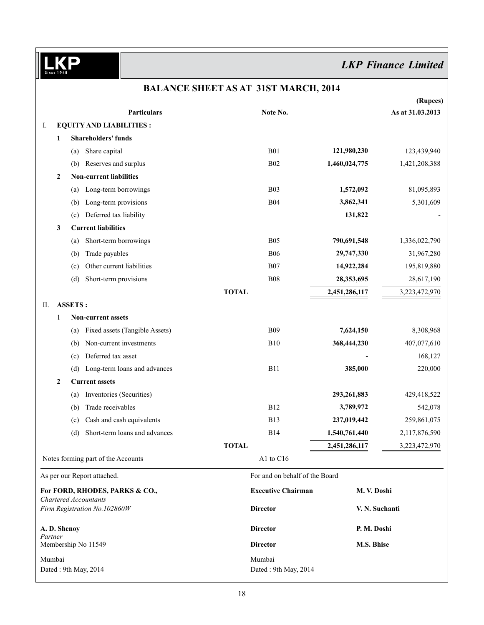|         |        |                                                       |                                |                | (Rupees)         |
|---------|--------|-------------------------------------------------------|--------------------------------|----------------|------------------|
|         |        | <b>Particulars</b>                                    | Note No.                       |                | As at 31.03.2013 |
| Ι.      |        | <b>EQUITY AND LIABILITIES:</b>                        |                                |                |                  |
|         | 1      | <b>Shareholders' funds</b>                            |                                |                |                  |
|         |        | Share capital<br>(a)                                  | <b>B01</b>                     | 121,980,230    | 123,439,940      |
|         |        | Reserves and surplus<br>(b)                           | <b>B02</b>                     | 1,460,024,775  | 1,421,208,388    |
|         | 2      | <b>Non-current liabilities</b>                        |                                |                |                  |
|         |        | Long-term borrowings<br>(a)                           | <b>B03</b>                     | 1,572,092      | 81,095,893       |
|         |        | Long-term provisions<br>(b)                           | <b>B04</b>                     | 3,862,341      | 5,301,609        |
|         |        | Deferred tax liability<br>(c)                         |                                | 131,822        |                  |
|         | 3      | <b>Current liabilities</b>                            |                                |                |                  |
|         |        | Short-term borrowings<br>(a)                          | <b>B05</b>                     | 790,691,548    | 1,336,022,790    |
|         |        | Trade payables<br>(b)                                 | <b>B06</b>                     | 29,747,330     | 31,967,280       |
|         |        | Other current liabilities<br>(c)                      | <b>B07</b>                     | 14,922,284     | 195,819,880      |
|         |        | Short-term provisions<br>(d)                          | <b>B08</b>                     | 28,353,695     | 28,617,190       |
|         |        |                                                       | <b>TOTAL</b>                   | 2,451,286,117  | 3,223,472,970    |
| П.      |        | <b>ASSETS:</b>                                        |                                |                |                  |
|         | 1      | <b>Non-current assets</b>                             |                                |                |                  |
|         |        | Fixed assets (Tangible Assets)<br>(a)                 | <b>B09</b>                     | 7,624,150      | 8,308,968        |
|         |        | Non-current investments<br>(b)                        | <b>B10</b>                     | 368,444,230    | 407,077,610      |
|         |        | Deferred tax asset<br>(c)                             |                                |                | 168,127          |
|         |        | Long-term loans and advances<br>(d)                   | <b>B11</b>                     | 385,000        | 220,000          |
|         | 2      | <b>Current assets</b>                                 |                                |                |                  |
|         |        | Inventories (Securities)<br>(a)                       |                                | 293,261,883    | 429,418,522      |
|         |        | Trade receivables<br>(b)                              | <b>B12</b>                     | 3,789,972      | 542,078          |
|         |        | Cash and cash equivalents<br>(c)                      | <b>B13</b>                     | 237,019,442    | 259,861,075      |
|         |        | Short-term loans and advances<br>(d)                  | <b>B14</b>                     | 1,540,761,440  | 2,117,876,590    |
|         |        |                                                       | <b>TOTAL</b>                   | 2,451,286,117  | 3,223,472,970    |
|         |        | Notes forming part of the Accounts                    | A1 to C16                      |                |                  |
|         |        | As per our Report attached.                           | For and on behalf of the Board |                |                  |
|         |        | For FORD, RHODES, PARKS & CO.,                        | <b>Executive Chairman</b>      | M. V. Doshi    |                  |
|         |        | Chartered Accountants<br>Firm Registration No.102860W | <b>Director</b>                | V. N. Suchanti |                  |
|         |        | A.D. Shenoy                                           | <b>Director</b>                | P. M. Doshi    |                  |
| Partner |        | Membership No 11549                                   | <b>Director</b>                | M.S. Bhise     |                  |
|         | Mumbai |                                                       | Mumbai                         |                |                  |
|         |        | Dated: 9th May, 2014                                  | Dated: 9th May, 2014           |                |                  |

### **Balance Sheet as at 31st March, 2014**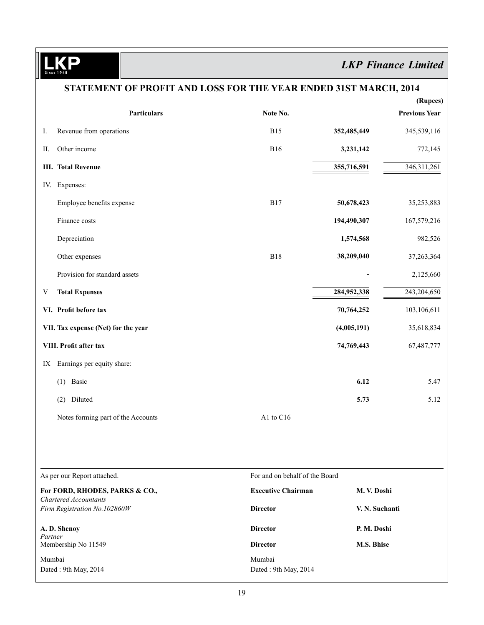$L$ <sub>Since 1948</sub> D

## *LKP Finance Limited*

|         | STATEMENT OF PROFIT AND LOSS FOR THE YEAR ENDED 31ST MARCH, 2014 |                                |                |                                  |  |  |
|---------|------------------------------------------------------------------|--------------------------------|----------------|----------------------------------|--|--|
|         | <b>Particulars</b>                                               | Note No.                       |                | (Rupees)<br><b>Previous Year</b> |  |  |
| I.      | Revenue from operations                                          | <b>B15</b>                     | 352,485,449    | 345,539,116                      |  |  |
| П.      | Other income                                                     | <b>B16</b>                     | 3,231,142      | 772,145                          |  |  |
|         | <b>III.</b> Total Revenue                                        |                                | 355,716,591    | 346, 311, 261                    |  |  |
|         | IV. Expenses:                                                    |                                |                |                                  |  |  |
|         | Employee benefits expense                                        | <b>B17</b>                     | 50,678,423     | 35,253,883                       |  |  |
|         | Finance costs                                                    |                                | 194,490,307    | 167,579,216                      |  |  |
|         | Depreciation                                                     |                                | 1,574,568      | 982,526                          |  |  |
|         | Other expenses                                                   | <b>B18</b>                     | 38,209,040     | 37,263,364                       |  |  |
|         | Provision for standard assets                                    |                                |                | 2,125,660                        |  |  |
| V       | <b>Total Expenses</b>                                            |                                | 284,952,338    | 243,204,650                      |  |  |
|         | VI. Profit before tax                                            |                                | 70,764,252     | 103,106,611                      |  |  |
|         | VII. Tax expense (Net) for the year                              |                                | (4,005,191)    | 35,618,834                       |  |  |
|         | VIII. Profit after tax                                           |                                | 74,769,443     | 67,487,777                       |  |  |
| IX      | Earnings per equity share:                                       |                                |                |                                  |  |  |
|         | Basic<br>(1)                                                     |                                | 6.12           | 5.47                             |  |  |
|         | (2) Diluted                                                      |                                | 5.73           | 5.12                             |  |  |
|         | Notes forming part of the Accounts                               | A1 to C16                      |                |                                  |  |  |
|         |                                                                  |                                |                |                                  |  |  |
|         | As per our Report attached.                                      | For and on behalf of the Board |                |                                  |  |  |
|         | For FORD, RHODES, PARKS & CO.,<br><b>Chartered Accountants</b>   | <b>Executive Chairman</b>      | M. V. Doshi    |                                  |  |  |
|         | Firm Registration No.102860W                                     | <b>Director</b>                | V. N. Suchanti |                                  |  |  |
|         | A. D. Shenoy                                                     | <b>Director</b>                | P. M. Doshi    |                                  |  |  |
| Partner | Membership No 11549                                              | <b>Director</b>                | M.S. Bhise     |                                  |  |  |
| Mumbai  | Dated: 9th May, 2014                                             | Mumbai<br>Dated: 9th May, 2014 |                |                                  |  |  |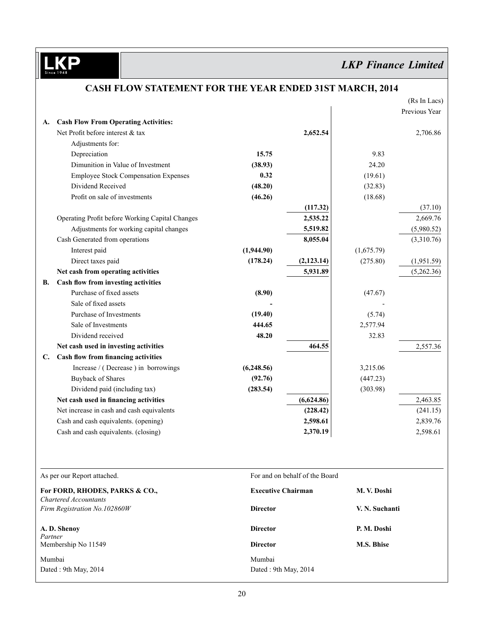LKP

## *LKP Finance Limited*

|                                                         | CASH FLOW STATEMENT FOR THE YEAR ENDED 31ST MAKCH, 2014 |                           |                                |                | (Rs In Lacs)  |
|---------------------------------------------------------|---------------------------------------------------------|---------------------------|--------------------------------|----------------|---------------|
|                                                         |                                                         |                           |                                |                | Previous Year |
| A.                                                      | <b>Cash Flow From Operating Activities:</b>             |                           |                                |                |               |
|                                                         | Net Profit before interest & tax                        |                           | 2,652.54                       |                | 2,706.86      |
|                                                         | Adjustments for:                                        |                           |                                |                |               |
|                                                         | Depreciation                                            | 15.75                     |                                | 9.83           |               |
|                                                         | Dimunition in Value of Investment                       | (38.93)                   |                                | 24.20          |               |
|                                                         | <b>Employee Stock Compensation Expenses</b>             | 0.32                      |                                | (19.61)        |               |
|                                                         | Dividend Received                                       | (48.20)                   |                                | (32.83)        |               |
|                                                         | Profit on sale of investments                           | (46.26)                   |                                | (18.68)        |               |
|                                                         |                                                         |                           | (117.32)                       |                | (37.10)       |
|                                                         | Operating Profit before Working Capital Changes         |                           | 2,535.22                       |                | 2,669.76      |
|                                                         | Adjustments for working capital changes                 |                           | 5,519.82                       |                | (5,980.52)    |
|                                                         | Cash Generated from operations                          |                           | 8,055.04                       |                | (3,310.76)    |
|                                                         | Interest paid                                           | (1,944.90)                |                                | (1,675.79)     |               |
|                                                         | Direct taxes paid                                       | (178.24)                  | (2, 123.14)                    | (275.80)       | (1,951.59)    |
|                                                         | Net cash from operating activities                      |                           | 5,931.89                       |                | (5,262.36)    |
| В.                                                      | Cash flow from investing activities                     |                           |                                |                |               |
|                                                         | Purchase of fixed assets                                | (8.90)                    |                                | (47.67)        |               |
|                                                         | Sale of fixed assets                                    |                           |                                |                |               |
|                                                         | Purchase of Investments                                 | (19.40)                   |                                | (5.74)         |               |
|                                                         | Sale of Investments                                     | 444.65                    |                                | 2,577.94       |               |
|                                                         | Dividend received                                       | 48.20                     |                                | 32.83          |               |
|                                                         | Net cash used in investing activities                   |                           | 464.55                         |                | 2,557.36      |
| C.                                                      | Cash flow from financing activities                     |                           |                                |                |               |
|                                                         | Increase / (Decrease) in borrowings                     | (6,248.56)                |                                | 3,215.06       |               |
|                                                         | <b>Buyback of Shares</b>                                | (92.76)                   |                                | (447.23)       |               |
|                                                         | Dividend paid (including tax)                           | (283.54)                  |                                | (303.98)       |               |
|                                                         | Net cash used in financing activities                   |                           | (6,624.86)                     |                | 2,463.85      |
|                                                         | Net increase in cash and cash equivalents               |                           | (228.42)                       |                | (241.15)      |
|                                                         | Cash and cash equivalents. (opening)                    |                           | 2,598.61                       |                | 2,839.76      |
|                                                         | Cash and cash equivalents. (closing)                    |                           | 2,370.19                       |                | 2,598.61      |
|                                                         |                                                         |                           | For and on behalf of the Board |                |               |
|                                                         | As per our Report attached.                             |                           |                                |                |               |
| For FORD, RHODES, PARKS & CO.,<br>Chartered Accountants |                                                         | <b>Executive Chairman</b> |                                | M. V. Doshi    |               |
| Firm Registration No.102860W                            |                                                         | <b>Director</b>           |                                | V. N. Suchanti |               |
| Partner                                                 | A. D. Shenoy                                            | <b>Director</b>           |                                | P. M. Doshi    |               |
|                                                         | Membership No 11549                                     | <b>Director</b>           |                                | M.S. Bhise     |               |
| Mumbai                                                  |                                                         | Mumbai                    |                                |                |               |
|                                                         | Dated: 9th May, 2014                                    | Dated: 9th May, 2014      |                                |                |               |
|                                                         |                                                         | $\mathcal{D}$             |                                |                |               |

### **Cash Flow Statement For the Year Ended 31st March, 2014**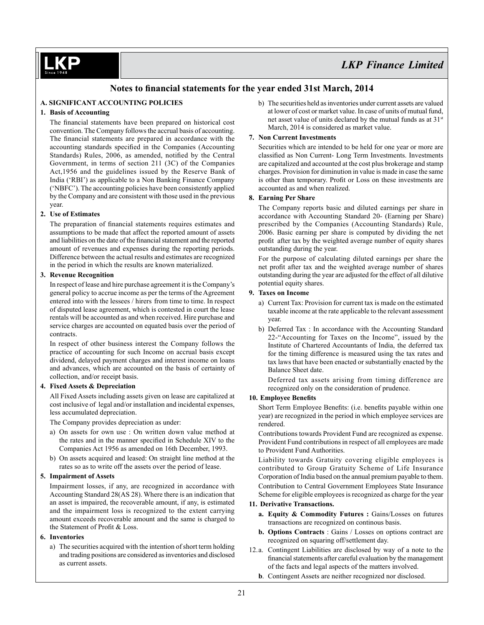

### **Notes to financial statements for the year ended 31st March, 2014**

### **A. SIGNIFICANT ACCOUNTING POLICIES**

### **1. Basis of Accounting**

The financial statements have been prepared on historical cost convention. The Company follows the accrual basis of accounting. The financial statements are prepared in accordance with the accounting standards specified in the Companies (Accounting Standards) Rules, 2006, as amended, notified by the Central Government, in terms of section 211 (3C) of the Companies Act,1956 and the guidelines issued by the Reserve Bank of India ('RBI') as applicable to a Non Banking Finance Company ('NBFC'). The accounting policies have been consistently applied by the Company and are consistent with those used in the previous year.

### **2. Use of Estimates**

The preparation of financial statements requires estimates and assumptions to be made that affect the reported amount of assets and liabilities on the date of the financial statement and the reported amount of revenues and expenses during the reporting periods. Difference between the actual results and estimates are recognized in the period in which the results are known materialized.

#### **3. Revenue Recognition**

In respect of lease and hire purchase agreement it is the Company's general policy to accrue income as per the terms of the Agreement entered into with the lessees / hirers from time to time. In respect of disputed lease agreement, which is contested in court the lease rentals will be accounted as and when received. Hire purchase and service charges are accounted on equated basis over the period of contracts.

In respect of other business interest the Company follows the practice of accounting for such Income on accrual basis except dividend, delayed payment charges and interest income on loans and advances, which are accounted on the basis of certainty of collection, and/or receipt basis.

#### **4. Fixed Assets & Depreciation**

All Fixed Assets including assets given on lease are capitalized at cost inclusive of legal and/or installation and incidental expenses, less accumulated depreciation.

The Company provides depreciation as under:

- a) On assets for own use : On written down value method at the rates and in the manner specified in Schedule XIV to the Companies Act 1956 as amended on 16th December, 1993.
- b) On assets acquired and leased: On straight line method at the rates so as to write off the assets over the period of lease.

### **5. Impairment of Assets**

Impairment losses, if any, are recognized in accordance with Accounting Standard 28(AS 28). Where there is an indication that an asset is impaired, the recoverable amount, if any, is estimated and the impairment loss is recognized to the extent carrying amount exceeds recoverable amount and the same is charged to the Statement of Profit & Loss.

#### **6. Inventories**

a) The securities acquired with the intention of short term holding and trading positions are considered as inventories and disclosed as current assets.

b) The securities held as inventories under current assets are valued at lower of cost or market value. In case of units of mutual fund, net asset value of units declared by the mutual funds as at 31<sup>st</sup> March, 2014 is considered as market value.

### **7. Non Current Investments**

Securities which are intended to be held for one year or more are classified as Non Current- Long Term Investments. Investments are capitalized and accounted at the cost plus brokerage and stamp charges. Provision for diminution in value is made in case the same is other than temporary. Profit or Loss on these investments are accounted as and when realized.

### **8. Earning Per Share**

The Company reports basic and diluted earnings per share in accordance with Accounting Standard 20- (Earning per Share) prescribed by the Companies (Accounting Standards) Rule, 2006. Basic earning per share is computed by dividing the net profit after tax by the weighted average number of equity shares outstanding during the year.

For the purpose of calculating diluted earnings per share the net profit after tax and the weighted average number of shares outstanding during the year are adjusted for the effect of all dilutive potential equity shares.

### **9. Taxes on Income**

- a) Current Tax: Provision for current tax is made on the estimated taxable income at the rate applicable to the relevant assessment year.
- b) Deferred Tax : In accordance with the Accounting Standard 22-"Accounting for Taxes on the Income", issued by the Institute of Chartered Accountants of India, the deferred tax for the timing difference is measured using the tax rates and tax laws that have been enacted or substantially enacted by the Balance Sheet date.

Deferred tax assets arising from timing difference are recognized only on the consideration of prudence.

### **10. Employee Benefits**

Short Term Employee Benefits: (i.e. benefits payable within one year) are recognized in the period in which employee services are rendered.

Contributions towards Provident Fund are recognized as expense. Provident Fund contributions in respect of all employees are made to Provident Fund Authorities.

Liability towards Gratuity covering eligible employees is contributed to Group Gratuity Scheme of Life Insurance Corporation of India based on the annual premium payable to them.

Contribution to Central Government Employees State Insurance Scheme for eligible employees is recognized as charge for the year

#### **11. Derivative Transactions.**

- **a. Equity & Commodity Futures :** Gains/Losses on futures transactions are recognized on continous basis.
- **b. Options Contracts** : Gains / Losses on options contract are recognized on squaring off/settlement day.
- 12.a. Contingent Liabilities are disclosed by way of a note to the financial statements after careful evaluation by the management of the facts and legal aspects of the matters involved.
	- **b**. Contingent Assets are neither recognized nor disclosed.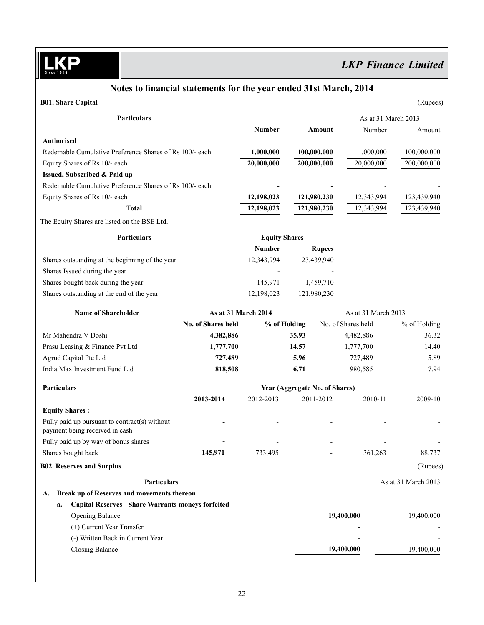**KP**  $\frac{1}{\sin \theta}$ 

## *LKP Finance Limited*

### **Notes to financial statements for the year ended 31st March, 2014**

| <b>B01. Share Capital</b>                                                       |                           |                      |                                |                    |                     | (Rupees)            |
|---------------------------------------------------------------------------------|---------------------------|----------------------|--------------------------------|--------------------|---------------------|---------------------|
| <b>Particulars</b>                                                              |                           |                      |                                |                    | As at 31 March 2013 |                     |
|                                                                                 |                           | <b>Number</b>        | Amount                         |                    | Number              | Amount              |
| <b>Authorised</b>                                                               |                           |                      |                                |                    |                     |                     |
| Redemable Cumulative Preference Shares of Rs 100/- each                         |                           | 1,000,000            | 100,000,000                    |                    | 1,000,000           | 100,000,000         |
| Equity Shares of Rs 10/- each                                                   |                           | 20,000,000           | 200,000,000                    |                    | 20,000,000          | 200,000,000         |
| <b>Issued, Subscribed &amp; Paid up</b>                                         |                           |                      |                                |                    |                     |                     |
| Redemable Cumulative Preference Shares of Rs 100/- each                         |                           |                      |                                |                    |                     |                     |
| Equity Shares of Rs 10/- each                                                   |                           | 12,198,023           | 121,980,230                    |                    | 12,343,994          | 123,439,940         |
| <b>Total</b>                                                                    |                           | 12,198,023           | 121,980,230                    |                    | 12,343,994          | 123,439,940         |
| The Equity Shares are listed on the BSE Ltd.                                    |                           |                      |                                |                    |                     |                     |
| Particulars                                                                     |                           | <b>Equity Shares</b> |                                |                    |                     |                     |
|                                                                                 |                           | <b>Number</b>        |                                | <b>Rupees</b>      |                     |                     |
| Shares outstanding at the beginning of the year                                 |                           | 12,343,994           | 123,439,940                    |                    |                     |                     |
| Shares Issued during the year                                                   |                           |                      |                                |                    |                     |                     |
| Shares bought back during the year                                              |                           | 145,971              | 1,459,710                      |                    |                     |                     |
| Shares outstanding at the end of the year                                       |                           | 12,198,023           | 121,980,230                    |                    |                     |                     |
| <b>Name of Shareholder</b>                                                      | As at 31 March 2014       |                      |                                |                    | As at 31 March 2013 |                     |
|                                                                                 | <b>No. of Shares held</b> |                      | % of Holding                   | No. of Shares held |                     | % of Holding        |
| Mr Mahendra V Doshi                                                             | 4,382,886                 |                      | 35.93                          |                    | 4,482,886           | 36.32               |
| Prasu Leasing & Finance Pvt Ltd                                                 | 1,777,700                 |                      | 14.57                          |                    | 1,777,700           | 14.40               |
| Agrud Capital Pte Ltd                                                           | 727,489                   |                      | 5.96                           |                    | 727,489             | 5.89                |
| India Max Investment Fund Ltd                                                   | 818,508                   |                      | 6.71                           |                    | 980,585             | 7.94                |
| Particulars                                                                     |                           |                      | Year (Aggregate No. of Shares) |                    |                     |                     |
|                                                                                 | 2013-2014                 | 2012-2013            | 2011-2012                      |                    | 2010-11             | 2009-10             |
| <b>Equity Shares:</b>                                                           |                           |                      |                                |                    |                     |                     |
| Fully paid up pursuant to contract(s) without<br>payment being received in cash |                           |                      |                                |                    |                     |                     |
| Fully paid up by way of bonus shares                                            |                           |                      |                                |                    |                     |                     |
| Shares bought back                                                              | 145,971                   | 733,495              |                                |                    | 361,263             | 88,737              |
| <b>B02. Reserves and Surplus</b>                                                |                           |                      |                                |                    |                     | (Rupees)            |
| Particulars                                                                     |                           |                      |                                |                    |                     | As at 31 March 2013 |
| Break up of Reserves and movements thereon<br>А.                                |                           |                      |                                |                    |                     |                     |
| <b>Capital Reserves - Share Warrants moneys forfeited</b><br>a.                 |                           |                      |                                |                    |                     |                     |
| Opening Balance                                                                 |                           |                      |                                | 19,400,000         |                     | 19,400,000          |
| (+) Current Year Transfer                                                       |                           |                      |                                |                    |                     |                     |
| (-) Written Back in Current Year                                                |                           |                      |                                |                    |                     |                     |
| <b>Closing Balance</b>                                                          |                           |                      |                                | 19,400,000         |                     | 19,400,000          |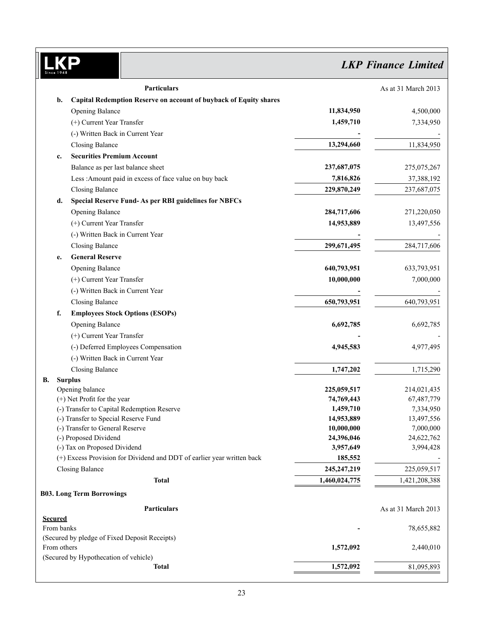# LKP

### *LKP Finance Limited*

|                | Particulars                                                            |                         | As at 31 March 2013     |
|----------------|------------------------------------------------------------------------|-------------------------|-------------------------|
| b.             | Capital Redemption Reserve on account of buyback of Equity shares      |                         |                         |
|                | Opening Balance                                                        | 11,834,950              | 4,500,000               |
|                | (+) Current Year Transfer                                              | 1,459,710               | 7,334,950               |
|                | (-) Written Back in Current Year                                       |                         |                         |
|                | <b>Closing Balance</b>                                                 | 13,294,660              | 11,834,950              |
| c.             | <b>Securities Premium Account</b>                                      |                         |                         |
|                | Balance as per last balance sheet                                      | 237,687,075             | 275,075,267             |
|                | Less :Amount paid in excess of face value on buy back                  | 7,816,826               | 37,388,192              |
|                | <b>Closing Balance</b>                                                 | 229,870,249             | 237,687,075             |
| d.             | <b>Special Reserve Fund-As per RBI guidelines for NBFCs</b>            |                         |                         |
|                | Opening Balance                                                        | 284,717,606             | 271,220,050             |
|                | (+) Current Year Transfer                                              | 14,953,889              | 13,497,556              |
|                | (-) Written Back in Current Year                                       |                         |                         |
|                | <b>Closing Balance</b>                                                 | 299,671,495             | 284,717,606             |
| e.             | <b>General Reserve</b>                                                 |                         |                         |
|                | Opening Balance                                                        | 640,793,951             | 633,793,951             |
|                | (+) Current Year Transfer                                              | 10,000,000              | 7,000,000               |
|                | (-) Written Back in Current Year                                       |                         |                         |
|                |                                                                        | 650,793,951             | 640,793,951             |
|                | <b>Closing Balance</b>                                                 |                         |                         |
| f.             | <b>Employees Stock Options (ESOPs)</b>                                 |                         |                         |
|                | Opening Balance                                                        | 6,692,785               | 6,692,785               |
|                | (+) Current Year Transfer                                              |                         |                         |
|                | (-) Deferred Employees Compensation                                    | 4,945,583               | 4,977,495               |
|                | (-) Written Back in Current Year                                       |                         |                         |
|                | <b>Closing Balance</b>                                                 | 1,747,202               | 1,715,290               |
| В.             | <b>Surplus</b>                                                         |                         |                         |
|                | Opening balance<br>(+) Net Profit for the year                         | 225,059,517             | 214,021,435             |
|                | (-) Transfer to Capital Redemption Reserve                             | 74,769,443<br>1,459,710 | 67,487,779<br>7,334,950 |
|                | (-) Transfer to Special Reserve Fund                                   | 14,953,889              | 13,497,556              |
|                | (-) Transfer to General Reserve                                        | 10,000,000              | 7,000,000               |
|                | (-) Proposed Dividend                                                  | 24,396,046              | 24,622,762              |
|                | (-) Tax on Proposed Dividend                                           | 3,957,649               | 3,994,428               |
|                | (+) Excess Provision for Dividend and DDT of earlier year written back | 185,552                 |                         |
|                | <b>Closing Balance</b>                                                 | 245, 247, 219           | 225,059,517             |
|                | <b>Total</b>                                                           | 1,460,024,775           | 1,421,208,388           |
|                | <b>B03. Long Term Borrowings</b>                                       |                         |                         |
|                | Particulars                                                            |                         | As at 31 March 2013     |
| <b>Secured</b> |                                                                        |                         |                         |
| From banks     |                                                                        |                         | 78,655,882              |
| From others    | (Secured by pledge of Fixed Deposit Receipts)                          | 1,572,092               | 2,440,010               |
|                | (Secured by Hypothecation of vehicle)                                  |                         |                         |
|                | <b>Total</b>                                                           | 1,572,092               | 81,095,893              |
|                |                                                                        |                         |                         |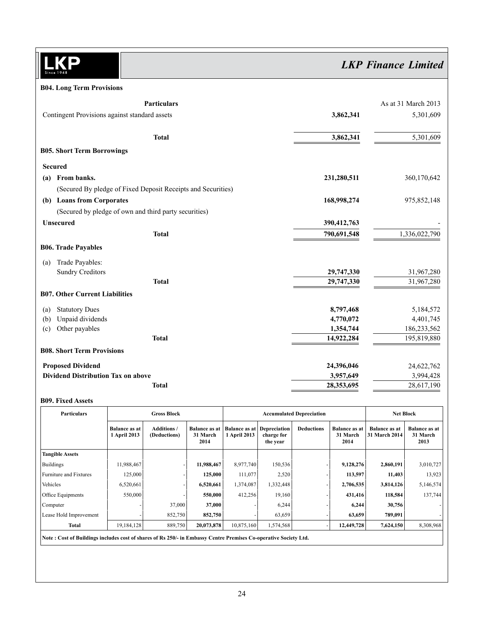$\overline{\phantom{a}}$ <br>Since **KP** 

## *LKP Finance Limited*

### **B04. Long Term Provisions**

| Particulars                                                  |             | As at 31 March 2013 |
|--------------------------------------------------------------|-------------|---------------------|
| Contingent Provisions against standard assets                | 3,862,341   | 5,301,609           |
| <b>Total</b>                                                 | 3,862,341   | 5,301,609           |
| <b>B05. Short Term Borrowings</b>                            |             |                     |
| <b>Secured</b>                                               |             |                     |
| From banks.<br>(a)                                           | 231,280,511 | 360,170,642         |
| (Secured By pledge of Fixed Deposit Receipts and Securities) |             |                     |
| (b) Loans from Corporates                                    | 168,998,274 | 975,852,148         |
| (Secured by pledge of own and third party securities)        |             |                     |
| <b>Unsecured</b>                                             | 390,412,763 |                     |
| <b>Total</b>                                                 | 790,691,548 | 1,336,022,790       |
| <b>B06. Trade Payables</b>                                   |             |                     |
| Trade Payables:<br>(a)                                       |             |                     |
| <b>Sundry Creditors</b>                                      | 29,747,330  | 31,967,280          |
| <b>Total</b>                                                 | 29,747,330  | 31,967,280          |
| <b>B07. Other Current Liabilities</b>                        |             |                     |
| <b>Statutory Dues</b><br>(a)                                 | 8,797,468   | 5,184,572           |
| Unpaid dividends<br>(b)                                      | 4,770,072   | 4,401,745           |
| Other payables<br>(c)                                        | 1,354,744   | 186,233,562         |
| <b>Total</b>                                                 | 14,922,284  | 195,819,880         |
| <b>B08. Short Term Provisions</b>                            |             |                     |
| <b>Proposed Dividend</b>                                     | 24,396,046  | 24,622,762          |
| <b>Dividend Distribution Tax on above</b>                    | 3,957,649   | 3,994,428           |
| <b>Total</b>                                                 | 28,353,695  | 28,617,190          |

### **B09. Fixed Assets**

| <b>Particulars</b>            | <b>Gross Block</b>                                                                                               |                                    |                                          | <b>Accumulated Depreciation</b>      |                                        |                   | <b>Net Block</b>                         |                                       |                                          |
|-------------------------------|------------------------------------------------------------------------------------------------------------------|------------------------------------|------------------------------------------|--------------------------------------|----------------------------------------|-------------------|------------------------------------------|---------------------------------------|------------------------------------------|
|                               | <b>Balance as at</b><br>1 April 2013                                                                             | <b>Additions /</b><br>(Deductions) | <b>Balance as at</b><br>31 March<br>2014 | <b>Balance as at</b><br>1 April 2013 | Depreciation<br>charge for<br>the year | <b>Deductions</b> | <b>Balance as at</b><br>31 March<br>2014 | <b>Balance as at</b><br>31 March 2014 | <b>Balance as at</b><br>31 March<br>2013 |
| <b>Tangible Assets</b>        |                                                                                                                  |                                    |                                          |                                      |                                        |                   |                                          |                                       |                                          |
| Buildings                     | 11,988,467                                                                                                       |                                    | 11,988,467                               | 8,977,740                            | 150,536                                |                   | 9,128,276                                | 2,860,191                             | 3,010,727                                |
| <b>Furniture and Fixtures</b> | 125,000                                                                                                          |                                    | 125,000                                  | 111,077                              | 2,520                                  |                   | 113,597                                  | 11,403                                | 13,923                                   |
| Vehicles                      | 6,520,661                                                                                                        |                                    | 6,520,661                                | 1,374,087                            | 1,332,448                              |                   | 2,706,535                                | 3,814,126                             | 5,146,574                                |
| Office Equipments             | 550,000                                                                                                          |                                    | 550,000                                  | 412,256                              | 19,160                                 |                   | 431,416                                  | 118,584                               | 137,744                                  |
| Computer                      |                                                                                                                  | 37,000                             | 37,000                                   |                                      | 6,244                                  |                   | 6,244                                    | 30,756                                |                                          |
| Lease Hold Improvement        |                                                                                                                  | 852,750                            | 852,750                                  |                                      | 63,659                                 |                   | 63,659                                   | 789,091                               |                                          |
| Total                         | 19,184,128                                                                                                       | 889,750                            | 20,073,878                               | 10,875,160                           | 1,574,568                              |                   | 12,449,728                               | 7,624,150                             | 8,308,968                                |
|                               | Note: Cost of Buildings includes cost of shares of Rs 250/- in Embassy Centre Premises Co-operative Society Ltd. |                                    |                                          |                                      |                                        |                   |                                          |                                       |                                          |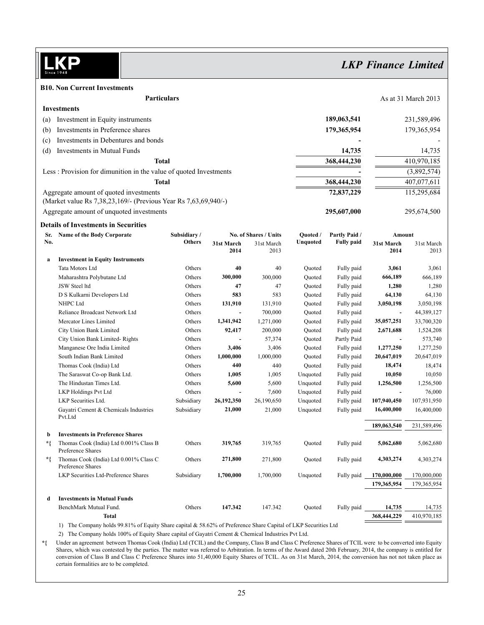**KP** 

### *LKP Finance Limited*

|     | <b>B10. Non Current Investments</b>                                                                       |             |                    |                              |                 |                   |                          |                     |
|-----|-----------------------------------------------------------------------------------------------------------|-------------|--------------------|------------------------------|-----------------|-------------------|--------------------------|---------------------|
|     | Particulars                                                                                               |             |                    |                              |                 |                   |                          | As at 31 March 2013 |
|     | <b>Investments</b>                                                                                        |             |                    |                              |                 |                   |                          |                     |
| (a) | Investment in Equity instruments                                                                          |             |                    |                              |                 | 189,063,541       |                          | 231,589,496         |
| (b) | Investments in Preference shares                                                                          |             |                    |                              |                 | 179,365,954       |                          | 179,365,954         |
| (c) | Investments in Debentures and bonds                                                                       |             |                    |                              |                 |                   |                          |                     |
| (d) | <b>Investments in Mutual Funds</b>                                                                        |             |                    |                              |                 | 14,735            |                          | 14,735              |
|     | <b>Total</b>                                                                                              |             |                    |                              |                 | 368,444,230       |                          | 410,970,185         |
|     |                                                                                                           |             |                    |                              |                 |                   |                          |                     |
|     | Less : Provision for dimunition in the value of quoted Investments                                        |             |                    |                              |                 |                   |                          | (3,892,574)         |
|     | <b>Total</b>                                                                                              |             |                    |                              |                 | 368,444,230       |                          | 407,077,611         |
|     | Aggregate amount of quoted investments<br>(Market value Rs 7,38,23,169/- (Previous Year Rs 7,63,69,940/-) |             |                    |                              |                 | 72,837,229        |                          | 115,295,684         |
|     | Aggregate amount of unquoted investments                                                                  |             |                    |                              |                 | 295,607,000       |                          | 295,674,500         |
|     | <b>Details of Investments in Securities</b>                                                               |             |                    |                              |                 |                   |                          |                     |
| Sr. | Name of the Body Corporate                                                                                | Subsidiary/ |                    | <b>No. of Shares / Units</b> | Quoted /        | Partly Paid /     | Amount                   |                     |
| No. |                                                                                                           | Others      | 31st March<br>2014 | 31st March<br>2013           | <b>Unquoted</b> | <b>Fully paid</b> | 31st March<br>2014       | 31st March<br>2013  |
| a   | <b>Investment in Equity Instruments</b>                                                                   |             |                    |                              |                 |                   |                          |                     |
|     | Tata Motors Ltd                                                                                           | Others      | 40                 | 40                           | Quoted          | Fully paid        | 3,061                    | 3,061               |
|     | Maharashtra Polybutane Ltd                                                                                | Others      | 300,000            | 300,000                      | Quoted          | Fully paid        | 666,189                  | 666,189             |
|     | JSW Steel ltd                                                                                             | Others      | 47                 | 47                           | Quoted          | Fully paid        | 1,280                    | 1,280               |
|     | D S Kulkarni Developers Ltd                                                                               | Others      | 583                | 583                          | Quoted          | Fully paid        | 64,130                   | 64,130              |
|     | NHPC Ltd                                                                                                  | Others      | 131,910            | 131,910                      | Quoted          | Fully paid        | 3,050,198                | 3,050,198           |
|     | Reliance Broadcast Network Ltd                                                                            | Others      | $\overline{a}$     | 700,000                      | Quoted          | Fully paid        | $\overline{\phantom{a}}$ | 44,389,127          |
|     | Mercator Lines Limited                                                                                    | Others      | 1,341,942          | 1,271,000                    | Quoted          | Fully paid        | 35,057,251               | 33,700,320          |
|     | City Union Bank Limited                                                                                   | Others      | 92,417             | 200,000                      | Quoted          | Fully paid        | 2,671,688                | 1,524,208           |
|     | City Union Bank Limited-Rights                                                                            | Others      |                    | 57,374                       | Quoted          | Partly Paid       | $\blacksquare$           | 573,740             |
|     | Manganese Ore India Limited                                                                               | Others      | 3,406              | 3,406                        | Quoted          | Fully paid        | 1,277,250                | 1,277,250           |
|     | South Indian Bank Limited                                                                                 | Others      | 1,000,000          | 1,000,000                    | Quoted          | Fully paid        | 20,647,019               | 20,647,019          |
|     | Thomas Cook (India) Ltd                                                                                   | Others      | 440                | 440                          | Quoted          | Fully paid        | 18,474                   | 18,474              |
|     | The Saraswat Co-op Bank Ltd.                                                                              | Others      | 1,005              | 1,005                        | Unquoted        | Fully paid        | 10,050                   | 10,050              |
|     | The Hindustan Times Ltd.                                                                                  | Others      | 5,600              | 5,600                        | Unquoted        | Fully paid        | 1,256,500                | 1,256,500           |
|     | LKP Holdings Pvt Ltd                                                                                      | Others      |                    | 7,600                        | Unquoted        | Fully paid        |                          | 76,000              |
|     | LKP Securities Ltd.                                                                                       | Subsidiary  | 26,192,350         | 26,190,650                   | Unquoted        | Fully paid        | 107,940,450              | 107,931,950         |
|     | Gayatri Cement & Chemicals Industries<br>Pvt.Ltd                                                          | Subsidiary  | 21,000             | 21,000                       | Unquoted        | Fully paid        | 16,400,000               | 16,400,000          |
|     |                                                                                                           |             |                    |                              |                 |                   | 189,063,540              | 231,589,496         |
| b   | <b>Investments in Preference Shares</b>                                                                   |             |                    |                              |                 |                   |                          |                     |
| *{  | Thomas Cook (India) Ltd 0.001% Class B<br>Preference Shares                                               | Others      | 319,765            | 319,765                      | Quoted          | Fully paid        | 5,062,680                | 5,062,680           |
| *{  | Thomas Cook (India) Ltd 0.001% Class C<br>Preference Shares                                               | Others      | 271,800            | 271,800                      | Quoted          | Fully paid        | 4,303,274                | 4,303,274           |
|     | LKP Securities Ltd-Preference Shares                                                                      | Subsidiary  | 1,700,000          | 1,700,000                    | Unquoted        | Fully paid        | 170,000,000              | 170,000,000         |
|     |                                                                                                           |             |                    |                              |                 |                   | 179,365,954              | 179, 365, 954       |
| d   | <b>Investments in Mutual Funds</b>                                                                        |             |                    |                              |                 |                   |                          |                     |
|     | BenchMark Mutual Fund.                                                                                    | Others      | 147.342            | 147.342                      | Quoted          | Fully paid        | 14,735                   | 14,735              |
|     | Total                                                                                                     |             |                    |                              |                 |                   | 368,444,229              | 410,970,185         |

1) The Company holds 99.81% of Equity Share capital & 58.62% of Preference Share Capital of LKP Securities Ltd

2) The Company holds 100% of Equity Share capital of Gayatri Cement & Chemical Industries Pvt Ltd.

**\*{** Under an agreement between Thomas Cook (India) Ltd (TCIL) and the Company, Class B and Class C Preference Shares of TCIL were to be converted into Equity Shares, which was contested by the parties. The matter was referred to Arbitration. In terms of the Award dated 20th February, 2014, the company is entitled for conversion of Class B and Class C Preference Shares into 51,40,000 Equity Shares of TCIL. As on 31st March, 2014, the conversion has not not taken place as certain formalities are to be completed.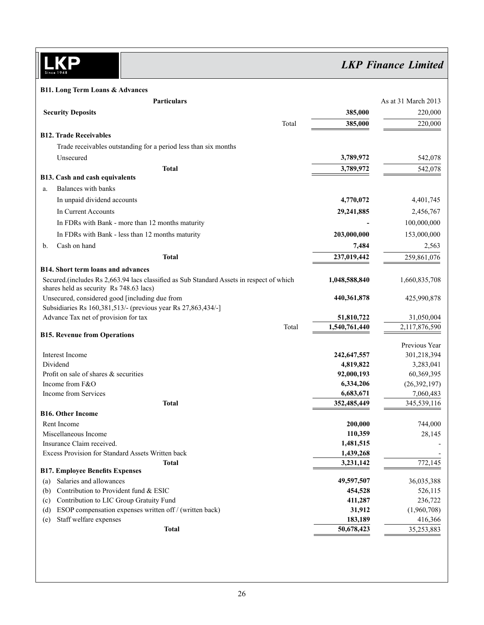$\overline{\mathbf{I}}$ **KP** 

## *LKP Finance Limited*

**B11. Long Term Loans & Advances**

| Particulars                                                                                                                         |                        | As at 31 March 2013         |
|-------------------------------------------------------------------------------------------------------------------------------------|------------------------|-----------------------------|
| <b>Security Deposits</b>                                                                                                            | 385,000                | 220,000                     |
| Total                                                                                                                               | 385,000                | 220,000                     |
| <b>B12. Trade Receivables</b>                                                                                                       |                        |                             |
| Trade receivables outstanding for a period less than six months                                                                     |                        |                             |
| Unsecured                                                                                                                           | 3,789,972              | 542,078                     |
| <b>Total</b>                                                                                                                        | 3,789,972              | 542,078                     |
| B13. Cash and cash equivalents                                                                                                      |                        |                             |
| Balances with banks<br>a.                                                                                                           |                        |                             |
| In unpaid dividend accounts                                                                                                         | 4,770,072              | 4,401,745                   |
| In Current Accounts                                                                                                                 | 29,241,885             | 2,456,767                   |
| In FDRs with Bank - more than 12 months maturity                                                                                    |                        | 100,000,000                 |
| In FDRs with Bank - less than 12 months maturity                                                                                    | 203,000,000            | 153,000,000                 |
| Cash on hand<br>b.                                                                                                                  | 7,484                  | 2,563                       |
|                                                                                                                                     |                        |                             |
| <b>Total</b>                                                                                                                        | 237,019,442            | 259,861,076                 |
| <b>B14. Short term loans and advances</b>                                                                                           |                        |                             |
| Secured.(includes Rs 2,663.94 lacs classified as Sub Standard Assets in respect of which<br>shares held as security Rs 748.63 lacs) | 1,048,588,840          | 1,660,835,708               |
| Unsecured, considered good [including due from                                                                                      | 440,361,878            | 425,990,878                 |
| Subsidiaries Rs 160,381,513/- (previous year Rs 27,863,434/-]                                                                       |                        |                             |
| Advance Tax net of provision for tax                                                                                                | 51,810,722             | 31,050,004                  |
| Total                                                                                                                               | 1,540,761,440          | 2,117,876,590               |
| <b>B15. Revenue from Operations</b>                                                                                                 |                        |                             |
|                                                                                                                                     |                        | Previous Year               |
| Interest Income                                                                                                                     | 242,647,557            | 301,218,394                 |
| Dividend                                                                                                                            | 4,819,822              | 3,283,041                   |
| Profit on sale of shares $\&$ securities                                                                                            | 92,000,193             | 60,369,395                  |
| Income from F&O<br>Income from Services                                                                                             | 6,334,206<br>6,683,671 | (26, 392, 197)<br>7,060,483 |
| <b>Total</b>                                                                                                                        | 352,485,449            | 345,539,116                 |
| <b>B16. Other Income</b>                                                                                                            |                        |                             |
| Rent Income                                                                                                                         | 200,000                | 744,000                     |
| Miscellaneous Income                                                                                                                | 110,359                | 28,145                      |
| Insurance Claim received.                                                                                                           | 1,481,515              |                             |
| Excess Provision for Standard Assets Written back                                                                                   | 1,439,268              |                             |
| <b>Total</b>                                                                                                                        | 3,231,142              | 772,145                     |
| <b>B17. Employee Benefits Expenses</b>                                                                                              |                        |                             |
| Salaries and allowances<br>(a)                                                                                                      | 49,597,507             | 36,035,388                  |
| Contribution to Provident fund & ESIC<br>(b)                                                                                        | 454,528                | 526,115                     |
| Contribution to LIC Group Gratuity Fund<br>(c)                                                                                      | 411,287                | 236,722                     |
| ESOP compensation expenses written off / (written back)<br>(d)                                                                      | 31,912                 | (1,960,708)                 |
| Staff welfare expenses<br>(e)<br><b>Total</b>                                                                                       | 183,189<br>50,678,423  | 416,366<br>35,253,883       |
|                                                                                                                                     |                        |                             |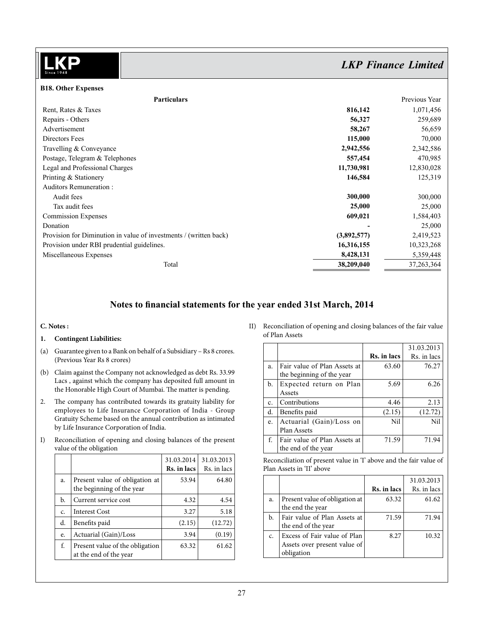| <b>B18. Other Expenses</b>                                        |             |               |
|-------------------------------------------------------------------|-------------|---------------|
| <b>Particulars</b>                                                |             | Previous Year |
| Rent, Rates & Taxes                                               | 816,142     | 1,071,456     |
| Repairs - Others                                                  | 56,327      | 259,689       |
| Advertisement                                                     | 58,267      | 56,659        |
| Directors Fees                                                    | 115,000     | 70,000        |
| Travelling & Conveyance                                           | 2,942,556   | 2,342,586     |
| Postage, Telegram & Telephones                                    | 557,454     | 470,985       |
| Legal and Professional Charges                                    | 11,730,981  | 12,830,028    |
| Printing & Stationery                                             | 146,584     | 125,319       |
| <b>Auditors Remuneration:</b>                                     |             |               |
| Audit fees                                                        | 300,000     | 300,000       |
| Tax audit fees                                                    | 25,000      | 25,000        |
| <b>Commission Expenses</b>                                        | 609,021     | 1,584,403     |
| Donation                                                          |             | 25,000        |
| Provision for Diminution in value of investments / (written back) | (3,892,577) | 2,419,523     |
| Provision under RBI prudential guidelines.                        | 16,316,155  | 10,323,268    |
| Miscellaneous Expenses                                            | 8,428,131   | 5,359,448     |
| Total                                                             | 38,209,040  | 37, 263, 364  |

### **Notes to financial statements for the year ended 31st March, 2014**

### **C. Notes :**

### **1. Contingent Liabilities:**

- (a) Guarantee given to a Bank on behalf of a Subsidiary Rs 8 crores. (Previous Year Rs 8 crores)
- (b) Claim against the Company not acknowledged as debt Rs. 33.99 Lacs , against which the company has deposited full amount in the Honorable High Court of Mumbai. The matter is pending.
- 2. The company has contributed towards its gratuity liability for employees to Life Insurance Corporation of India - Group Gratuity Scheme based on the annual contribution as intimated by Life Insurance Corporation of India.
- I) Reconciliation of opening and closing balances of the present value of the obligation

|                |                                                             | 31.03.2014<br>Rs. in lacs | 31.03.2013<br>Rs. in lacs |
|----------------|-------------------------------------------------------------|---------------------------|---------------------------|
| a.             | Present value of obligation at<br>the beginning of the year | 53.94                     | 64.80                     |
| b.             | Current service cost                                        | 4.32                      | 4.54                      |
| $\mathsf{C}$ . | <b>Interest Cost</b>                                        | 3.27                      | 5.18                      |
| d.             | Benefits paid                                               | (2.15)                    | (12.72)                   |
| e.             | Actuarial (Gain)/Loss                                       | 3.94                      | (0.19)                    |
| f.             | Present value of the obligation<br>at the end of the year   | 63.32                     | 61.62                     |

II) Reconciliation of opening and closing balances of the fair value of Plan Assets

|    |                              |             | 31.03.2013  |
|----|------------------------------|-------------|-------------|
|    |                              | Rs. in lacs | Rs. in lacs |
| a. | Fair value of Plan Assets at | 63.60       | 76.27       |
|    | the beginning of the year    |             |             |
| b. | Expected return on Plan      | 5.69        | 6.26        |
|    | Assets                       |             |             |
| c. | Contributions                | 4.46        | 2.13        |
| d. | Benefits paid                | (2.15)      | (12.72)     |
| e. | Actuarial (Gain)/Loss on     | Nil         | Nil         |
|    | Plan Assets                  |             |             |
| f. | Fair value of Plan Assets at | 71.59       | 71.94       |
|    | the end of the year          |             |             |

Reconciliation of present value in 'I' above and the fair value of Plan Assets in 'II' above

|             |                                |             | 31.03.2013  |
|-------------|--------------------------------|-------------|-------------|
|             |                                | Rs. in lacs | Rs. in lacs |
| a.          | Present value of obligation at | 63.32       | 61.62       |
|             | the end the year               |             |             |
| b.          | Fair value of Plan Assets at   | 71.59       | 71.94       |
|             | the end of the year            |             |             |
| $C_{\star}$ | Excess of Fair value of Plan   | 8.27        | 10.32       |
|             | Assets over present value of   |             |             |
|             | obligation                     |             |             |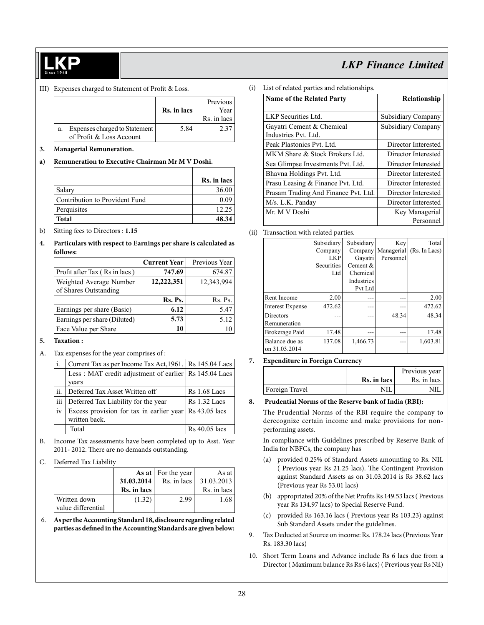III) Expenses charged to Statement of Profit & Loss.

|    |                                                             | Rs. in lacs | Previous<br>Year<br>Rs. in lacs |
|----|-------------------------------------------------------------|-------------|---------------------------------|
| a. | Expenses charged to Statement  <br>of Profit & Loss Account | 5.84        | 2.37                            |

### **3. Managerial Remuneration.**

**a) Remuneration to Executive Chairman Mr M V Doshi.** 

|                                | Rs. in lacs |
|--------------------------------|-------------|
| Salary                         | 36.00       |
| Contribution to Provident Fund | 0.09        |
| Perquisites                    | 12.25       |
| <b>Total</b>                   | 48.34       |

- b) Sitting fees to Directors : **1.15**
- **4. Particulars with respect to Earnings per share is calculated as follows:**

|                               | <b>Current Year</b> | Previous Year |
|-------------------------------|---------------------|---------------|
| Profit after Tax (Rs in lacs) | 747.69              | 674.87        |
| Weighted Average Number       | 12,222,351          | 12,343,994    |
| of Shares Outstanding         |                     |               |
|                               | Rs. Ps.             | Rs. Ps.       |
| Earnings per share (Basic)    | 6.12                | 5.47          |
| Earnings per share (Diluted)  | 5.73                | 5.12          |
| Face Value per Share          | 10                  |               |

### **5. Taxation :**

A. Tax expenses for the year comprises of :

| i.  | Current Tax as per Income Tax Act, 1961. Rs 145.04 Lacs                 |                |
|-----|-------------------------------------------------------------------------|----------------|
|     | Less: MAT credit adjustment of earlier   Rs 145.04 Lacs                 |                |
|     | vears                                                                   |                |
| ii. | Deferred Tax Asset Written off                                          | $Rs 1.68$ Lacs |
| iii | Deferred Tax Liability for the year                                     | $Rs 1.32$ Lacs |
| iv  | Excess provision for tax in earlier year Rs 43.05 lacs<br>written back. |                |
|     |                                                                         |                |
|     | Total                                                                   | Rs 40.05 lacs  |

B. Income Tax assessments have been completed up to Asst. Year 2011- 2012. There are no demands outstanding.

### C. Deferred Tax Liability

|                    |             | As at $\vert$ For the year | As at       |
|--------------------|-------------|----------------------------|-------------|
|                    | 31.03.2014  | Rs. in lacs                | 31.03.2013  |
|                    | Rs. in lacs |                            | Rs. in lacs |
| Written down       | (1.32)      | 2.99                       | 1.68        |
| value differential |             |                            |             |

 6. **As per the Accounting Standard 18, disclosure regarding related parties as defined in the Accounting Standards are given below:**

## *LKP Finance Limited*

(i) List of related parties and relationships.

| <b>Name of the Related Party</b>     | Relationship              |
|--------------------------------------|---------------------------|
| LKP Securities Ltd.                  | Subsidiary Company        |
| Gayatri Cement & Chemical            | <b>Subsidiary Company</b> |
| Industries Pvt. Ltd.                 |                           |
| Peak Plastonics Pvt. Ltd.            | Director Interested       |
| MKM Share & Stock Brokers Ltd.       | Director Interested       |
| Sea Glimpse Investments Pvt. Ltd.    | Director Interested       |
| Bhavna Holdings Pvt. Ltd.            | Director Interested       |
| Prasu Leasing & Finance Pvt. Ltd.    | Director Interested       |
| Prasam Trading And Finance Pvt. Ltd. | Director Interested       |
| M/s. L.K. Panday                     | Director Interested       |
| Mr. M V Doshi                        | Key Managerial            |
|                                      | Personnel                 |

### (ii) Transaction with related parties.

| Subsidiary<br>Key<br>Managerial<br>Company | Total<br>(Rs. In Lacs)                                               |
|--------------------------------------------|----------------------------------------------------------------------|
|                                            |                                                                      |
|                                            |                                                                      |
| Gavatri<br>Personnel                       |                                                                      |
|                                            |                                                                      |
|                                            |                                                                      |
|                                            |                                                                      |
|                                            |                                                                      |
|                                            | 2.00                                                                 |
|                                            | 472.62                                                               |
|                                            | 48.34                                                                |
|                                            |                                                                      |
|                                            | 17.48                                                                |
|                                            | 1,603.81                                                             |
|                                            |                                                                      |
|                                            | Cement $&$<br>Chemical<br>Industries<br>Pvt Ltd<br>48.34<br>1,466.73 |

### **7. Expenditure in Foreign Currency**

|                |             | Previous year |
|----------------|-------------|---------------|
|                | Rs. in lacs | Rs. in lacs   |
| Foreign Travel | NΠ          |               |

### **8. Prudential Norms of the Reserve bank of India (RBI):**

The Prudential Norms of the RBI require the company to derecognize certain income and make provisions for nonperforming assets.

In compliance with Guidelines prescribed by Reserve Bank of India for NBFCs, the company has

- (a) provided 0.25% of Standard Assets amounting to Rs. NIL ( Previous year Rs 21.25 lacs). The Contingent Provision against Standard Assets as on 31.03.2014 is Rs 38.62 lacs (Previous year Rs 53.01 lacs)
- (b) appropriated 20% of the Net Profits Rs 149.53 lacs ( Previous year Rs 134.97 lacs) to Special Reserve Fund.
- (c) provided Rs 163.16 lacs ( Previous year Rs 103.23) against Sub Standard Assets under the guidelines.
- 9. Tax Deducted at Source on income: Rs. 178.24 lacs (Previous Year Rs. 183.30 lacs)
- 10. Short Term Loans and Advance include Rs 6 lacs due from a Director ( Maximum balance Rs Rs 6 lacs) ( Previous year Rs Nil)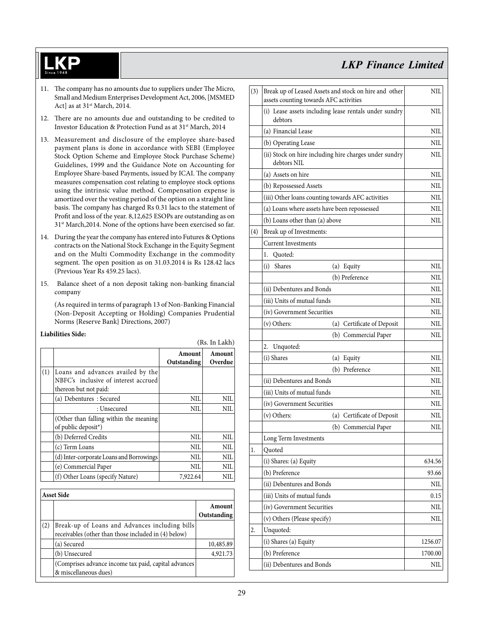- 11. The company has no amounts due to suppliers under The Micro, Small and Medium Enterprises Development Act, 2006, [MSMED Act] as at 31<sup>st</sup> March, 2014.
- 12. There are no amounts due and outstanding to be credited to Investor Education & Protection Fund as at 31<sup>st</sup> March, 2014
- 13. Measurement and disclosure of the employee share-based payment plans is done in accordance with SEBI (Employee Stock Option Scheme and Employee Stock Purchase Scheme) Guidelines, 1999 and the Guidance Note on Accounting for Employee Share-based Payments, issued by ICAI. The company measures compensation cost relating to employee stock options using the intrinsic value method. Compensation expense is amortized over the vesting period of the option on a straight line basis. The company has charged Rs 0.31 lacs to the statement of Profit and loss of the year. 8,12,625 ESOPs are outstanding as on 31<sup>st</sup> March,2014. None of the options have been exercised so far.
- 14. During the year the company has entered into Futures & Options contracts on the National Stock Exchange in the Equity Segment and on the Multi Commodity Exchange in the commodity segment. The open position as on 31.03.2014 is Rs 128.42 lacs (Previous Year Rs 459.25 lacs).
- 15. Balance sheet of a non deposit taking non-banking financial company

(As required in terms of paragraph 13 of Non-Banking Financial (Non-Deposit Accepting or Holding) Companies Prudential Norms {Reserve Bank} Directions, 2007)

#### **Liabilities Side:**

|     |                                                                                                    |                       | (Rs. In Lakh)     |
|-----|----------------------------------------------------------------------------------------------------|-----------------------|-------------------|
|     |                                                                                                    | Amount<br>Outstanding | Amount<br>Overdue |
| (1) | Loans and advances availed by the<br>NBFC's inclusive of interest accrued<br>thereon but not paid: |                       |                   |
|     | (a) Debentures : Secured                                                                           | NIL                   | NIL               |
|     | : Unsecured                                                                                        | <b>NIL</b>            | ΝIL               |
|     | (Other than falling within the meaning)<br>of public deposit*)                                     |                       |                   |
|     | (b) Deferred Credits                                                                               | <b>NIL</b>            | NIL               |
|     | (c) Term Loans                                                                                     | <b>NIL</b>            | <b>NIL</b>        |
|     | (d) Inter-corporate Loans and Borrowings                                                           | <b>NIL</b>            | NIL               |
|     | (e) Commercial Paper                                                                               | NII.                  | NIL.              |
|     | (f) Other Loans (specify Nature)                                                                   | 7,922.64              | NIL               |

|     | <b>Asset Side</b>                                                                                      |                       |  |
|-----|--------------------------------------------------------------------------------------------------------|-----------------------|--|
|     |                                                                                                        | Amount<br>Outstanding |  |
| (2) | Break-up of Loans and Advances including bills<br>receivables (other than those included in (4) below) |                       |  |
|     | (a) Secured                                                                                            | 10,485.89             |  |
|     | (b) Unsecured                                                                                          | 4,921.73              |  |
|     | (Comprises advance income tax paid, capital advances)<br>& miscellaneous dues)                         |                       |  |

| (3) | Break up of Leased Assets and stock on hire and other<br>assets counting towards AFC activities | ΝIL        |
|-----|-------------------------------------------------------------------------------------------------|------------|
|     | (i) Lease assets including lease rentals under sundry<br>debtors                                | NIL        |
|     | (a) Financial Lease                                                                             | ΝIL        |
|     | (b) Operating Lease                                                                             | NIL        |
|     | (ii) Stock on hire including hire charges under sundry<br>debtors NIL                           | ΝIL        |
|     | (a) Assets on hire                                                                              | ΝIL        |
|     | (b) Repossessed Assets                                                                          | NIL        |
|     | (iii) Other loans counting towards AFC activities                                               | NIL        |
|     | (a) Loans where assets have been repossessed                                                    | ΝIL        |
|     | (b) Loans other than (a) above                                                                  | ΝIL        |
| (4) | Break up of Investments:                                                                        |            |
|     | <b>Current Investments</b>                                                                      |            |
|     | Quoted:<br>1.                                                                                   |            |
|     | (i) Shares<br>(a) Equity                                                                        | ΝIL        |
|     | (b) Preference                                                                                  | ΝIL        |
|     | (ii) Debentures and Bonds                                                                       | NIL        |
|     | (iii) Units of mutual funds                                                                     | ΝIL        |
|     | (iv) Government Securities                                                                      | ΝIL        |
|     | (v) Others:<br>(a) Certificate of Deposit                                                       | ΝIL        |
|     | (b) Commercial Paper                                                                            | NIL        |
|     | Unquoted:<br>2.                                                                                 |            |
|     | (i) Shares<br>(a) Equity                                                                        | ΝIL        |
|     | (b) Preference                                                                                  | ΝIL        |
|     | (ii) Debentures and Bonds                                                                       | ΝIL        |
|     | (iii) Units of mutual funds                                                                     | NIL        |
|     | (iv) Government Securities                                                                      | NIL        |
|     | (v) Others:<br>(a) Certificate of Deposit                                                       | NIL        |
|     | (b) Commercial Paper                                                                            | ΝIL        |
|     | Long Term Investments                                                                           |            |
| 1.  | Quoted                                                                                          |            |
|     | (i) Shares: (a) Equity                                                                          | 634.56     |
|     | (b) Preference                                                                                  | 93.66      |
|     | (ii) Debentures and Bonds                                                                       | NIL        |
|     | (iii) Units of mutual funds                                                                     | 0.15       |
|     | (iv) Government Securities                                                                      | <b>NIL</b> |
|     | (v) Others (Please specify)                                                                     | ΝIL        |
| 2.  | Unquoted:                                                                                       |            |
|     | (i) Shares (a) Equity                                                                           | 1256.07    |
|     | (b) Preference                                                                                  | 1700.00    |
|     | (ii) Debentures and Bonds                                                                       | <b>NIL</b> |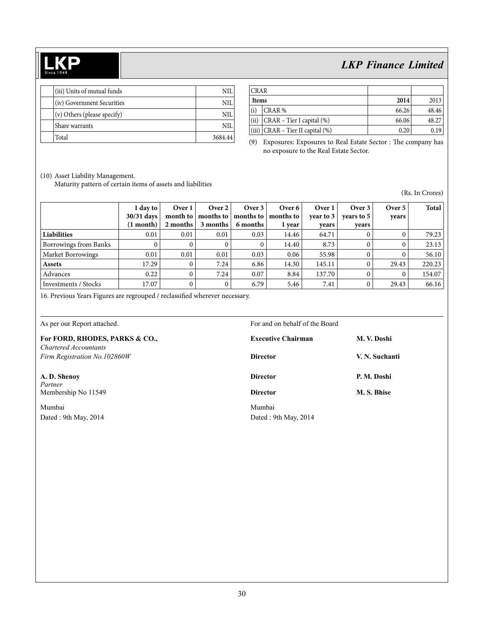| (iii) Units of mutual funds | NII     |
|-----------------------------|---------|
| (iv) Government Securities  | NH      |
| (v) Others (please specify) | NH      |
| Share warrants              | NH.     |
| Total                       | 3684.44 |

| <b>CRAR</b>  |                                       |       |       |
|--------------|---------------------------------------|-------|-------|
| <b>Items</b> |                                       | 2014  | 2013  |
| (i)          | CRAR <sup>%</sup>                     | 66.26 | 48.46 |
| (ii)         | CRAR – Tier I capital (%)             | 66.06 | 48.27 |
|              | $(iii)$ CRAR – Tier II capital $(\%)$ | 0.20  | 0.19  |

(9) Exposures: Exposures to Real Estate Sector : The company has no exposure to the Real Estate Sector.

### (10) Asset Liability Management.

Maturity pattern of certain items of assets and liabilities

**1 day to 30/31 days (1 month) Over 1 month to 2 months Over 2 months to 3 months Over 3 months to 6 months Over 6 months to 1 year Over 1 year to 3 years Over 3 years to 5 years Over 5 years Total Liabilities** 0.01 0.01 0.01 0.03 14.46 64.71 0 0 79.23 Borrowings from Banks  $\begin{vmatrix} 0 & 0 & 0 & 0 & 14.40 & 8.73 & 0 & 0 & 23.13 \end{vmatrix}$ Market Borrowings | 0.01 0.01 0.01 0.03 0.06 55.98 0 0 56.10 **Assets** 17.29 0 7.24 6.86 14.30 145.11 0 29.43 220.23 Advances ( 0.22 0 7.24 0.07 8.84 137.70 0 0 154.07 Investments / Stocks | 17.07 | 0 0 6.79 5.46 7.41 0 29.43 66.16

16. Previous Years Figures are regrouped / reclassified wherever necessary.

### As per our Report attached. For and on behalf of the Board

**For FORD, RHODES, PARKS & CO., Executive Chairman M. V. Doshi**

*Chartered Accountants Firm Registration No.102860W* **Director V. N. Suchanti**

**A. D. Shenoy Director P. M. Doshi** *Partner* Membership No 11549 **Director M. S. Bhise**

Mumbai Mumbai Dated : 9th May, 2014 Dated : 9th May, 2014

(Rs. In Crores)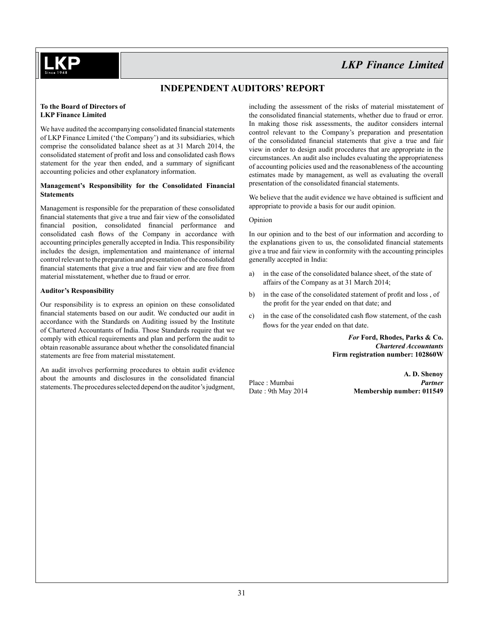

### **Independent Auditors' Report**

### **To the Board of Directors of LKP Finance Limited**

We have audited the accompanying consolidated financial statements of LKP Finance Limited ('the Company') and its subsidiaries, which comprise the consolidated balance sheet as at 31 March 2014, the consolidated statement of profit and loss and consolidated cash flows statement for the year then ended, and a summary of significant accounting policies and other explanatory information.

### **Management's Responsibility for the Consolidated Financial Statements**

Management is responsible for the preparation of these consolidated financial statements that give a true and fair view of the consolidated financial position, consolidated financial performance and consolidated cash flows of the Company in accordance with accounting principles generally accepted in India. This responsibility includes the design, implementation and maintenance of internal control relevant to the preparation and presentation of the consolidated financial statements that give a true and fair view and are free from material misstatement, whether due to fraud or error.

### **Auditor's Responsibility**

Our responsibility is to express an opinion on these consolidated financial statements based on our audit. We conducted our audit in accordance with the Standards on Auditing issued by the Institute of Chartered Accountants of India. Those Standards require that we comply with ethical requirements and plan and perform the audit to obtain reasonable assurance about whether the consolidated financial statements are free from material misstatement.

An audit involves performing procedures to obtain audit evidence about the amounts and disclosures in the consolidated financial statements. The procedures selected depend on the auditor's judgment, including the assessment of the risks of material misstatement of the consolidated financial statements, whether due to fraud or error. In making those risk assessments, the auditor considers internal control relevant to the Company's preparation and presentation of the consolidated financial statements that give a true and fair view in order to design audit procedures that are appropriate in the circumstances. An audit also includes evaluating the appropriateness of accounting policies used and the reasonableness of the accounting estimates made by management, as well as evaluating the overall presentation of the consolidated financial statements.

We believe that the audit evidence we have obtained is sufficient and appropriate to provide a basis for our audit opinion.

### Opinion

In our opinion and to the best of our information and according to the explanations given to us, the consolidated financial statements give a true and fair view in conformity with the accounting principles generally accepted in India:

- a) in the case of the consolidated balance sheet, of the state of affairs of the Company as at 31 March 2014;
- b) in the case of the consolidated statement of profit and loss , of the profit for the year ended on that date; and
- c) in the case of the consolidated cash flow statement, of the cash flows for the year ended on that date.

*For* **Ford, Rhodes, Parks & Co.** *Chartered Accountants* **Firm registration number: 102860W**

**A. D. Shenoy** Place : Mumbai *Partner* Date : 9th May 2014 **Membership number: 011549**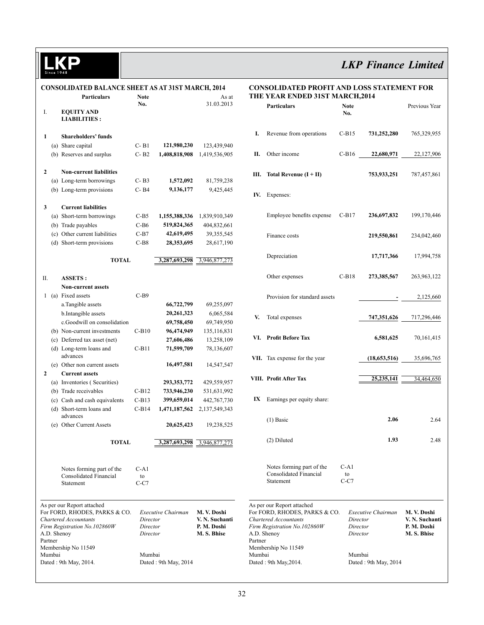LKP

## *LKP Finance Limited*

|                                  | <b>CONSOLIDATED BALANCE SHEET AS AT 31ST MARCH, 2014</b>                                                                                                              |                                            |                                            |                                                            |                   | <b>CONSOLIDATED PROFIT AND LOSS STATEMENT FOR</b>                                                                                                                                    |                                            |                                            |                                                            |
|----------------------------------|-----------------------------------------------------------------------------------------------------------------------------------------------------------------------|--------------------------------------------|--------------------------------------------|------------------------------------------------------------|-------------------|--------------------------------------------------------------------------------------------------------------------------------------------------------------------------------------|--------------------------------------------|--------------------------------------------|------------------------------------------------------------|
|                                  | <b>Particulars</b>                                                                                                                                                    | <b>Note</b>                                |                                            | As at                                                      |                   | THE YEAR ENDED 31ST MARCH, 2014                                                                                                                                                      |                                            |                                            |                                                            |
| I.                               | <b>EQUITY AND</b><br><b>LIABILITIES:</b>                                                                                                                              | No.                                        |                                            | 31.03.2013                                                 |                   | <b>Particulars</b>                                                                                                                                                                   | <b>Note</b><br>No.                         |                                            | Previous Year                                              |
|                                  |                                                                                                                                                                       |                                            |                                            |                                                            | I.                | Revenue from operations                                                                                                                                                              | $C-B15$                                    | 731,252,280                                | 765,329,955                                                |
| 1                                | Shareholders' funds                                                                                                                                                   |                                            |                                            |                                                            |                   |                                                                                                                                                                                      |                                            |                                            |                                                            |
|                                  | (a) Share capital                                                                                                                                                     | $C - B1$                                   | 121,980,230                                | 123,439,940                                                | П.                | Other income                                                                                                                                                                         | $C-B16$                                    |                                            |                                                            |
|                                  | (b) Reserves and surplus                                                                                                                                              | $C - B2$                                   | 1,408,818,908                              | 1,419,536,905                                              |                   |                                                                                                                                                                                      |                                            | 22,680,971                                 | 22,127,906                                                 |
| $\overline{2}$                   | <b>Non-current liabilities</b>                                                                                                                                        |                                            |                                            |                                                            |                   |                                                                                                                                                                                      |                                            | 753,933,251                                |                                                            |
|                                  | (a) Long-term borrowings                                                                                                                                              | $C - B3$                                   | 1,572,092                                  | 81,759,238                                                 |                   | III. Total Revenue $(I + II)$                                                                                                                                                        |                                            |                                            | 787,457,861                                                |
|                                  | (b) Long-term provisions                                                                                                                                              | C-B4                                       | 9,136,177                                  | 9,425,445                                                  |                   |                                                                                                                                                                                      |                                            |                                            |                                                            |
|                                  |                                                                                                                                                                       |                                            |                                            |                                                            |                   | IV. Expenses:                                                                                                                                                                        |                                            |                                            |                                                            |
| 3                                | <b>Current liabilities</b>                                                                                                                                            |                                            |                                            |                                                            |                   |                                                                                                                                                                                      |                                            |                                            |                                                            |
|                                  | (a) Short-term borrowings                                                                                                                                             | $C-B5$                                     | 1,155,388,336                              | 1,839,910,349                                              |                   | Employee benefits expense                                                                                                                                                            | $C-B17$                                    | 236,697,832                                | 199,170,446                                                |
|                                  | (b) Trade payables                                                                                                                                                    | $C-B6$                                     | 519,824,365                                | 404,832,661                                                |                   |                                                                                                                                                                                      |                                            |                                            |                                                            |
|                                  | (c) Other current liabilities                                                                                                                                         | $C-B7$                                     | 42,619,495                                 | 39, 355, 545                                               |                   | Finance costs                                                                                                                                                                        |                                            | 219,550,861                                | 234,042,460                                                |
|                                  | (d) Short-term provisions                                                                                                                                             | $C-B8$                                     | 28, 353, 695                               | 28,617,190                                                 |                   |                                                                                                                                                                                      |                                            |                                            |                                                            |
|                                  | <b>TOTAL</b>                                                                                                                                                          |                                            | 3,287,693,298                              | 3,946,877,273                                              |                   | Depreciation                                                                                                                                                                         |                                            | 17,717,366                                 | 17,994,758                                                 |
| П.                               | ASSETS:                                                                                                                                                               |                                            |                                            |                                                            |                   | Other expenses                                                                                                                                                                       | $C-B18$                                    | 273,385,567                                | 263,963,122                                                |
|                                  | <b>Non-current assets</b>                                                                                                                                             |                                            |                                            |                                                            |                   |                                                                                                                                                                                      |                                            |                                            |                                                            |
|                                  | 1 (a) Fixed assets<br>a.Tangible assets                                                                                                                               | $C-B9$                                     | 66,722,799                                 | 69,255,097                                                 |                   | Provision for standard assets                                                                                                                                                        |                                            |                                            | 2,125,660                                                  |
|                                  | b.Intangible assets                                                                                                                                                   |                                            | 20,261,323                                 | 6,065,584                                                  |                   |                                                                                                                                                                                      |                                            |                                            |                                                            |
|                                  | c.Goodwill on consolidation                                                                                                                                           |                                            | 69,758,450                                 | 69,749,950                                                 | V.                | Total expenses                                                                                                                                                                       |                                            | 747,351,626                                | 717,296,446                                                |
|                                  | (b) Non-current investments                                                                                                                                           | $C-B10$                                    | 96,474,949                                 | 135,116,831                                                |                   |                                                                                                                                                                                      |                                            |                                            |                                                            |
|                                  | (c) Deferred tax asset (net)                                                                                                                                          |                                            | 27,606,486                                 | 13,258,109                                                 |                   | VI. Profit Before Tax                                                                                                                                                                |                                            | 6,581,625                                  | 70, 161, 415                                               |
|                                  | (d) Long-term loans and                                                                                                                                               | $C-B11$                                    | 71,599,709                                 | 78,136,607                                                 |                   |                                                                                                                                                                                      |                                            |                                            |                                                            |
|                                  | advances                                                                                                                                                              |                                            |                                            |                                                            |                   | VII. Tax expense for the year                                                                                                                                                        |                                            | (18, 653, 516)                             | 35,696,765                                                 |
|                                  | (e) Other non current assets                                                                                                                                          |                                            | 16,497,581                                 | 14,547,547                                                 |                   |                                                                                                                                                                                      |                                            |                                            |                                                            |
| $\overline{2}$                   | <b>Current assets</b>                                                                                                                                                 |                                            |                                            |                                                            |                   | VIII. Profit After Tax                                                                                                                                                               |                                            | 25, 235, 141                               | 34,464,650                                                 |
|                                  | (a) Inventories (Securities)                                                                                                                                          |                                            | 293,353,772                                | 429,559,957                                                |                   |                                                                                                                                                                                      |                                            |                                            |                                                            |
|                                  | (b) Trade receivables                                                                                                                                                 | $C-B12$                                    | 733,946,230                                | 531,631,992                                                |                   |                                                                                                                                                                                      |                                            |                                            |                                                            |
|                                  | (c) Cash and cash equivalents                                                                                                                                         | $C-B13$                                    | 399,659,014                                | 442,767,730                                                |                   | IX Earnings per equity share:                                                                                                                                                        |                                            |                                            |                                                            |
|                                  | (d) Short-term loans and<br>advances                                                                                                                                  | $C-B14$                                    | 1,471,187,562                              | 2,137,549,343                                              |                   |                                                                                                                                                                                      |                                            |                                            |                                                            |
|                                  | (e) Other Current Assets                                                                                                                                              |                                            | 20,625,423                                 | 19,238,525                                                 |                   | $(1)$ Basic                                                                                                                                                                          |                                            | 2.06                                       | 2.64                                                       |
|                                  | <b>TOTAL</b>                                                                                                                                                          |                                            | 3,287,693,298                              | 3,946,877,273                                              |                   | (2) Diluted                                                                                                                                                                          |                                            | 1.93                                       | 2.48                                                       |
|                                  | Notes forming part of the<br><b>Consolidated Financial</b><br>Statement                                                                                               | $C-A1$<br>to<br>$C-C7$                     |                                            |                                                            |                   | Notes forming part of the<br>Consolidated Financial<br>Statement                                                                                                                     | $C-A1$<br>to<br>$C-C7$                     |                                            |                                                            |
| A.D. Shenoy<br>Partner<br>Mumbai | As per our Report attached<br>For FORD, RHODES, PARKS & CO.<br>Chartered Accountants<br>Firm Registration No.102860W<br>Membership No 11549<br>Dated : 9th May, 2014. | Director<br>Director<br>Director<br>Mumbai | Executive Chairman<br>Dated: 9th May, 2014 | M.V. Doshi<br>V. N. Suchanti<br>P. M. Doshi<br>M. S. Bhise | Partner<br>Mumbai | As per our Report attached<br>For FORD, RHODES, PARKS & CO.<br>Chartered Accountants<br>Firm Registration No.102860W<br>A.D. Shenoy<br>Membership No 11549<br>Dated : 9th May, 2014. | Director<br>Director<br>Director<br>Mumbai | Executive Chairman<br>Dated: 9th May, 2014 | M.V. Doshi<br>V. N. Suchanti<br>P. M. Doshi<br>M. S. Bhise |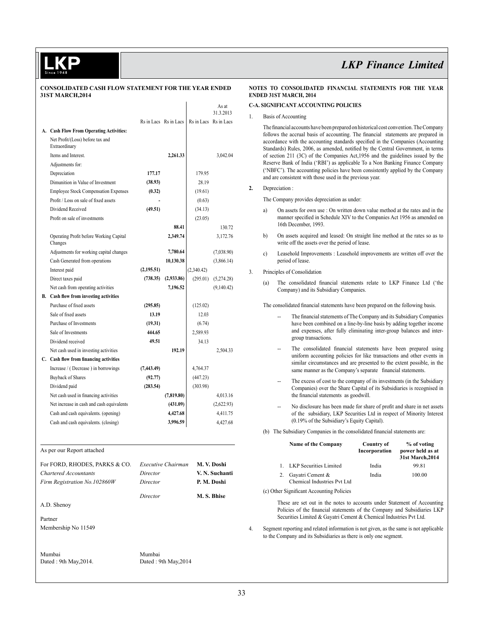#### **CONSOLIDATED CASH FLOW STATEMENT FOR THE YEAR ENDED 31ST MARCH,2014**

|                                                                               |                      |                       |                   | As at<br>31.3.2013            |
|-------------------------------------------------------------------------------|----------------------|-----------------------|-------------------|-------------------------------|
|                                                                               |                      | Rs in Lacs Rs in Lacs |                   | Rs in Lacs Rs in Lacs         |
| A. Cash Flow From Operating Activities:                                       |                      |                       |                   |                               |
| Net Profit/(Loss) before tax and<br>Extraordinary                             |                      |                       |                   |                               |
| Items and Interest.                                                           |                      | 2,261.33              |                   | 3,042.04                      |
| Adjustments for:                                                              |                      |                       |                   |                               |
| Depreciation                                                                  | 177.17               |                       | 179.95            |                               |
| Dimunition in Value of Investment                                             | (38.93)              |                       | 28.19             |                               |
| <b>Employee Stock Compensation Expenses</b>                                   | (0.32)               |                       | (19.61)           |                               |
| Profit / Loss on sale of fixed assets                                         |                      |                       | (0.63)            |                               |
| Dividend Received                                                             | (49.51)              |                       | (34.13)           |                               |
| Profit on sale of investments                                                 |                      |                       | (23.05)           |                               |
|                                                                               |                      | 88.41                 |                   | 130.72                        |
| Operating Profit before Working Capital<br>Changes                            |                      | 2,349.74              |                   | 3,172.76                      |
| Adjustments for working capital changes                                       |                      | 7,780.64              |                   | (7,038.90)                    |
| Cash Generated from operations                                                |                      | 10,130.38             |                   | (3,866.14)                    |
| Interest paid                                                                 | (2,195.51)           |                       | (2,340.42)        |                               |
| Direct taxes paid                                                             | (738.35)             | (2,933.86)            | (295.01)          | (5,274.28)                    |
| Net cash from operating activities                                            |                      | 7,196.52              |                   | (9,140.42)                    |
| <b>B.</b> Cash flow from investing activities                                 |                      |                       |                   |                               |
| Purchase of fixed assets                                                      | (295.85)             |                       | (125.02)          |                               |
| Sale of fixed assets<br>Purchase of Investments                               | 13.19                |                       | 12.03             |                               |
|                                                                               | (19.31)              |                       | (6.74)            |                               |
| Sale of Investments<br>Dividend received                                      | 444.65<br>49.51      |                       | 2,589.93<br>34.13 |                               |
|                                                                               |                      | 192.19                |                   |                               |
| Net cash used in investing activities                                         |                      |                       |                   | 2,504.33                      |
| C. Cash flow from financing activities<br>Increase / (Decrease) in borrowings | (7, 443.49)          |                       | 4,764.37          |                               |
| <b>Buyback of Shares</b>                                                      | (92.77)              |                       | (447.23)          |                               |
| Dividend paid                                                                 | (283.54)             |                       | (303.98)          |                               |
| Net cash used in financing activities                                         |                      | (7,819.80)            |                   | 4,013.16                      |
| Net increase in cash and cash equivalents                                     |                      | (431.09)              |                   | (2,622.93)                    |
| Cash and cash equivalents. (opening)                                          |                      | 4,427.68              |                   | 4,411.75                      |
| Cash and cash equivalents. (closing)                                          |                      | 3,996.59              |                   | 4,427.68                      |
|                                                                               |                      |                       |                   |                               |
| As per our Report attached                                                    |                      |                       |                   |                               |
| For FORD, RHODES, PARKS & CO.                                                 |                      | Executive Chairman    |                   | M. V. Doshi                   |
| Chartered Accountants<br>Firm Registration No.102860W                         | Director<br>Director |                       |                   | V. N. Suchanti<br>P. M. Doshi |
|                                                                               | Director             |                       |                   | M. S. Bhise                   |
| A.D. Shenoy                                                                   |                      |                       |                   |                               |
| Partner                                                                       |                      |                       |                   |                               |

Membership No 11549

Mumbai Mumbai Dated : 9th May, 2014.

#### **Notes to Consolidated financial statements for the year ended 31st March, 2014**

### **C-A. SIGNIFICANT ACCOUNTING POLICIES**

1. Basis of Accounting

The financial accounts have been prepared on historical cost convention. The Company follows the accrual basis of accounting. The financial statements are prepared in accordance with the accounting standards specified in the Companies (Accounting Standards) Rules, 2006, as amended, notified by the Central Government, in terms of section 211 (3C) of the Companies Act,1956 and the guidelines issued by the Reserve Bank of India ('RBI') as applicable To a Non Banking Finance Company ('NBFC'). The accounting policies have been consistently applied by the Company and are consistent with those used in the previous year.

**2.** Depreciation :

The Company provides depreciation as under:

- a) On assets for own use : On written down value method at the rates and in the manner specified in Schedule XIV to the Companies Act 1956 as amended on 16th December, 1993.
- b) On assets acquired and leased: On straight line method at the rates so as to write off the assets over the period of lease.
- c) Leasehold Improvements : Leasehold improvements are written off over the period of lease.

#### 3. Principles of Consolidation

(a) The consolidated financial statements relate to LKP Finance Ltd ('the Company) and its Subsidiary Companies.

The consolidated financial statements have been prepared on the following basis.

- The financial statements of The Company and its Subsidiary Companies have been combined on a line-by-line basis by adding together income and expenses, after fully eliminating inter-group balances and intergroup transactions.
- The consolidated financial statements have been prepared using uniform accounting policies for like transactions and other events in similar circumstances and are presented to the extent possible, in the same manner as the Company's separate financial statements.
- The excess of cost to the company of its investments (in the Subsidiary Companies) over the Share Capital of its Subsidiaries is recognised in the financial statements as goodwill.
- No disclosure has been made for share of profit and share in net assets of the subsidiary, LKP Securities Ltd in respect of Minority Interest (0.19% of the Subsidiary's Equity Capital).

(b) The Subsidiary Companies in the consolidated financial statements are:

|    | <b>Name of the Company</b>                      | Country of<br>Incorporation | % of voting<br>power held as at<br>31st March, 2014 |
|----|-------------------------------------------------|-----------------------------|-----------------------------------------------------|
|    | 1. LKP Securities Limited                       | India                       | 99.81                                               |
| 2. | Gavatri Cement &<br>Chemical Industries Pvt Ltd | India                       | 100.00                                              |

(c) Other Significant Accounting Policies

These are set out in the notes to accounts under Statement of Accounting Policies of the financial statements of the Company and Subsidiaries LKP Securities Limited & Gayatri Cement & Chemical Industries Pvt Ltd.

4. Segment reporting and related information is not given, as the same is not applicable to the Company and its Subsidiaries as there is only one segment.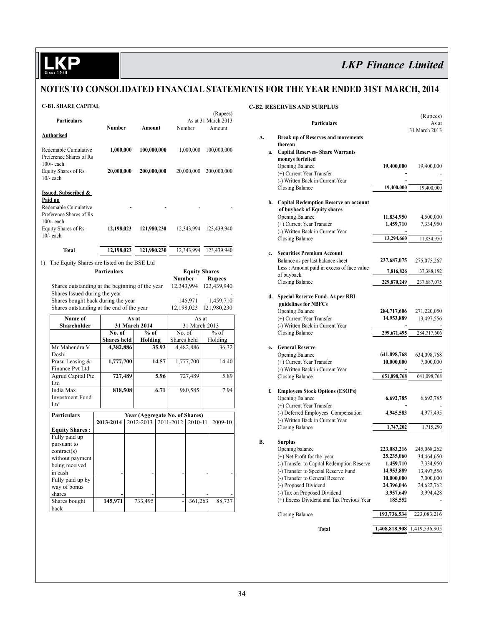# **KP**

### *LKP Finance Limited*

### **Notes to Consolidated financial statements for the year ended 31st March, 2014**

### **C-B1. Share Capital**

| <b>Authorised</b>           | <b>Particulars</b>                                                              | <b>Number</b>      |       | Amount                                      |       |               | Number               | (Rupees)<br>As at 31 March 2013<br>Amount |
|-----------------------------|---------------------------------------------------------------------------------|--------------------|-------|---------------------------------------------|-------|---------------|----------------------|-------------------------------------------|
|                             | Redemable Cumulative<br>Preference Shares of Rs                                 | 1,000,000          |       | 100,000,000                                 |       |               | 1,000,000            | 100,000,000                               |
| $100/-$ each<br>$10/-$ each | Equity Shares of Rs                                                             | 20,000,000         |       | 200,000,000                                 |       |               | 20,000,000           | 200,000,000                               |
| Paid up                     | Issued, Subscribed &<br>Redemable Cumulative                                    |                    |       |                                             |       |               |                      |                                           |
| 100/- each<br>$10/-$ each   | Preference Shares of Rs<br>Equity Shares of Rs                                  | 12,198,023         |       | 121,980,230                                 |       |               | 12,343,994           | 123,439,940                               |
|                             | <b>Total</b>                                                                    | 12,198,023         |       | 121,980,230                                 |       |               | 12,343,994           | 123,439,940                               |
| 1)                          | The Equity Shares are listed on the BSE Ltd                                     |                    |       |                                             |       |               |                      |                                           |
|                             |                                                                                 | <b>Particulars</b> |       |                                             |       |               | <b>Equity Shares</b> |                                           |
|                             |                                                                                 |                    |       |                                             |       | <b>Number</b> |                      | <b>Rupees</b>                             |
|                             | Shares outstanding at the beginning of the year                                 |                    |       |                                             |       | 12,343,994    |                      | 123,439,940                               |
|                             | Shares Issued during the year                                                   |                    |       |                                             |       |               |                      |                                           |
|                             | Shares bought back during the year<br>Shares outstanding at the end of the year |                    |       |                                             |       | 12,198,023    | 145,971              | 1,459,710<br>121,980,230                  |
|                             | Name of                                                                         |                    | As at |                                             |       |               | As at                |                                           |
|                             | Shareholder                                                                     |                    |       | 31 March 2014                               |       |               | 31 March 2013        |                                           |
|                             |                                                                                 | No. of             |       | $%$ of                                      |       | No. of        |                      | $%$ of                                    |
|                             | Mr Mahendra V                                                                   | <b>Shares</b> held |       | Holding                                     | 35.93 | Shares held   |                      | Holding                                   |
|                             | Doshi                                                                           | 4,382,886          |       |                                             |       |               | 4,482,886            | 36.32                                     |
|                             | Prasu Leasing &                                                                 | 1,777,700          |       |                                             | 14.57 | 1,777,700     |                      |                                           |
|                             | Finance Pvt Ltd<br><b>Agrud Capital Pte</b>                                     |                    |       |                                             |       |               |                      | 14.40                                     |
| Ltd                         |                                                                                 | 727,489            |       |                                             | 5.96  |               | 727,489              | 5.89                                      |
|                             |                                                                                 |                    |       |                                             |       |               |                      |                                           |
| Ltd                         | India Max<br><b>Investment Fund</b>                                             | 818,508            |       |                                             | 6.71  |               | 980,585              | 7.94                                      |
|                             |                                                                                 |                    |       |                                             |       |               |                      |                                           |
|                             | <b>Particulars</b>                                                              | 2013-2014          |       | Year (Aggregate No. of Shares)<br>2012-2013 |       | 2011-2012     | 2010-11              | 2009-10                                   |
|                             | <b>Equity Shares:</b>                                                           |                    |       |                                             |       |               |                      |                                           |
|                             | Fully paid up                                                                   |                    |       |                                             |       |               |                      |                                           |
|                             | pursuant to                                                                     |                    |       |                                             |       |               |                      |                                           |
|                             | contract(s)                                                                     |                    |       |                                             |       |               |                      |                                           |
|                             | without payment                                                                 |                    |       |                                             |       |               |                      |                                           |
|                             | being received<br>in cash                                                       |                    |       |                                             |       |               |                      |                                           |
|                             | Fully paid up by                                                                |                    |       |                                             |       |               |                      |                                           |
|                             | way of bonus                                                                    |                    |       |                                             |       |               |                      |                                           |
|                             | shares<br>Shares bought                                                         | 145,971            |       | 733,495                                     |       |               | 361,263              | 88,737                                    |

#### **C-B2. Reserves and Surplus**

|    | <b>Particulars</b>                                                                                                                                                                                                                                                                                                 |                                                                                                                         | (Rupees)<br>As at<br>31 March 2013                                                                          |
|----|--------------------------------------------------------------------------------------------------------------------------------------------------------------------------------------------------------------------------------------------------------------------------------------------------------------------|-------------------------------------------------------------------------------------------------------------------------|-------------------------------------------------------------------------------------------------------------|
| A. | <b>Break up of Reserves and movements</b>                                                                                                                                                                                                                                                                          |                                                                                                                         |                                                                                                             |
|    | thereon<br><b>Capital Reserves- Share Warrants</b><br>a.<br>moneys forfeited<br><b>Opening Balance</b><br>(+) Current Year Transfer<br>(-) Written Back in Current Year<br><b>Closing Balance</b>                                                                                                                  | 19,400,000<br>19,400,000                                                                                                | 19,400,000<br>19,400,000                                                                                    |
|    | <b>Capital Redemption Reserve on account</b><br>b.<br>of buyback of Equity shares<br><b>Opening Balance</b><br>(+) Current Year Transfer<br>(-) Written Back in Current Year<br><b>Closing Balance</b>                                                                                                             | 11,834,950<br>1,459,710<br>13,294,660                                                                                   | 4,500,000<br>7,334,950<br>11,834,950                                                                        |
|    | <b>Securities Premium Account</b><br>c.<br>Balance as per last balance sheet<br>Less: Amount paid in excess of face value<br>of buyback<br><b>Closing Balance</b>                                                                                                                                                  | 237,687,075<br>7,816,826<br>229,870,249                                                                                 | 275,075,267<br>37,388,192<br>237,687,075                                                                    |
|    | <b>Special Reserve Fund-As per RBI</b><br>d.<br>guidelines for NBFCs<br><b>Opening Balance</b><br>(+) Current Year Transfer<br>(-) Written Back in Current Year<br><b>Closing Balance</b>                                                                                                                          | 284,717,606<br>14,953,889<br>299,671,495                                                                                | 271,220,050<br>13,497,556<br>284,717,606                                                                    |
|    | <b>General Reserve</b><br>e.<br><b>Opening Balance</b><br>(+) Current Year Transfer<br>(-) Written Back in Current Year<br><b>Closing Balance</b>                                                                                                                                                                  | 641,098,768<br>10,000,000<br>651,098,768                                                                                | 634,098,768<br>7,000,000<br>641,098,768                                                                     |
|    | f.<br><b>Employees Stock Options (ESOPs)</b><br>Opening Balance<br>(+) Current Year Transfer<br>(-) Deferred Employees Compensation<br>(-) Written Back in Current Year<br><b>Closing Balance</b>                                                                                                                  | 6,692,785<br>4,945,583<br>1,747,202                                                                                     | 6,692,785<br>4,977,495<br>1,715,290                                                                         |
| В. | <b>Surplus</b><br>Opening balance<br>(+) Net Profit for the year<br>(-) Transfer to Capital Redemption Reserve<br>(-) Transfer to Special Reserve Fund<br>(-) Transfer to General Reserve<br>(-) Proposed Dividend<br>(-) Tax on Proposed Dividend<br>(+) Excess Dividend and Tax Previous Year<br>Closing Balance | 223,083,216<br>25,235,060<br>1,459,710<br>14,953,889<br>10,000,000<br>24,396,046<br>3,957,649<br>185,552<br>193,736,534 | 245,068,262<br>34,464,650<br>7,334,950<br>13,497,556<br>7,000,000<br>24,622,762<br>3,994,428<br>223,083,216 |
|    | <b>Total</b>                                                                                                                                                                                                                                                                                                       |                                                                                                                         | 1,408,818,908 1,419,536,905                                                                                 |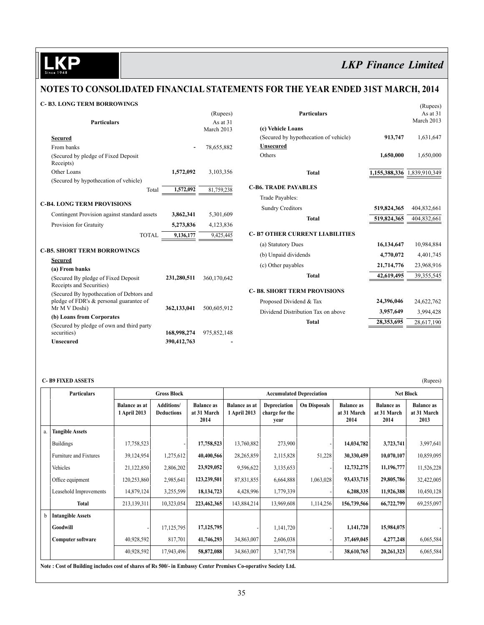### **Notes to Consolidated financial statements for the year ended 31st March, 2014**

### **C- B3. Long Term Borrowings**

| C- B3. LONG TERM BORROWINGS                                      |             |             |                                       |                             | (Rupees)    |
|------------------------------------------------------------------|-------------|-------------|---------------------------------------|-----------------------------|-------------|
|                                                                  |             | (Rupees)    | Particulars                           |                             | As at 31    |
| <b>Particulars</b>                                               |             | As at 31    |                                       |                             | March 2013  |
|                                                                  |             | March 2013  | (c) Vehicle Loans                     |                             |             |
| <b>Secured</b>                                                   |             |             | (Secured by hypothecation of vehicle) | 913,747                     | 1,631,647   |
| From banks                                                       |             | 78,655,882  | <b>Unsecured</b>                      |                             |             |
| (Secured by pledge of Fixed Deposit)<br>Receipts)                |             |             | Others                                | 1,650,000                   | 1,650,000   |
| Other Loans                                                      | 1,572,092   | 3,103,356   | <b>Total</b>                          | 1,155,388,336 1,839,910,349 |             |
| (Secured by hypothecation of vehicle)                            |             |             |                                       |                             |             |
| Total                                                            | 1,572,092   | 81,759,238  | <b>C-B6. TRADE PAYABLES</b>           |                             |             |
|                                                                  |             |             | Trade Payables:                       |                             |             |
| <b>C-B4. LONG TERM PROVISIONS</b>                                |             |             | <b>Sundry Creditors</b>               | 519,824,365                 | 404,832,661 |
| Contingent Provision against standard assets                     | 3,862,341   | 5,301,609   | <b>Total</b>                          | 519,824,365                 | 404,832,661 |
| Provision for Gratuity                                           | 5,273,836   | 4,123,836   |                                       |                             |             |
| <b>TOTAL</b>                                                     | 9,136,177   | 9,425,445   | <b>C-B7 OTHER CURRENT LIABILITIES</b> |                             |             |
|                                                                  |             |             | (a) Statutory Dues                    | 16,134,647                  | 10,984,884  |
| <b>C-B5. SHORT TERM BORROWINGS</b>                               |             |             | (b) Unpaid dividends                  | 4,770,072                   | 4,401,745   |
| <b>Secured</b>                                                   |             |             | (c) Other payables                    | 21,714,776                  | 23,968,916  |
| (a) From banks                                                   |             |             |                                       |                             |             |
| (Secured By pledge of Fixed Deposit)<br>Receipts and Securities) | 231.280.511 | 360,170,642 | <b>Total</b>                          | 42,619,495                  | 39,355,545  |
| (Secured By hypothecation of Debtors and                         |             |             | <b>C-B8. SHORT TERM PROVISIONS</b>    |                             |             |
| pledge of FDR's & personal guarantee of                          |             |             | Proposed Dividend & Tax               | 24,396,046                  | 24,622,762  |
| Mr M V Doshi)                                                    | 362,133,041 | 500,605,912 | Dividend Distribution Tax on above    | 3,957,649                   | 3,994,428   |
| (b) Loans from Corporates                                        |             |             | <b>Total</b>                          | 28,353,695                  | 28,617,190  |
| (Secured by pledge of own and third party<br>securities)         | 168,998,274 | 975,852,148 |                                       |                             |             |
| <b>Unsecured</b>                                                 | 390,412,763 |             |                                       |                             |             |

### **C- B9 Fixed Assets** (Rupees)

|    | <b>Particulars</b>                                                                                               |                                      | <b>Gross Block</b>              |                                          |                                      | <b>Accumulated Depreciation</b>        |                     |                                          | <b>Net Block</b>                         |                                          |
|----|------------------------------------------------------------------------------------------------------------------|--------------------------------------|---------------------------------|------------------------------------------|--------------------------------------|----------------------------------------|---------------------|------------------------------------------|------------------------------------------|------------------------------------------|
|    |                                                                                                                  | <b>Balance as at</b><br>1 April 2013 | Additions/<br><b>Deductions</b> | <b>Balance as</b><br>at 31 March<br>2014 | <b>Balance as at</b><br>1 April 2013 | Depreciation<br>charge for the<br>year | <b>On Disposals</b> | <b>Balance as</b><br>at 31 March<br>2014 | <b>Balance as</b><br>at 31 March<br>2014 | <b>Balance as</b><br>at 31 March<br>2013 |
| a. | <b>Tangible Assets</b>                                                                                           |                                      |                                 |                                          |                                      |                                        |                     |                                          |                                          |                                          |
|    | <b>Buildings</b>                                                                                                 | 17,758,523                           |                                 | 17,758,523                               | 13,760,882                           | 273,900                                |                     | 14,034,782                               | 3,723,741                                | 3,997,641                                |
|    | Furniture and Fixtures                                                                                           | 39,124,954                           | 1,275,612                       | 40,400,566                               | 28,265,859                           | 2,115,828                              | 51,228              | 30,330,459                               | 10,070,107                               | 10,859,095                               |
|    | Vehicles                                                                                                         | 21,122,850                           | 2,806,202                       | 23,929,052                               | 9,596,622                            | 3,135,653                              |                     | 12,732,275                               | 11,196,777                               | 11,526,228                               |
|    | Office equipment                                                                                                 | 120,253,860                          | 2,985,641                       | 123,239,501                              | 87,831,855                           | 6,664,888                              | 1,063,028           | 93,433,715                               | 29,805,786                               | 32,422,005                               |
|    | Leasehold Improvements                                                                                           | 14,879,124                           | 3,255,599                       | 18, 134, 723                             | 4,428,996                            | 1,779,339                              |                     | 6,208,335                                | 11,926,388                               | 10,450,128                               |
|    | Total                                                                                                            | 213,139,311                          | 10,323,054                      | 223,462,365                              | 143,884,214                          | 13,969,608                             | 1,114,256           | 156,739,566                              | 66,722,799                               | 69,255,097                               |
| b  | <b>Intangible Assets</b>                                                                                         |                                      |                                 |                                          |                                      |                                        |                     |                                          |                                          |                                          |
|    | Goodwill                                                                                                         |                                      | 17, 125, 795                    | 17,125,795                               |                                      | 1,141,720                              |                     | 1,141,720                                | 15,984,075                               |                                          |
|    | <b>Computer software</b>                                                                                         | 40,928,592                           | 817,701                         | 41,746,293                               | 34,863,007                           | 2,606,038                              |                     | 37,469,045                               | 4,277,248                                | 6,065,584                                |
|    |                                                                                                                  | 40,928,592                           | 17,943,496                      | 58,872,088                               | 34,863,007                           | 3,747,758                              |                     | 38,610,765                               | 20,261,323                               | 6,065,584                                |
|    | Note : Cost of Building includes cost of shares of Rs 500/- in Embassy Center Premises Co-operative Society Ltd. |                                      |                                 |                                          |                                      |                                        |                     |                                          |                                          |                                          |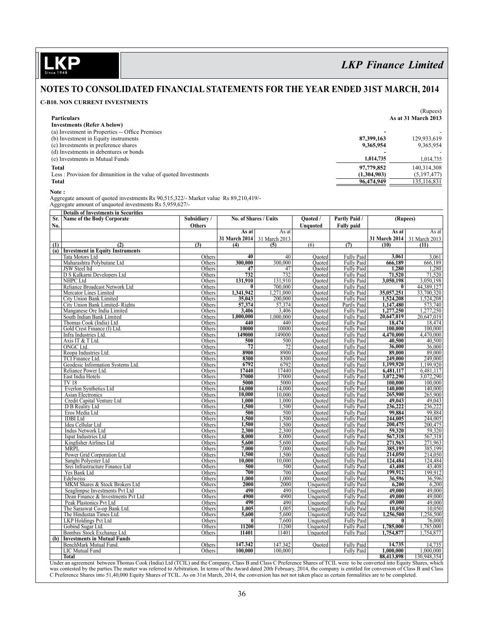# КP

### *LKP Finance Limited*

### **Notes to Consolidated financial statements for the year ended 31st March, 2014**

### **C-B10. Non current Investments**

|                                                                   |             | (Rupees)            |
|-------------------------------------------------------------------|-------------|---------------------|
| <b>Particulars</b>                                                |             | As at 31 March 2013 |
| <b>Investments (Refer A below)</b>                                |             |                     |
| (a) Investment in Properties -- Office Premises                   |             |                     |
| (b) Investment in Equity instruments                              | 87,399,163  | 129.933.619         |
| (c) Investments in preference shares                              | 9,365,954   | 9,365,954           |
| (d) Investments in debentures or bonds                            |             |                     |
| (e) Investments in Mutual Funds                                   | 1,014,735   | 1,014,735           |
| Total                                                             | 97,779,852  | 140,314,308         |
| Less: Provision for dimunition in the value of quoted Investments | (1.304.903) | (5,197,477)         |
| <b>Total</b>                                                      | 96,474,949  | 135,116,831         |

**Note :**

Aggregate amount of quoted investments Rs 90,515,322/- Market value Rs 89,210,419/-

Aggregate amount of unquoted investments Rs 5,959,627/-

|     | <b>Details of Investments in Securities</b> |                            |                |                              |                  |                                        |                    |                             |
|-----|---------------------------------------------|----------------------------|----------------|------------------------------|------------------|----------------------------------------|--------------------|-----------------------------|
| Sr. | Name of the Body Corporate                  | Subsidiary/                |                | <b>No. of Shares / Units</b> | <b>Ouoted</b> /  | Partly Paid /                          |                    | (Rupees)                    |
| No. |                                             | Others                     |                |                              | <b>Unquoted</b>  | <b>Fully paid</b>                      |                    |                             |
|     |                                             |                            | As at          | As at                        |                  |                                        | As at              | As at                       |
|     |                                             |                            | 31 March 2014  | 31 March 2013                |                  |                                        |                    | 31 March 2014 31 March 2013 |
| (1) | (2)                                         | $\overline{(3)}$           | (4)            | (5)                          | (6)              | (7)                                    | (10)               | (11)                        |
|     | (a) Investment in Equity Instruments        |                            |                |                              |                  |                                        |                    |                             |
|     | Tata Motors Ltd                             | Others                     | 40             | 40                           | Ouoted           | Fully Paid                             | 3.061              | 3,061                       |
|     | Maharashtra Polybutane Ltd                  | Others                     | 300,000        | 300,000                      | Ouoted           | <b>Fully Paid</b>                      | 666,189            | 666,189                     |
|     | <b>JSW</b> Steel ltd                        | Others                     | 47             | 47                           | Ouoted           | Fully Paid                             | 1,280              | 1,280                       |
|     | D S Kulkarni Developers Ltd                 | Others                     | 732            | 732                          | Ouoted           | <b>Fully Paid</b>                      | 71,520             | 71,520                      |
|     | NHPC Ltd                                    | Others                     | 131,910        | 131,910                      | Ouoted           | <b>Fully Paid</b>                      | 3,050,198          | 3,050,198                   |
|     | Reliance Broadcast Network Ltd              | Others                     | $\bf{0}$       | 700,000                      | Ouoted           | <b>Fully Paid</b>                      | $\bf{0}$           | 44,389,127                  |
|     | Mercator Lines Limited                      | Others                     | 1,341,942      | 1,271,000                    | Quoted           | <b>Fully Paid</b>                      | 35,057,251         | 33,700,320                  |
|     | City Union Bank Limited                     | Others                     | 35,043         | 200.000                      | Ouoted           | <b>Fully Paid</b>                      | 1.524.208          | 1,524,208                   |
|     | City Union Bank Limited-Rights              | Others                     | 57,374         | 57,374                       | Ouoted           | Partly Paid                            | 1,147,480          | 573.740                     |
|     | Manganese Ore India Limited                 | Others                     | 3,406          | 3,406                        | Ouoted           | Fully Paid                             | 1,277,250          | 1,277,250                   |
|     | South Indian Bank Limited                   | Others                     | 1,000,000      | 1,000,000                    | Ouoted           | Fully Paid                             | 20,647,019         | 20,647,019                  |
|     | Thomas Cook (India) Ltd                     | Others                     | 440            | 440                          | Ouoted           | Fully Paid                             | 18,474             | 18,474                      |
|     | Gold Crest Finance (I) Ltd.                 | Others                     | 10000          | 10000                        | Quoted           | Fully Paid                             | 100,000            | 100,000                     |
|     | Infra Industries Ltd.                       | Others                     | 149000         | 149000                       | Ouoted           | <b>Fully Paid</b>                      | 4,470,000          | 4.470,000                   |
|     | Axis IT & T Ltd.                            | Others                     | 500            | 500                          | Ouoted           | <b>Fully Paid</b>                      | 40,500             | 40,500                      |
|     | ONGC Ltd.                                   | Others                     | 72             | 72                           | Ouoted           | Fully Paid                             | 36,000             | 36.000                      |
|     | Roopa Industries Ltd.                       | Others                     | 8900           | 8900                         | Ouoted           | Fully Paid                             | 89,000             | 89,000                      |
|     | <b>TCI Finance Ltd.</b>                     | Others                     | 8300           | 8300                         | Ouoted           | Fully Paid                             | 249,000            | 249,000                     |
|     | Geodesic Information Systems Ltd.           | Others                     | 6792           | 6792                         | <b>Ouoted</b>    | Fully Paid                             | 1,199,920          | 1,199,920                   |
|     | Reliance Power Ltd.                         | Others                     | 17440          | 17440                        | Ouoted           | Fully Paid                             | 6,481,117          | 6,481,117                   |
|     | East India Hotels                           | Others                     | 37000          | 37000                        | Ouoted           | Fully Paid                             | 3,072,290          | 3,072,290                   |
|     | <b>TV18</b><br>Everlon Synthetics Ltd       | Others<br>Others           | 5000<br>14,000 | 5000<br>14.000               | Quoted<br>Ouoted | <b>Fully Paid</b><br><b>Fully Paid</b> | 100,000<br>140,000 | 100,000<br>140,000          |
|     | <b>Asian Electronics</b>                    | Others                     | 10,000         | 10.000                       | Ouoted           | <b>Fully Paid</b>                      | 265,900            | 265.900                     |
|     | Credit Capital Venture Ltd                  | Others                     | 1.000          | 1,000                        | Ouoted           | Fully Paid                             | 49,043             | 49,043                      |
|     | D B Reality Ltd                             | Others                     | 1,500          | 1,500                        | Ouoted           | <b>Fully Paid</b>                      | 236,222            | 236,222                     |
|     | Eros Media Ltd                              | Others                     | 500            | 500                          | Ouoted           | <b>Fully Paid</b>                      | 99,884             | 99,884                      |
|     | <b>IDBI</b> Ltd                             | Others                     | 1,500          | 1.500                        | Ouoted           | Fully Paid                             | 244,005            | 244,005                     |
|     | Idea Cellular Ltd                           | Others                     | 1,500          | 1.500                        | Ouoted           | Fully Paid                             | 200,475            | 200,475                     |
|     | Indus Network Ltd                           | Others                     | 2,300          | 2,300                        | Ouoted           | Fully Paid                             | 59,320             | 59,320                      |
|     | Ispat Industries Ltd                        | Others                     | 8,000          | 8,000                        | Ouoted           | <b>Fully Paid</b>                      | 567,318            | 567,318                     |
|     | Kingfisher Airlines Ltd                     | Others                     | 5,600          | 5.600                        | Ouoted           | Fully Paid                             | 271,963            | 271.963                     |
|     | <b>MRPL</b>                                 | Others                     | 7,000          | 7.000                        | Ouoted           | Fully Paid                             | 385,199            | 385,199                     |
|     | Power Grid Corporation Ltd                  | Others                     | 1,500          | 1.500                        | Ouoted           | <b>Fully Paid</b>                      | 214,050            | 214.050                     |
|     | Sanghi Polyester Ltd                        | Others                     | 10.000         | 10,000                       | Ouoted           | <b>Fully Paid</b>                      | 124,484            | 124,484                     |
|     | Srei Infrastructure Finance Ltd             | Others                     | 500            | 500                          | Ouoted           | Fully Paid                             | 43,408             | 43,408                      |
|     | Yes Bank Ltd                                | Others                     | 700            | 700                          | Ouoted           | Fully Paid                             | 199,912            | 199.912                     |
|     | Edelweiss                                   | Others                     | 1,000          | 1.000                        | Ouoted           | Fully Paid                             | 36.596             | 36,596                      |
|     | MKM Shares & Stock Brokers Ltd              | Others                     | 2000           | 2000                         | Unquoted         | Fully Paid                             | 6,200              | 6,200                       |
|     | Seaglimpse Investments Pvt Ltd              | Others                     | 490            | 490                          | Unquoted         | Fully Paid                             | 49,000             | 49,000                      |
|     | Dean Finance & Investments Pvt Ltd          | Others                     | 4900           | 4900                         | Unquoted         | <b>Fully Paid</b>                      | 49,000             | 49,000                      |
|     | Peak Plastonics Pvt Ltd                     | Others                     | 490            | 490                          | Unquoted         | <b>Fully Paid</b>                      | 49.000             | 49,000                      |
|     | The Saraswat Co-op Bank Ltd.                | Others                     | 1.005          | 1.005                        | Unquoted         | <b>Fully Paid</b>                      | 10,050             | 10.050                      |
|     | The Hindustan Times Ltd.                    | $\overline{\text{Others}}$ | 5,600          | 5,600                        | Unquoted         | Fully Paid                             | 1,256,500          | 1,256,500                   |
|     | <b>LKP</b> Holdings Pvt Ltd                 | Others                     | $\bf{0}$       | 7.600                        | Unquoted         | Fully Paid                             | $\bf{0}$           | 76,000                      |
|     | Gobind Sugar Ltd.                           | Others                     | 11200          | 11200                        | Unquoted         | <b>Fully Paid</b>                      | 1,785,000          | 1,785,000                   |
|     | Bombay Stock Exchange Ltd.                  | Others                     | 11401          | 11401                        | Unquoted         | <b>Fully Paid</b>                      | 1,754,877          | 1,754,877                   |
|     | (b) Investments in Mutual Funds             |                            |                |                              |                  |                                        |                    |                             |
|     | BenchMark Mutual Fund.                      | Others                     | 147.342        | 147.342                      | Ouoted           | <b>Fully Paid</b>                      | 14,735             | 14,735                      |
|     | LIC Mutual Fund                             | Others                     | 100,000        | 100,000                      |                  | <b>Fully Paid</b>                      | 1,000,000          | 1.000.000                   |
|     | <b>Total</b>                                |                            |                |                              |                  |                                        | 88,413,898         | 130,948,354                 |

**Total 88,413,898** 130,948,354 Under an agreement between Thomas Cook (India) Ltd (TCIL) and the Company, Class B and Class C Preference Shares of TCIL were to be converted into Equity Shares, which was contested by the parties.The matter was referred to Arbitration. In terms of the Award dated 20th February, 2014, the company is entitled for conversion of Class B and Class C Preference Shares into 51,40,000 Equity Shares of TCIL. As on 31st March, 2014, the conversion has not not taken place as certain formalities are to be completed.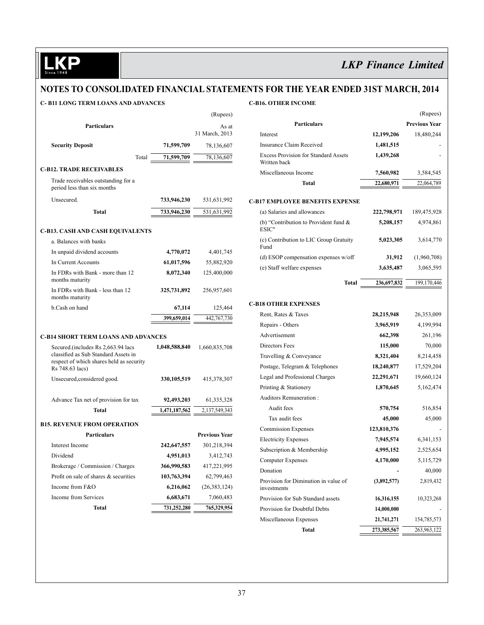### **Notes to Consolidated financial statements for the year ended 31st March, 2014**

### **C- B11 Long Term loans and advances**

|                                                                                                                                           |               | (Rupees)                |
|-------------------------------------------------------------------------------------------------------------------------------------------|---------------|-------------------------|
| <b>Particulars</b>                                                                                                                        |               | As at<br>31 March, 2013 |
| <b>Security Deposit</b>                                                                                                                   | 71,599,709    | 78,136,607              |
| Total                                                                                                                                     | 71,599,709    | 78,136,607              |
| <b>C-B12. TRADE RECEIVABLES</b>                                                                                                           |               |                         |
| Trade receivables outstanding for a<br>period less than six months                                                                        |               |                         |
| Unsecured.                                                                                                                                | 733,946,230   | 531,631,992             |
| <b>Total</b>                                                                                                                              | 733,946,230   | 531,631,992             |
| <b>C-B13. CASH AND CASH EQUIVALENTS</b>                                                                                                   |               |                         |
| a. Balances with banks                                                                                                                    |               |                         |
| In unpaid dividend accounts                                                                                                               | 4,770,072     | 4,401,745               |
| In Current Accounts                                                                                                                       | 61,017,596    | 55,882,920              |
| In FDRs with Bank - more than 12<br>months maturity                                                                                       | 8,072,340     | 125,400,000             |
| In FDRs with Bank - less than 12<br>months maturity                                                                                       | 325,731,892   | 256,957,601             |
| b.Cash on hand                                                                                                                            | 67,114        | 125,464                 |
|                                                                                                                                           | 399,659,014   | 442,767,730             |
| <b>C-B14 SHORT TERM LOANS AND ADVANCES</b>                                                                                                |               |                         |
| Secured.(includes Rs 2,663.94 lacs<br>classified as Sub Standard Assets in<br>respect of which shares held as security<br>Rs 748.63 lacs) | 1,048,588,840 | 1,660,835,708           |
| Unsecured, considered good.                                                                                                               | 330,105,519   | 415,378,307             |
| Advance Tax net of provision for tax                                                                                                      | 92,493,203    | 61,335,328              |
| Total                                                                                                                                     | 1,471,187,562 | 2,137,549,343           |
| <b>B15. REVENUE FROM OPERATION</b>                                                                                                        |               |                         |
| <b>Particulars</b>                                                                                                                        |               | <b>Previous Year</b>    |
| <b>Interest Income</b>                                                                                                                    | 242,647,557   | 301,218,394             |
| Dividend                                                                                                                                  | 4,951,013     | 3,412,743               |
| Brokerage / Commission / Charges                                                                                                          | 366,990,583   | 417,221,995             |
| Profit on sale of shares & securities                                                                                                     | 103,763,394   | 62,799,463              |
| Income from $F\&O$                                                                                                                        | 6,216,062     | (26, 383, 124)          |
| Income from Services                                                                                                                      | 6,683,671     | 7,060,483               |
| Total                                                                                                                                     | 731,252,280   | 765,329,954             |

### **C-B16. Other Income**

|                                                             |             | (Rupees)             |
|-------------------------------------------------------------|-------------|----------------------|
| Particulars                                                 |             | <b>Previous Year</b> |
| Interest                                                    | 12,199,206  | 18,480,244           |
| Insurance Claim Received                                    | 1,481,515   |                      |
| <b>Excess Provision for Standard Assets</b><br>Written back | 1,439,268   |                      |
| Miscellaneous Income                                        | 7,560,982   | 3,584,545            |
| <b>Total</b>                                                | 22,680,971  | 22,064,789           |
| C-B17 EMPLOYEE BENEFITS EXPENSE                             |             |                      |
| (a) Salaries and allowances                                 | 222,798,971 | 189,475,928          |
| (b) "Contribution to Provident fund &<br>ESIC"              | 5,208,157   | 4,974,861            |
| (c) Contribution to LIC Group Gratuity<br>Fund              | 5,023,305   | 3,614,770            |
| (d) ESOP compensation expenses $w$ /off                     | 31,912      | (1,960,708)          |
| (e) Staff welfare expenses                                  | 3,635,487   | 3,065,595            |
| Total                                                       | 236,697,832 | 199,170,446          |
|                                                             |             |                      |
| <b>C-B18 OTHER EXPENSES</b>                                 |             |                      |
| Rent, Rates & Taxes                                         | 28,215,948  | 26,353,009           |
| Repairs - Others                                            | 3,965,919   | 4,199,994            |
| Advertisement                                               | 662,398     | 261,196              |
| Directors Fees                                              | 115,000     | 70,000               |
| Travelling & Conveyance                                     | 8,321,404   | 8,214,458            |
| Postage, Telegram & Telephones                              | 18,240,877  | 17,529,204           |
| Legal and Professional Charges                              | 22,291,671  | 19,660,124           |
| Printing & Stationery                                       | 1,870,645   | 5,162,474            |
| Auditors Remuneration:                                      |             |                      |
| Audit fees                                                  | 570,754     | 516,854              |
| Tax audit fees                                              | 45,000      | 45,000               |
| Commission Expenses                                         | 123,810,376 |                      |
| <b>Electricity Expenses</b>                                 | 7,945,574   | 6,341,153            |
| Subscription & Membership                                   | 4,995,152   | 2,525,654            |
| <b>Computer Expenses</b>                                    | 4,170,000   | 5,115,729            |
| Donation                                                    |             | 40,000               |
| Provision for Diminution in value of<br>investments         | (3,892,577) | 2,819,432            |
| Provision for Sub Standard assets                           | 16,316,155  | 10,323,268           |
| Provision for Doubtful Debts                                | 14,000,000  |                      |
| Miscellaneous Expenses                                      | 21,741,271  | 154,785,573          |
| <b>Total</b>                                                | 273,385,567 | 263,963,122          |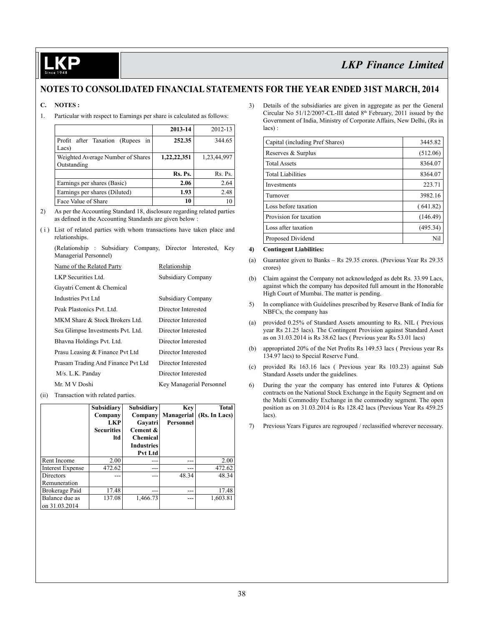### **Notes to Consolidated financial statements for the year ended 31st March, 2014**

### **C. NOTES :**

1. Particular with respect to Earnings per share is calculated as follows:

|                                                  | 2013-14     | 2012-13     |
|--------------------------------------------------|-------------|-------------|
| Profit after Taxation (Rupees<br>in<br>Lacs)     | 252.35      | 344.65      |
| Weighted Average Number of Shares<br>Outstanding | 1,22,22,351 | 1,23,44,997 |
|                                                  | Rs. Ps.     | Rs. Ps.     |
| Earnings per shares (Basic)                      | 2.06        | 2.64        |
| Earnings per shares (Diluted)                    | 1.93        | 2.48        |
| Face Value of Share                              | 10          | 10          |

- 2) As per the Accounting Standard 18, disclosure regarding related parties as defined in the Accounting Standards are given below :
- ( i ) List of related parties with whom transactions have taken place and relationships.

(Relationship : Subsidiary Company, Director Interested, Key Managerial Personnel)

| Name of the Related Party          | Relationship             |
|------------------------------------|--------------------------|
| LKP Securities Ltd.                | Subsidiary Company       |
| Gavatri Cement & Chemical          |                          |
| Industries Pvt Ltd                 | Subsidiary Company       |
| Peak Plastonics Pvt Ltd            | Director Interested      |
| MKM Share & Stock Brokers Ltd.     | Director Interested      |
| Sea Glimpse Investments Pvt. Ltd.  | Director Interested      |
| Bhavna Holdings Pvt. Ltd.          | Director Interested      |
| Prasu Leasing & Finance Pvt Ltd    | Director Interested      |
| Prasam Trading And Finance Pvt Ltd | Director Interested      |
| M/s. L.K. Panday                   | Director Interested      |
| Mr. M V Doshi                      | Key Managerial Personnel |

(ii) Transaction with related parties.

|                                  | <b>Subsidiary</b><br>Company<br><b>LKP</b><br><b>Securities</b><br>ltd | <b>Subsidiary</b><br>Company<br>Gavatri<br>Cement &<br><b>Chemical</b><br><b>Industries</b><br><b>Pvt Ltd</b> | Key<br>Managerial<br>Personnel | <b>Total</b><br>(Rs. In Lacs) |
|----------------------------------|------------------------------------------------------------------------|---------------------------------------------------------------------------------------------------------------|--------------------------------|-------------------------------|
| Rent Income                      | 2.00                                                                   |                                                                                                               |                                | 2.00                          |
| <b>Interest Expense</b>          | 472.62                                                                 |                                                                                                               |                                | 472.62                        |
| <b>Directors</b><br>Remuneration |                                                                        |                                                                                                               | 48.34                          | 48.34                         |
| Brokerage Paid                   | 17.48                                                                  |                                                                                                               |                                | 17.48                         |
| Balance due as<br>on 31.03.2014  | 137.08                                                                 | 1,466.73                                                                                                      |                                | 1,603.81                      |

3) Details of the subsidiaries are given in aggregate as per the General Circular No 51/12/2007-CL-III dated 8<sup>th</sup> February, 2011 issued by the Government of India, Ministry of Corporate Affairs, New Delhi, (Rs in lacs) :

| Capital (including Pref Shares) | 3445.82  |
|---------------------------------|----------|
| Reserves & Surplus              | (512.06) |
| <b>Total Assets</b>             | 8364.07  |
| <b>Total Liabilities</b>        | 8364.07  |
| Investments                     | 223.71   |
| Turnover                        | 3982.16  |
| Loss before taxation            | (641.82) |
| Provision for taxation          | (146.49) |
| Loss after taxation             | (495.34) |
| Proposed Dividend               | Nil      |

#### **4) Contingent Liabilities:**

- (a) Guarantee given to Banks Rs 29.35 crores. (Previous Year Rs 29.35 crores)
- (b) Claim against the Company not acknowledged as debt Rs. 33.99 Lacs, against which the company has deposited full amount in the Honorable High Court of Mumbai. The matter is pending.
- 5) In compliance with Guidelines prescribed by Reserve Bank of India for NBFCs, the company has
- (a) provided 0.25% of Standard Assets amounting to Rs. NIL ( Previous year Rs 21.25 lacs). The Contingent Provision against Standard Asset as on 31.03.2014 is Rs 38.62 lacs ( Previous year Rs 53.01 lacs)
- (b) appropriated 20% of the Net Profits Rs 149.53 lacs ( Previous year Rs 134.97 lacs) to Special Reserve Fund.
- (c) provided Rs 163.16 lacs ( Previous year Rs 103.23) against Sub Standard Assets under the guidelines.
- 6) During the year the company has entered into Futures & Options contracts on the National Stock Exchange in the Equity Segment and on the Multi Commodity Exchange in the commodity segment. The open position as on 31.03.2014 is Rs 128.42 lacs (Previous Year Rs 459.25 lacs).
- 7) Previous Years Figures are regrouped / reclassified wherever necessary.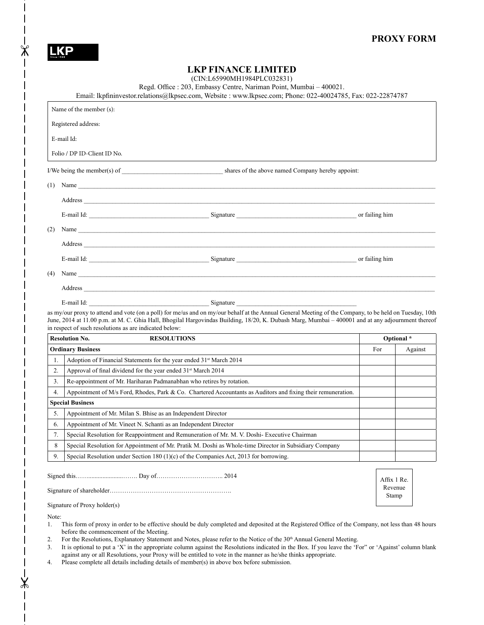|     | <b>LKP FINANCE LIMITED</b><br>(CIN:L65990MH1984PLC032831)<br>Regd. Office: 203, Embassy Centre, Nariman Point, Mumbai - 400021.<br>Email: lkpfininvestor.relations@lkpsec.com, Website : www.lkpsec.com; Phone: 022-40024785, Fax: 022-22874787                                                                                                                        |            |         |
|-----|------------------------------------------------------------------------------------------------------------------------------------------------------------------------------------------------------------------------------------------------------------------------------------------------------------------------------------------------------------------------|------------|---------|
|     | Name of the member (s):                                                                                                                                                                                                                                                                                                                                                |            |         |
|     | Registered address:                                                                                                                                                                                                                                                                                                                                                    |            |         |
|     | E-mail Id:                                                                                                                                                                                                                                                                                                                                                             |            |         |
|     |                                                                                                                                                                                                                                                                                                                                                                        |            |         |
|     | Folio / DP ID-Client ID No.                                                                                                                                                                                                                                                                                                                                            |            |         |
|     | I/We being the member(s) of shares of the above named Company hereby appoint:                                                                                                                                                                                                                                                                                          |            |         |
| (1) |                                                                                                                                                                                                                                                                                                                                                                        |            |         |
|     |                                                                                                                                                                                                                                                                                                                                                                        |            |         |
|     |                                                                                                                                                                                                                                                                                                                                                                        |            |         |
|     |                                                                                                                                                                                                                                                                                                                                                                        |            |         |
| (2) | Name $\Box$                                                                                                                                                                                                                                                                                                                                                            |            |         |
|     | Address and the contract of the contract of the contract of the contract of the contract of the contract of the contract of the contract of the contract of the contract of the contract of the contract of the contract of th                                                                                                                                         |            |         |
|     |                                                                                                                                                                                                                                                                                                                                                                        |            |         |
| (4) |                                                                                                                                                                                                                                                                                                                                                                        |            |         |
|     |                                                                                                                                                                                                                                                                                                                                                                        |            |         |
|     | E-mail Id: Signature                                                                                                                                                                                                                                                                                                                                                   |            |         |
|     | as my/our proxy to attend and vote (on a poll) for me/us and on my/our behalf at the Annual General Meeting of the Company, to be held on Tuesday, 10th<br>June, 2014 at 11.00 p.m. at M. C. Ghia Hall, Bhogilal Hargovindas Building, 18/20, K. Dubash Marg, Mumbai – 400001 and at any adjournment thereof<br>in respect of such resolutions as are indicated below: |            |         |
|     | <b>Resolution No.</b><br><b>RESOLUTIONS</b>                                                                                                                                                                                                                                                                                                                            | Optional * |         |
|     | <b>Ordinary Business</b>                                                                                                                                                                                                                                                                                                                                               | For        | Against |
| 1.  | Adoption of Financial Statements for the year ended 31st March 2014                                                                                                                                                                                                                                                                                                    |            |         |
| 2.  | Approval of final dividend for the year ended 31 <sup>st</sup> March 2014                                                                                                                                                                                                                                                                                              |            |         |
| 3.  | Re-appointment of Mr. Hariharan Padmanabhan who retires by rotation.                                                                                                                                                                                                                                                                                                   |            |         |
| 4.  | Appointment of M/s Ford, Rhodes, Park & Co. Chartered Accountants as Auditors and fixing their remuneration.                                                                                                                                                                                                                                                           |            |         |
| 5.  | <b>Special Business</b><br>Appointment of Mr. Milan S. Bhise as an Independent Director                                                                                                                                                                                                                                                                                |            |         |
| 6.  | Appointment of Mr. Vineet N. Schanti as an Independent Director                                                                                                                                                                                                                                                                                                        |            |         |
| 7.  | Special Resolution for Reappointment and Remuneration of Mr. M. V. Doshi- Executive Chairman                                                                                                                                                                                                                                                                           |            |         |
|     |                                                                                                                                                                                                                                                                                                                                                                        |            |         |

Signed this……......................……. Day of………………………….. 2014 Signature of shareholder………………………………………………….

Affix 1 Re. Revenue Stamp

Signature of Proxy holder(s)

Note:<br>1.

 $\chi$ 

This form of proxy in order to be effective should be duly completed and deposited at the Registered Office of the Company, not less than 48 hours before the commencement of the Meeting.

2. For the Resolutions, Explanatory Statement and Notes, please refer to the Notice of the 30<sup>th</sup> Annual General Meeting.

3. It is optional to put a 'X' in the appropriate column against the Resolutions indicated in the Box. If you leave the 'For" or 'Against' column blank against any or all Resolutions, your Proxy will be entitled to vote in the manner as he/she thinks appropriate.

4. Please complete all details including details of member(s) in above box before submission.

9. Special Resolution under Section 180 (1)(c) of the Companies Act, 2013 for borrowing.

 $\mathbb{\mathsf{X}}$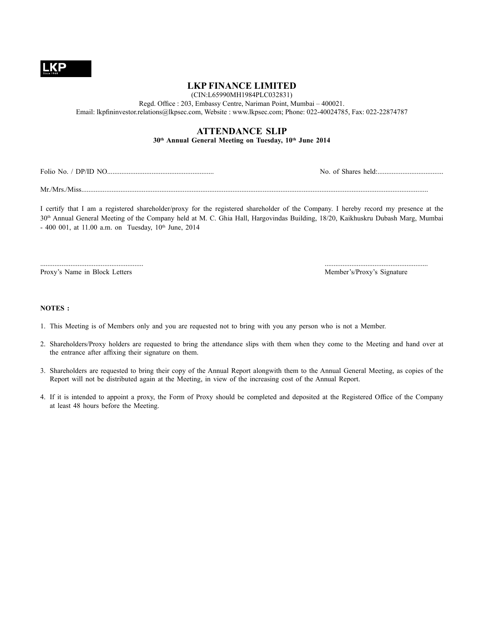

### **LKP FINANCE LIMITED**

(CIN:L65990MH1984PLC032831) Regd. Office : 203, Embassy Centre, Nariman Point, Mumbai – 400021. Email: lkpfininvestor.relations@lkpsec.com, Website : www.lkpsec.com; Phone: 022-40024785, Fax: 022-22874787

### **ATTENDANCE SLIP**

**30th Annual General Meeting on Tuesday, 10th June 2014**

Folio No. / DP/ID NO............................................................ No. of Shares held:.....................................

Mr./Mrs./Miss...................................................................................................................................................................................................

I certify that I am a registered shareholder/proxy for the registered shareholder of the Company. I hereby record my presence at the 30th Annual General Meeting of the Company held at M. C. Ghia Hall, Hargovindas Building, 18/20, Kaikhuskru Dubash Marg, Mumbai  $- 400 001$ , at 11.00 a.m. on Tuesday,  $10<sup>th</sup>$  June, 2014

Proxy's Name in Block Letters and the state of the Member's/Proxy's Signature Member's/Proxy's Signature

.......................................................... ..........................................................

**NOTES :**

- 1. This Meeting is of Members only and you are requested not to bring with you any person who is not a Member.
- 2. Shareholders/Proxy holders are requested to bring the attendance slips with them when they come to the Meeting and hand over at the entrance after affixing their signature on them.
- 3. Shareholders are requested to bring their copy of the Annual Report alongwith them to the Annual General Meeting, as copies of the Report will not be distributed again at the Meeting, in view of the increasing cost of the Annual Report.
- 4. If it is intended to appoint a proxy, the Form of Proxy should be completed and deposited at the Registered Office of the Company at least 48 hours before the Meeting.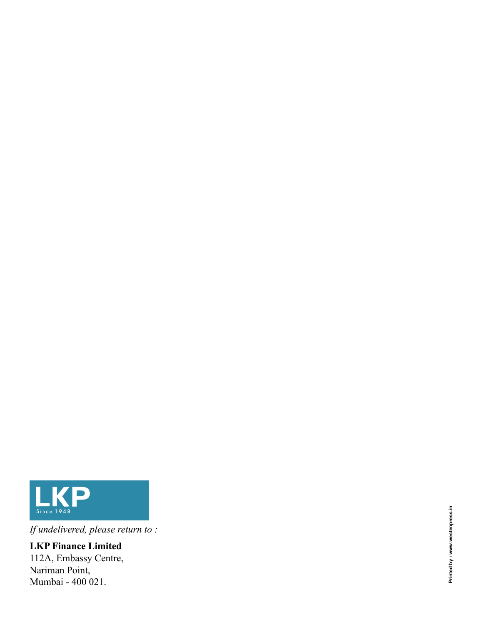

*If undelivered, please return to :*

### **LKP Finance Limited** 112A, Embassy Centre, Nariman Point, Mumbai - 400 021.